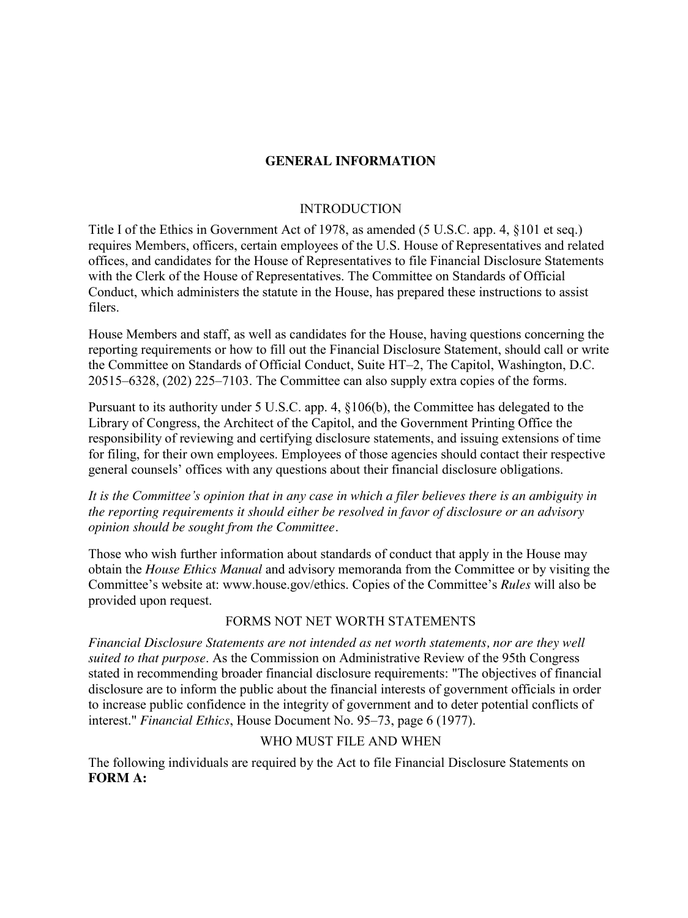# **GENERAL INFORMATION**

## INTRODUCTION

Title I of the Ethics in Government Act of 1978, as amended (5 U.S.C. app. 4, §101 et seq.) requires Members, officers, certain employees of the U.S. House of Representatives and related offices, and candidates for the House of Representatives to file Financial Disclosure Statements with the Clerk of the House of Representatives. The Committee on Standards of Official Conduct, which administers the statute in the House, has prepared these instructions to assist filers.

House Members and staff, as well as candidates for the House, having questions concerning the reporting requirements or how to fill out the Financial Disclosure Statement, should call or write the Committee on Standards of Official Conduct, Suite HT–2, The Capitol, Washington, D.C. 20515–6328, (202) 225–7103. The Committee can also supply extra copies of the forms.

Pursuant to its authority under 5 U.S.C. app. 4, §106(b), the Committee has delegated to the Library of Congress, the Architect of the Capitol, and the Government Printing Office the responsibility of reviewing and certifying disclosure statements, and issuing extensions of time for filing, for their own employees. Employees of those agencies should contact their respective general counsels' offices with any questions about their financial disclosure obligations.

*It is the Committee's opinion that in any case in which a filer believes there is an ambiguity in the reporting requirements it should either be resolved in favor of disclosure or an advisory opinion should be sought from the Committee.* 

Those who wish further information about standards of conduct that apply in the House may obtain the *House Ethics Manual* and advisory memoranda from the Committee or by visiting the Committee's website at: www.house.gov/ethics. Copies of the Committee's *Rules* will also be provided upon request.

# FORMS NOT NET WORTH STATEMENTS

*Financial Disclosure Statements are not intended as net worth statements, nor are they well suited to that purpose*. As the Commission on Administrative Review of the 95th Congress stated in recommending broader financial disclosure requirements: "The objectives of financial disclosure are to inform the public about the financial interests of government officials in order to increase public confidence in the integrity of government and to deter potential conflicts of interest." *Financial Ethics*, House Document No. 95–73, page 6 (1977).

#### WHO MUST FILE AND WHEN

The following individuals are required by the Act to file Financial Disclosure Statements on **FORM A:**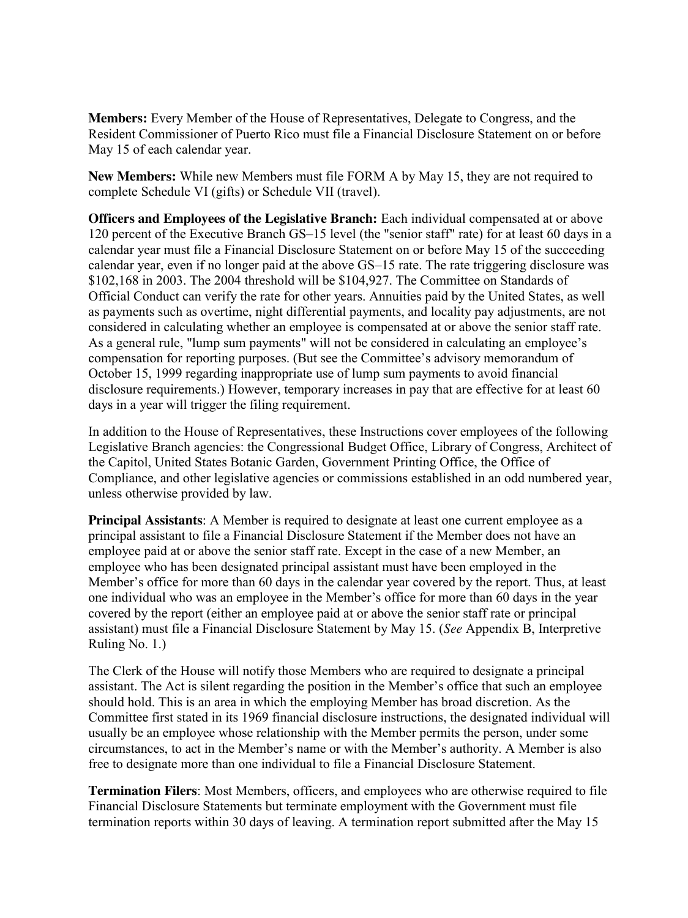**Members:** Every Member of the House of Representatives, Delegate to Congress, and the Resident Commissioner of Puerto Rico must file a Financial Disclosure Statement on or before May 15 of each calendar year.

**New Members:** While new Members must file FORM A by May 15, they are not required to complete Schedule VI (gifts) or Schedule VII (travel).

**Officers and Employees of the Legislative Branch:** Each individual compensated at or above 120 percent of the Executive Branch GS–15 level (the "senior staff" rate) for at least 60 days in a calendar year must file a Financial Disclosure Statement on or before May 15 of the succeeding calendar year, even if no longer paid at the above GS–15 rate. The rate triggering disclosure was \$102,168 in 2003. The 2004 threshold will be \$104,927. The Committee on Standards of Official Conduct can verify the rate for other years. Annuities paid by the United States, as well as payments such as overtime, night differential payments, and locality pay adjustments, are not considered in calculating whether an employee is compensated at or above the senior staff rate. As a general rule, "lump sum payments" will not be considered in calculating an employee's compensation for reporting purposes. (But see the Committee's advisory memorandum of October 15, 1999 regarding inappropriate use of lump sum payments to avoid financial disclosure requirements.) However, temporary increases in pay that are effective for at least 60 days in a year will trigger the filing requirement.

In addition to the House of Representatives, these Instructions cover employees of the following Legislative Branch agencies: the Congressional Budget Office, Library of Congress, Architect of the Capitol, United States Botanic Garden, Government Printing Office, the Office of Compliance, and other legislative agencies or commissions established in an odd numbered year, unless otherwise provided by law.

**Principal Assistants**: A Member is required to designate at least one current employee as a principal assistant to file a Financial Disclosure Statement if the Member does not have an employee paid at or above the senior staff rate. Except in the case of a new Member, an employee who has been designated principal assistant must have been employed in the Member's office for more than 60 days in the calendar year covered by the report. Thus, at least one individual who was an employee in the Member's office for more than 60 days in the year covered by the report (either an employee paid at or above the senior staff rate or principal assistant) must file a Financial Disclosure Statement by May 15. (*See* Appendix B, Interpretive Ruling No. 1.)

The Clerk of the House will notify those Members who are required to designate a principal assistant. The Act is silent regarding the position in the Member's office that such an employee should hold. This is an area in which the employing Member has broad discretion. As the Committee first stated in its 1969 financial disclosure instructions, the designated individual will usually be an employee whose relationship with the Member permits the person, under some circumstances, to act in the Member's name or with the Member's authority. A Member is also free to designate more than one individual to file a Financial Disclosure Statement.

**Termination Filers**: Most Members, officers, and employees who are otherwise required to file Financial Disclosure Statements but terminate employment with the Government must file termination reports within 30 days of leaving. A termination report submitted after the May 15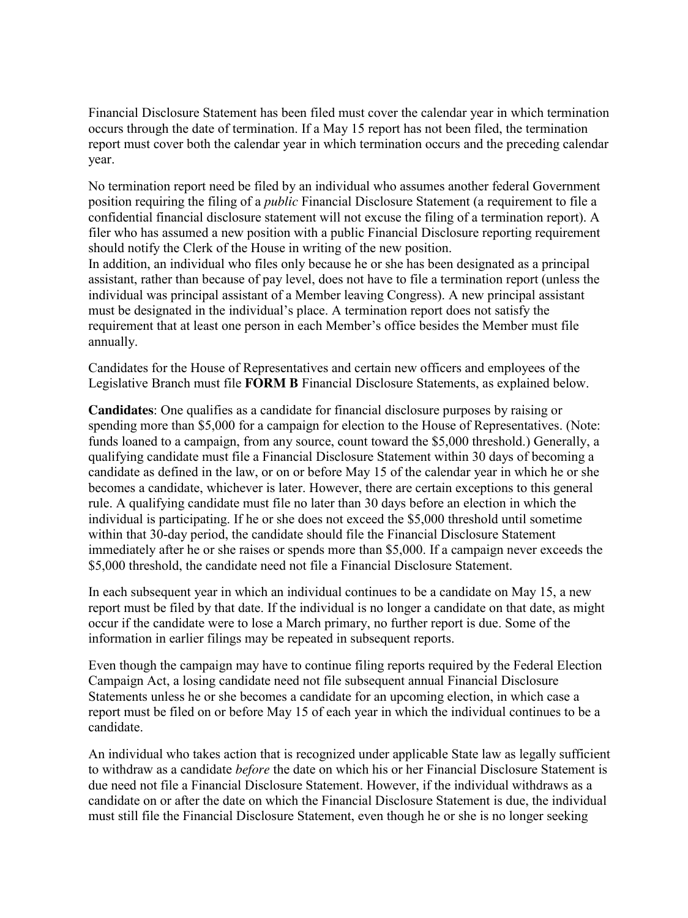Financial Disclosure Statement has been filed must cover the calendar year in which termination occurs through the date of termination. If a May 15 report has not been filed, the termination report must cover both the calendar year in which termination occurs and the preceding calendar year.

No termination report need be filed by an individual who assumes another federal Government position requiring the filing of a *public* Financial Disclosure Statement (a requirement to file a confidential financial disclosure statement will not excuse the filing of a termination report). A filer who has assumed a new position with a public Financial Disclosure reporting requirement should notify the Clerk of the House in writing of the new position.

In addition, an individual who files only because he or she has been designated as a principal assistant, rather than because of pay level, does not have to file a termination report (unless the individual was principal assistant of a Member leaving Congress). A new principal assistant must be designated in the individual's place. A termination report does not satisfy the requirement that at least one person in each Member's office besides the Member must file annually.

Candidates for the House of Representatives and certain new officers and employees of the Legislative Branch must file **FORM B** Financial Disclosure Statements, as explained below.

**Candidates**: One qualifies as a candidate for financial disclosure purposes by raising or spending more than \$5,000 for a campaign for election to the House of Representatives. (Note: funds loaned to a campaign, from any source, count toward the \$5,000 threshold.) Generally, a qualifying candidate must file a Financial Disclosure Statement within 30 days of becoming a candidate as defined in the law, or on or before May 15 of the calendar year in which he or she becomes a candidate, whichever is later. However, there are certain exceptions to this general rule. A qualifying candidate must file no later than 30 days before an election in which the individual is participating. If he or she does not exceed the \$5,000 threshold until sometime within that 30-day period, the candidate should file the Financial Disclosure Statement immediately after he or she raises or spends more than \$5,000. If a campaign never exceeds the \$5,000 threshold, the candidate need not file a Financial Disclosure Statement.

In each subsequent year in which an individual continues to be a candidate on May 15, a new report must be filed by that date. If the individual is no longer a candidate on that date, as might occur if the candidate were to lose a March primary, no further report is due. Some of the information in earlier filings may be repeated in subsequent reports.

Even though the campaign may have to continue filing reports required by the Federal Election Campaign Act, a losing candidate need not file subsequent annual Financial Disclosure Statements unless he or she becomes a candidate for an upcoming election, in which case a report must be filed on or before May 15 of each year in which the individual continues to be a candidate.

An individual who takes action that is recognized under applicable State law as legally sufficient to withdraw as a candidate *before* the date on which his or her Financial Disclosure Statement is due need not file a Financial Disclosure Statement. However, if the individual withdraws as a candidate on or after the date on which the Financial Disclosure Statement is due, the individual must still file the Financial Disclosure Statement, even though he or she is no longer seeking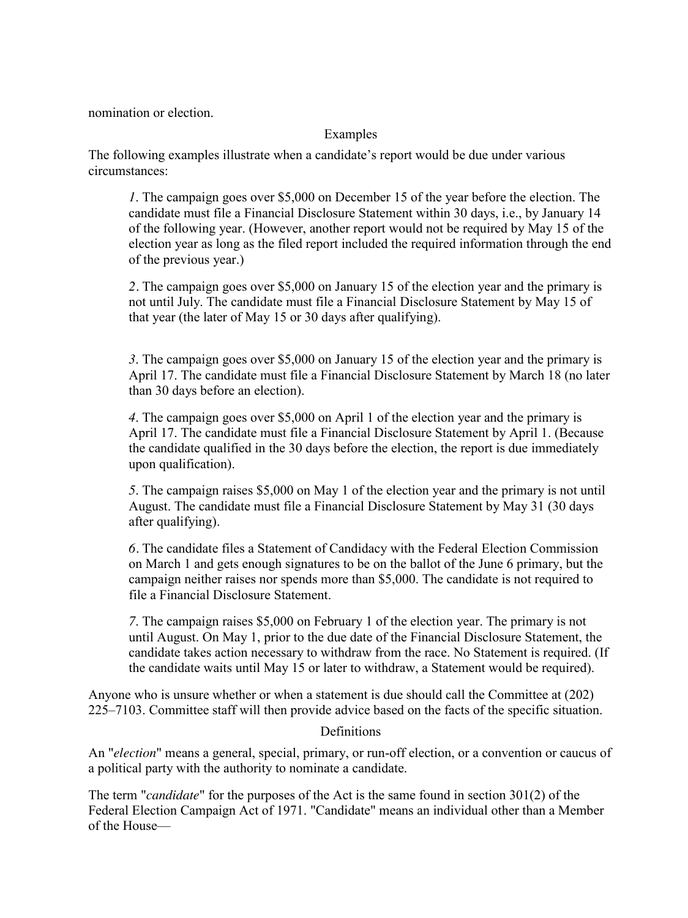nomination or election.

# Examples

The following examples illustrate when a candidate's report would be due under various circumstances:

*1*. The campaign goes over \$5,000 on December 15 of the year before the election. The candidate must file a Financial Disclosure Statement within 30 days, i.e., by January 14 of the following year. (However, another report would not be required by May 15 of the election year as long as the filed report included the required information through the end of the previous year.)

*2.* The campaign goes over \$5,000 on January 15 of the election year and the primary is not until July. The candidate must file a Financial Disclosure Statement by May 15 of that year (the later of May 15 or 30 days after qualifying).

*3*. The campaign goes over \$5,000 on January 15 of the election year and the primary is April 17. The candidate must file a Financial Disclosure Statement by March 18 (no later than 30 days before an election).

*4*. The campaign goes over \$5,000 on April 1 of the election year and the primary is April 17. The candidate must file a Financial Disclosure Statement by April 1. (Because the candidate qualified in the 30 days before the election, the report is due immediately upon qualification).

*5*. The campaign raises \$5,000 on May 1 of the election year and the primary is not until August. The candidate must file a Financial Disclosure Statement by May 31 (30 days after qualifying).

*6.* The candidate files a Statement of Candidacy with the Federal Election Commission on March 1 and gets enough signatures to be on the ballot of the June 6 primary, but the campaign neither raises nor spends more than \$5,000. The candidate is not required to file a Financial Disclosure Statement.

*7*. The campaign raises \$5,000 on February 1 of the election year. The primary is not until August. On May 1, prior to the due date of the Financial Disclosure Statement, the candidate takes action necessary to withdraw from the race. No Statement is required. (If the candidate waits until May 15 or later to withdraw, a Statement would be required).

Anyone who is unsure whether or when a statement is due should call the Committee at (202) 225–7103. Committee staff will then provide advice based on the facts of the specific situation.

# **Definitions**

An "*election*" means a general, special, primary, or run-off election, or a convention or caucus of a political party with the authority to nominate a candidate.

The term "*candidate*" for the purposes of the Act is the same found in section 301(2) of the Federal Election Campaign Act of 1971. "Candidate" means an individual other than a Member of the House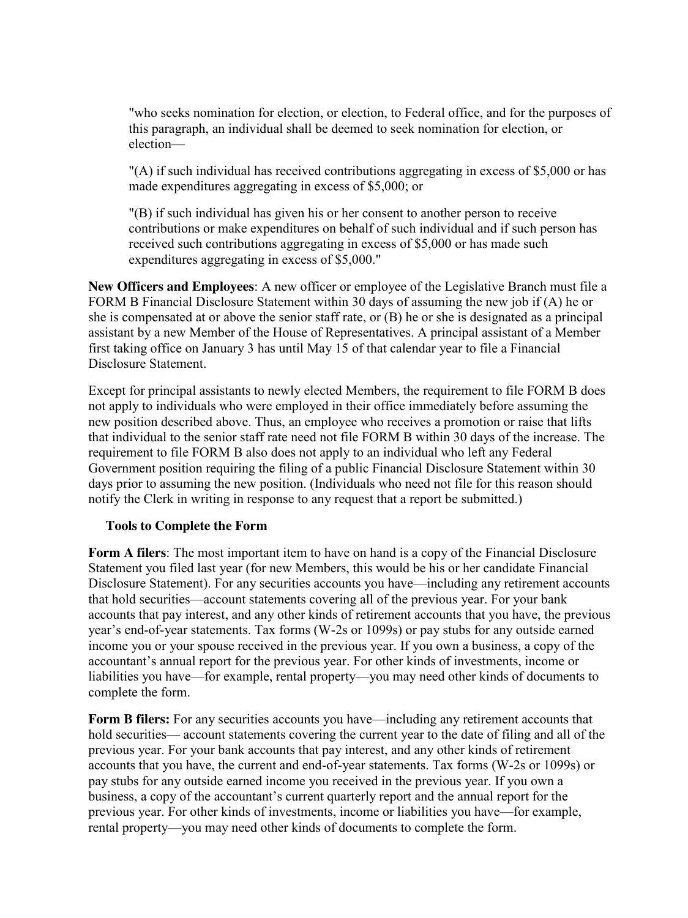"who seeks nomination for election, or election, to Federal office, and for the purposes of this paragraph, an individual shall be deemed to seek nomination for election, or election—

"(A) if such individual has received contributions aggregating in excess of \$5,000 or has made expenditures aggregating in excess of \$5,000; or

"(B) if such individual has given his or her consent to another person to receive contributions or make expenditures on behalf of such individual and if such person has received such contributions aggregating in excess of \$5,000 or has made such expenditures aggregating in excess of \$5,000."

**New Officers and Employees**: A new officer or employee of the Legislative Branch must file a FORM B Financial Disclosure Statement within 30 days of assuming the new job if (A) he or she is compensated at or above the senior staff rate, or (B) he or she is designated as a principal assistant by a new Member of the House of Representatives. A principal assistant of a Member first taking office on January 3 has until May 15 of that calendar year to file a Financial Disclosure Statement.

Except for principal assistants to newly elected Members, the requirement to file FORM B does not apply to individuals who were employed in their office immediately before assuming the new position described above. Thus, an employee who receives a promotion or raise that lifts that individual to the senior staff rate need not file FORM B within 30 days of the increase. The requirement to file FORM B also does not apply to an individual who left any Federal Government position requiring the filing of a public Financial Disclosure Statement within 30 days prior to assuming the new position. (Individuals who need not file for this reason should notify the Clerk in writing in response to any request that a report be submitted.)

#### **Tools to Complete the Form**

**Form A filers**: The most important item to have on hand is a copy of the Financial Disclosure Statement you filed last year (for new Members, this would be his or her candidate Financial Disclosure Statement). For any securities accounts you have—including any retirement accounts that hold securities—account statements covering all of the previous year. For your bank accounts that pay interest, and any other kinds of retirement accounts that you have, the previous year's end-of-year statements. Tax forms (W-2s or 1099s) or pay stubs for any outside earned income you or your spouse received in the previous year. If you own a business, a copy of the accountant's annual report for the previous year. For other kinds of investments, income or liabilities you have—for example, rental property—you may need other kinds of documents to complete the form.

**Form B filers:** For any securities accounts you have—including any retirement accounts that hold securities— account statements covering the current year to the date of filing and all of the previous year. For your bank accounts that pay interest, and any other kinds of retirement accounts that you have, the current and end-of-year statements. Tax forms (W-2s or 1099s) or pay stubs for any outside earned income you received in the previous year. If you own a business, a copy of the accountant's current quarterly report and the annual report for the previous year. For other kinds of investments, income or liabilities you have—for example, rental property—you may need other kinds of documents to complete the form.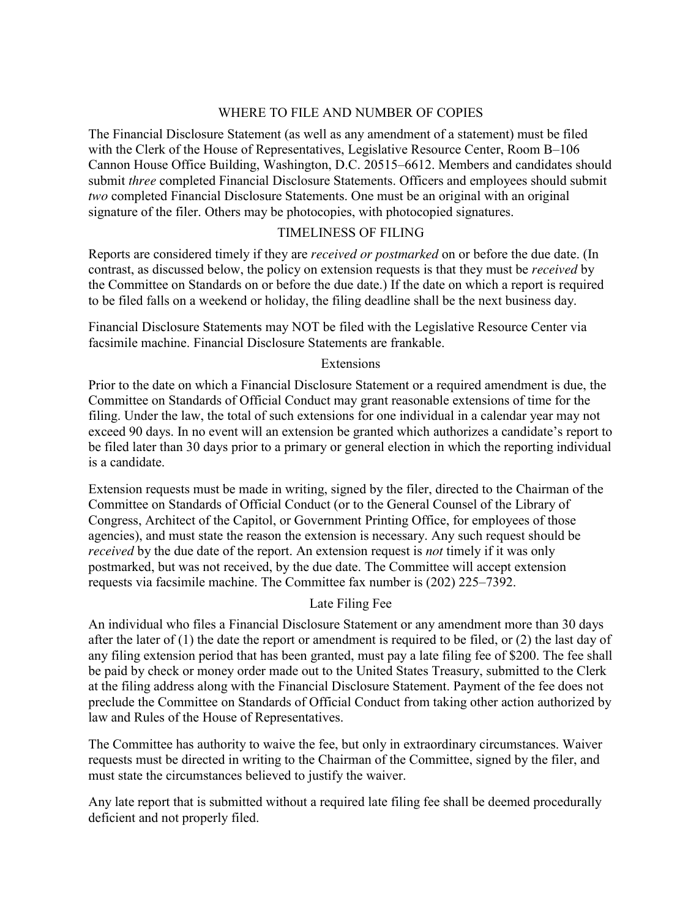# WHERE TO FILE AND NUMBER OF COPIES

The Financial Disclosure Statement (as well as any amendment of a statement) must be filed with the Clerk of the House of Representatives, Legislative Resource Center, Room B–106 Cannon House Office Building, Washington, D.C. 20515–6612. Members and candidates should submit *three* completed Financial Disclosure Statements. Officers and employees should submit *two* completed Financial Disclosure Statements. One must be an original with an original signature of the filer. Others may be photocopies, with photocopied signatures.

# TIMELINESS OF FILING

Reports are considered timely if they are *received or postmarked* on or before the due date. (In contrast, as discussed below, the policy on extension requests is that they must be *received* by the Committee on Standards on or before the due date.) If the date on which a report is required to be filed falls on a weekend or holiday, the filing deadline shall be the next business day.

Financial Disclosure Statements may NOT be filed with the Legislative Resource Center via facsimile machine. Financial Disclosure Statements are frankable.

## Extensions

Prior to the date on which a Financial Disclosure Statement or a required amendment is due, the Committee on Standards of Official Conduct may grant reasonable extensions of time for the filing. Under the law, the total of such extensions for one individual in a calendar year may not exceed 90 days. In no event will an extension be granted which authorizes a candidate's report to be filed later than 30 days prior to a primary or general election in which the reporting individual is a candidate.

Extension requests must be made in writing, signed by the filer, directed to the Chairman of the Committee on Standards of Official Conduct (or to the General Counsel of the Library of Congress, Architect of the Capitol, or Government Printing Office, for employees of those agencies), and must state the reason the extension is necessary. Any such request should be *received* by the due date of the report. An extension request is *not* timely if it was only postmarked, but was not received, by the due date. The Committee will accept extension requests via facsimile machine. The Committee fax number is (202) 225–7392.

# Late Filing Fee

An individual who files a Financial Disclosure Statement or any amendment more than 30 days after the later of (1) the date the report or amendment is required to be filed, or (2) the last day of any filing extension period that has been granted, must pay a late filing fee of \$200. The fee shall be paid by check or money order made out to the United States Treasury, submitted to the Clerk at the filing address along with the Financial Disclosure Statement. Payment of the fee does not preclude the Committee on Standards of Official Conduct from taking other action authorized by law and Rules of the House of Representatives.

The Committee has authority to waive the fee, but only in extraordinary circumstances. Waiver requests must be directed in writing to the Chairman of the Committee, signed by the filer, and must state the circumstances believed to justify the waiver.

Any late report that is submitted without a required late filing fee shall be deemed procedurally deficient and not properly filed.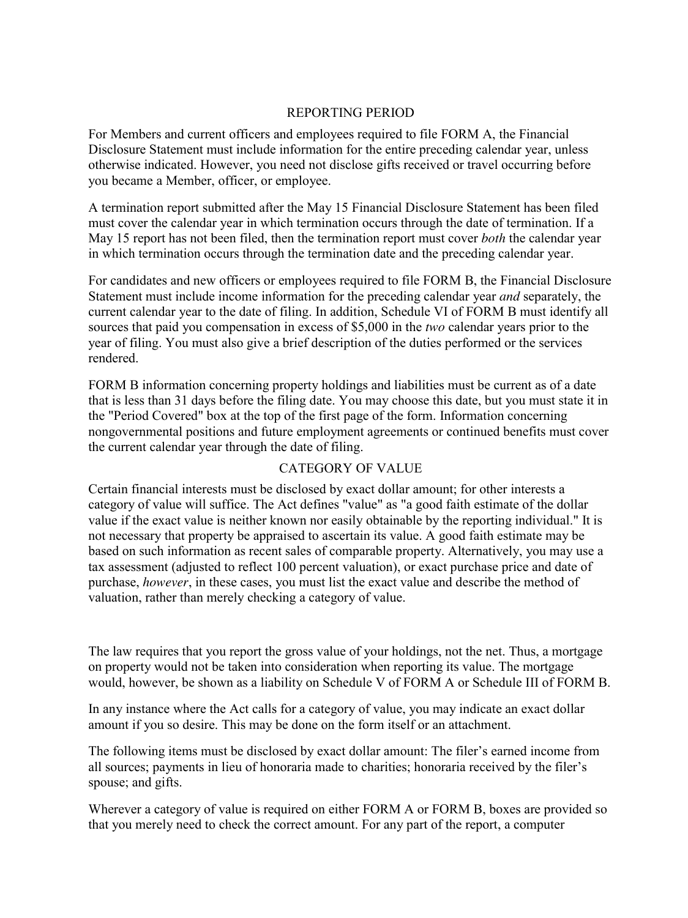# REPORTING PERIOD

For Members and current officers and employees required to file FORM A, the Financial Disclosure Statement must include information for the entire preceding calendar year, unless otherwise indicated. However, you need not disclose gifts received or travel occurring before you became a Member, officer, or employee.

A termination report submitted after the May 15 Financial Disclosure Statement has been filed must cover the calendar year in which termination occurs through the date of termination. If a May 15 report has not been filed, then the termination report must cover *both* the calendar year in which termination occurs through the termination date and the preceding calendar year.

For candidates and new officers or employees required to file FORM B, the Financial Disclosure Statement must include income information for the preceding calendar year *and* separately, the current calendar year to the date of filing. In addition, Schedule VI of FORM B must identify all sources that paid you compensation in excess of \$5,000 in the *two* calendar years prior to the year of filing. You must also give a brief description of the duties performed or the services rendered.

FORM B information concerning property holdings and liabilities must be current as of a date that is less than 31 days before the filing date. You may choose this date, but you must state it in the "Period Covered" box at the top of the first page of the form. Information concerning nongovernmental positions and future employment agreements or continued benefits must cover the current calendar year through the date of filing.

# CATEGORY OF VALUE

Certain financial interests must be disclosed by exact dollar amount; for other interests a category of value will suffice. The Act defines "value" as "a good faith estimate of the dollar value if the exact value is neither known nor easily obtainable by the reporting individual." It is not necessary that property be appraised to ascertain its value. A good faith estimate may be based on such information as recent sales of comparable property. Alternatively, you may use a tax assessment (adjusted to reflect 100 percent valuation), or exact purchase price and date of purchase, *however*, in these cases, you must list the exact value and describe the method of valuation, rather than merely checking a category of value.

The law requires that you report the gross value of your holdings, not the net. Thus, a mortgage on property would not be taken into consideration when reporting its value. The mortgage would, however, be shown as a liability on Schedule V of FORM A or Schedule III of FORM B.

In any instance where the Act calls for a category of value, you may indicate an exact dollar amount if you so desire. This may be done on the form itself or an attachment.

The following items must be disclosed by exact dollar amount: The filer's earned income from all sources; payments in lieu of honoraria made to charities; honoraria received by the filer's spouse; and gifts.

Wherever a category of value is required on either FORM A or FORM B, boxes are provided so that you merely need to check the correct amount. For any part of the report, a computer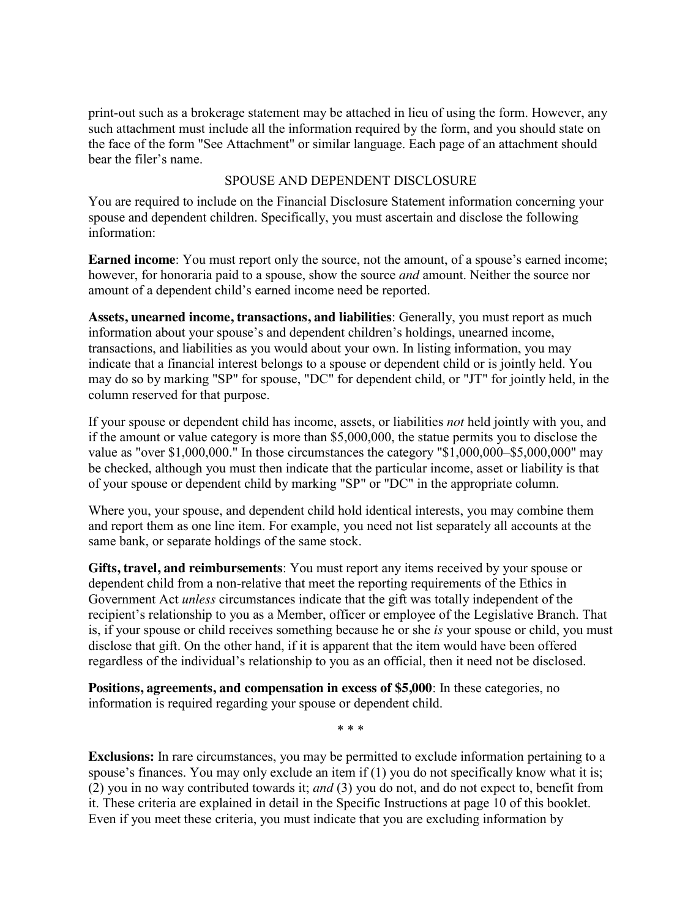print-out such as a brokerage statement may be attached in lieu of using the form. However, any such attachment must include all the information required by the form, and you should state on the face of the form "See Attachment" or similar language. Each page of an attachment should bear the filer's name.

## SPOUSE AND DEPENDENT DISCLOSURE

You are required to include on the Financial Disclosure Statement information concerning your spouse and dependent children. Specifically, you must ascertain and disclose the following information:

**Earned income**: You must report only the source, not the amount, of a spouse's earned income; however, for honoraria paid to a spouse, show the source *and* amount. Neither the source nor amount of a dependent child's earned income need be reported.

**Assets, unearned income, transactions, and liabilities**: Generally, you must report as much information about your spouse's and dependent children's holdings, unearned income, transactions, and liabilities as you would about your own. In listing information, you may indicate that a financial interest belongs to a spouse or dependent child or is jointly held. You may do so by marking "SP" for spouse, "DC" for dependent child, or "JT" for jointly held, in the column reserved for that purpose.

If your spouse or dependent child has income, assets, or liabilities *not* held jointly with you, and if the amount or value category is more than \$5,000,000, the statue permits you to disclose the value as "over \$1,000,000." In those circumstances the category "\$1,000,000–\$5,000,000" may be checked, although you must then indicate that the particular income, asset or liability is that of your spouse or dependent child by marking "SP" or "DC" in the appropriate column.

Where you, your spouse, and dependent child hold identical interests, you may combine them and report them as one line item. For example, you need not list separately all accounts at the same bank, or separate holdings of the same stock.

**Gifts, travel, and reimbursements**: You must report any items received by your spouse or dependent child from a non-relative that meet the reporting requirements of the Ethics in Government Act *unless* circumstances indicate that the gift was totally independent of the recipient's relationship to you as a Member, officer or employee of the Legislative Branch. That is, if your spouse or child receives something because he or she *is* your spouse or child, you must disclose that gift. On the other hand, if it is apparent that the item would have been offered regardless of the individual's relationship to you as an official, then it need not be disclosed.

**Positions, agreements, and compensation in excess of \$5,000**: In these categories, no information is required regarding your spouse or dependent child.

\* \* \*

**Exclusions:** In rare circumstances, you may be permitted to exclude information pertaining to a spouse's finances. You may only exclude an item if (1) you do not specifically know what it is; (2) you in no way contributed towards it; *and* (3) you do not, and do not expect to, benefit from it. These criteria are explained in detail in the Specific Instructions at page 10 of this booklet. Even if you meet these criteria, you must indicate that you are excluding information by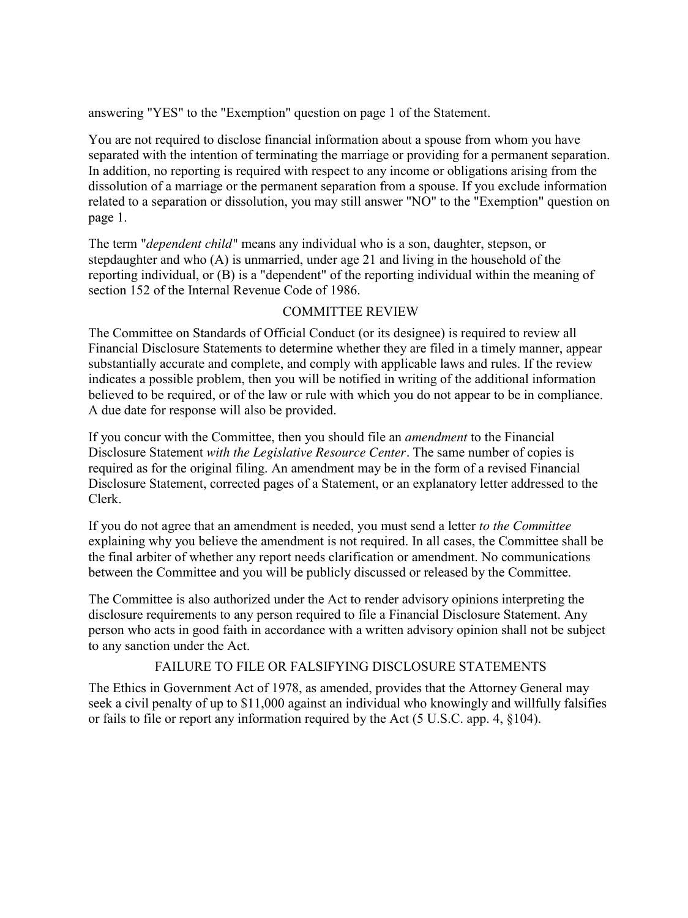answering "YES" to the "Exemption" question on page 1 of the Statement.

You are not required to disclose financial information about a spouse from whom you have separated with the intention of terminating the marriage or providing for a permanent separation. In addition, no reporting is required with respect to any income or obligations arising from the dissolution of a marriage or the permanent separation from a spouse. If you exclude information related to a separation or dissolution, you may still answer "NO" to the "Exemption" question on page 1.

The term "*dependent child"* means any individual who is a son, daughter, stepson, or stepdaughter and who (A) is unmarried, under age 21 and living in the household of the reporting individual, or (B) is a "dependent" of the reporting individual within the meaning of section 152 of the Internal Revenue Code of 1986.

# COMMITTEE REVIEW

The Committee on Standards of Official Conduct (or its designee) is required to review all Financial Disclosure Statements to determine whether they are filed in a timely manner, appear substantially accurate and complete, and comply with applicable laws and rules. If the review indicates a possible problem, then you will be notified in writing of the additional information believed to be required, or of the law or rule with which you do not appear to be in compliance. A due date for response will also be provided.

If you concur with the Committee, then you should file an *amendment* to the Financial Disclosure Statement *with the Legislative Resource Center.* The same number of copies is required as for the original filing. An amendment may be in the form of a revised Financial Disclosure Statement, corrected pages of a Statement, or an explanatory letter addressed to the Clerk.

If you do not agree that an amendment is needed, you must send a letter *to the Committee*  explaining why you believe the amendment is not required. In all cases, the Committee shall be the final arbiter of whether any report needs clarification or amendment. No communications between the Committee and you will be publicly discussed or released by the Committee.

The Committee is also authorized under the Act to render advisory opinions interpreting the disclosure requirements to any person required to file a Financial Disclosure Statement. Any person who acts in good faith in accordance with a written advisory opinion shall not be subject to any sanction under the Act.

# FAILURE TO FILE OR FALSIFYING DISCLOSURE STATEMENTS

The Ethics in Government Act of 1978, as amended, provides that the Attorney General may seek a civil penalty of up to \$11,000 against an individual who knowingly and willfully falsifies or fails to file or report any information required by the Act (5 U.S.C. app. 4, §104).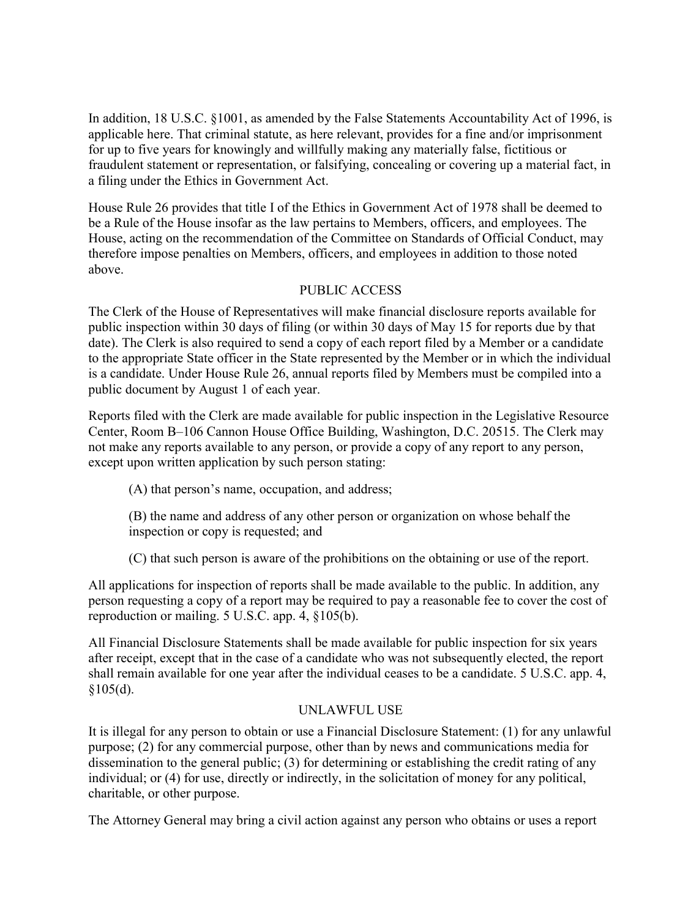In addition, 18 U.S.C. §1001, as amended by the False Statements Accountability Act of 1996, is applicable here. That criminal statute, as here relevant, provides for a fine and/or imprisonment for up to five years for knowingly and willfully making any materially false, fictitious or fraudulent statement or representation, or falsifying, concealing or covering up a material fact, in a filing under the Ethics in Government Act.

House Rule 26 provides that title I of the Ethics in Government Act of 1978 shall be deemed to be a Rule of the House insofar as the law pertains to Members, officers, and employees. The House, acting on the recommendation of the Committee on Standards of Official Conduct, may therefore impose penalties on Members, officers, and employees in addition to those noted above.

# PUBLIC ACCESS

The Clerk of the House of Representatives will make financial disclosure reports available for public inspection within 30 days of filing (or within 30 days of May 15 for reports due by that date). The Clerk is also required to send a copy of each report filed by a Member or a candidate to the appropriate State officer in the State represented by the Member or in which the individual is a candidate. Under House Rule 26, annual reports filed by Members must be compiled into a public document by August 1 of each year.

Reports filed with the Clerk are made available for public inspection in the Legislative Resource Center, Room B–106 Cannon House Office Building, Washington, D.C. 20515. The Clerk may not make any reports available to any person, or provide a copy of any report to any person, except upon written application by such person stating:

(A) that person's name, occupation, and address;

(B) the name and address of any other person or organization on whose behalf the inspection or copy is requested; and

(C) that such person is aware of the prohibitions on the obtaining or use of the report.

All applications for inspection of reports shall be made available to the public. In addition, any person requesting a copy of a report may be required to pay a reasonable fee to cover the cost of reproduction or mailing. 5 U.S.C. app. 4, §105(b).

All Financial Disclosure Statements shall be made available for public inspection for six years after receipt, except that in the case of a candidate who was not subsequently elected, the report shall remain available for one year after the individual ceases to be a candidate. 5 U.S.C. app. 4,  $§105(d)$ .

# UNLAWFUL USE

It is illegal for any person to obtain or use a Financial Disclosure Statement: (1) for any unlawful purpose; (2) for any commercial purpose, other than by news and communications media for dissemination to the general public; (3) for determining or establishing the credit rating of any individual; or (4) for use, directly or indirectly, in the solicitation of money for any political, charitable, or other purpose.

The Attorney General may bring a civil action against any person who obtains or uses a report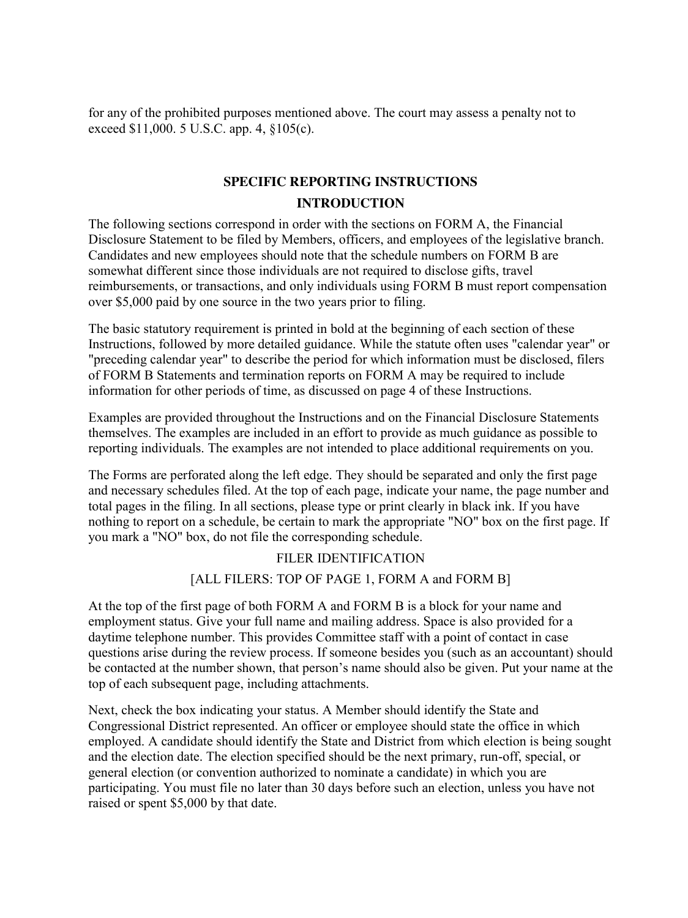for any of the prohibited purposes mentioned above. The court may assess a penalty not to exceed \$11,000. 5 U.S.C. app. 4, §105(c).

# **SPECIFIC REPORTING INSTRUCTIONS INTRODUCTION**

The following sections correspond in order with the sections on FORM A, the Financial Disclosure Statement to be filed by Members, officers, and employees of the legislative branch. Candidates and new employees should note that the schedule numbers on FORM B are somewhat different since those individuals are not required to disclose gifts, travel reimbursements, or transactions, and only individuals using FORM B must report compensation over \$5,000 paid by one source in the two years prior to filing.

The basic statutory requirement is printed in bold at the beginning of each section of these Instructions, followed by more detailed guidance. While the statute often uses "calendar year" or "preceding calendar year" to describe the period for which information must be disclosed, filers of FORM B Statements and termination reports on FORM A may be required to include information for other periods of time, as discussed on page 4 of these Instructions.

Examples are provided throughout the Instructions and on the Financial Disclosure Statements themselves. The examples are included in an effort to provide as much guidance as possible to reporting individuals. The examples are not intended to place additional requirements on you.

The Forms are perforated along the left edge. They should be separated and only the first page and necessary schedules filed. At the top of each page, indicate your name, the page number and total pages in the filing. In all sections, please type or print clearly in black ink. If you have nothing to report on a schedule, be certain to mark the appropriate "NO" box on the first page. If you mark a "NO" box, do not file the corresponding schedule.

> FILER IDENTIFICATION [ALL FILERS: TOP OF PAGE 1, FORM A and FORM B]

At the top of the first page of both FORM A and FORM B is a block for your name and employment status. Give your full name and mailing address. Space is also provided for a daytime telephone number. This provides Committee staff with a point of contact in case questions arise during the review process. If someone besides you (such as an accountant) should be contacted at the number shown, that person's name should also be given. Put your name at the top of each subsequent page, including attachments.

Next, check the box indicating your status. A Member should identify the State and Congressional District represented. An officer or employee should state the office in which employed. A candidate should identify the State and District from which election is being sought and the election date. The election specified should be the next primary, run-off, special, or general election (or convention authorized to nominate a candidate) in which you are participating. You must file no later than 30 days before such an election, unless you have not raised or spent \$5,000 by that date.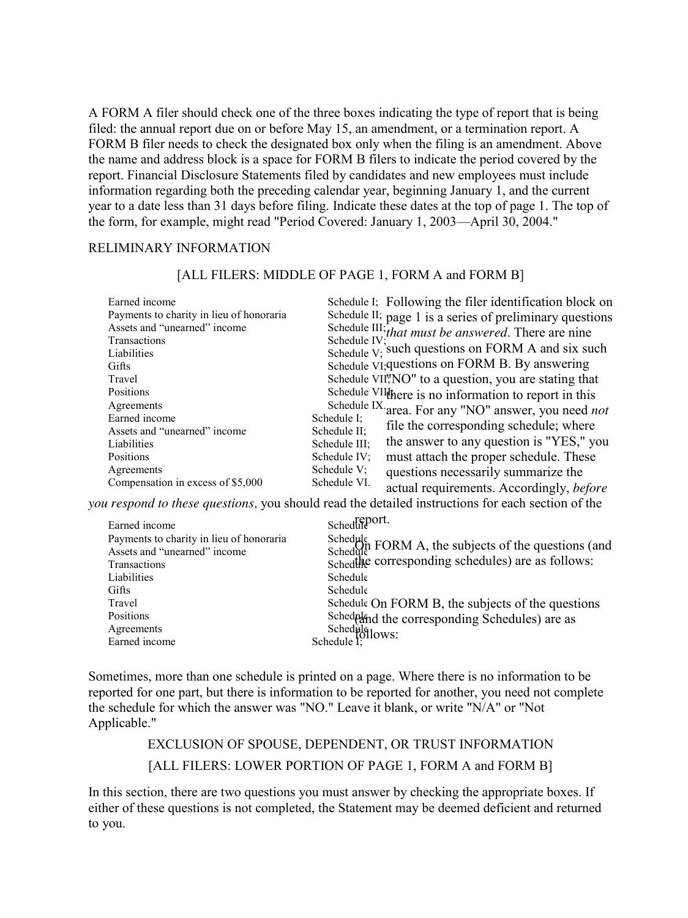A FORM A filer should check one of the three boxes indicating the type of report that is being filed: the annual report due on or before May 15, an amendment, or a termination report. A FORM B filer needs to check the designated box only when the filing is an amendment. Above the name and address block is a space for FORM B filers to indicate the period covered by the report. Financial Disclosure Statements filed by candidates and new employees must include information regarding both the preceding calendar year, beginning January 1, and the current year to a date less than 31 days before filing. Indicate these dates at the top of page 1. The top of the form, for example, might read "Period Covered: January 1, 2003—April 30, 2004."

#### RELIMINARY INFORMATION

#### [ALL FILERS: MIDDLE OF PAGE 1, FORM A and FORM B]

*you respond to these questions,* you should read the detailed instructions for each section of the

| Earned income<br>Payments to charity in lieu of honoraria<br>Assets and "unearned" income | Schedule<br>Schedule<br>Teport.<br>Schedule FORM A, the subjects of the questions (and schedule |
|-------------------------------------------------------------------------------------------|-------------------------------------------------------------------------------------------------|
| Transactions                                                                              | Schedule corresponding schedules) are as follows:                                               |
| Liabilities                                                                               | Schedule                                                                                        |
| <b>Gifts</b>                                                                              | Schedule                                                                                        |
| Travel                                                                                    | Schedule On FORM B, the subjects of the questions                                               |
| Positions                                                                                 | Schedplind the corresponding Schedules) are as                                                  |
| Agreements                                                                                | Schedule 1;<br>Schedule 1;                                                                      |
| Earned income                                                                             |                                                                                                 |
|                                                                                           |                                                                                                 |

Sometimes, more than one schedule is printed on a page. Where there is no information to be reported for one part, but there is information to be reported for another, you need not complete the scheulation in the state of an the was "No." Leave it blank, or write "N/A" or "Not Applicable." Liabilities (Schedule III; Positions, more than one schedule is prigredule by p

# EXCLUSION OF SPOUSE, DEPENDENT, OR TRUST INFORMATION [ALL FILERS: LOWER PORTION OF PAGE 1, FORM A and FORM B]

In this section, there are two questions you must answer by checking the appropriate boxes. If either of these questions is not completed, the Statement may be deemed deficient and returned to you.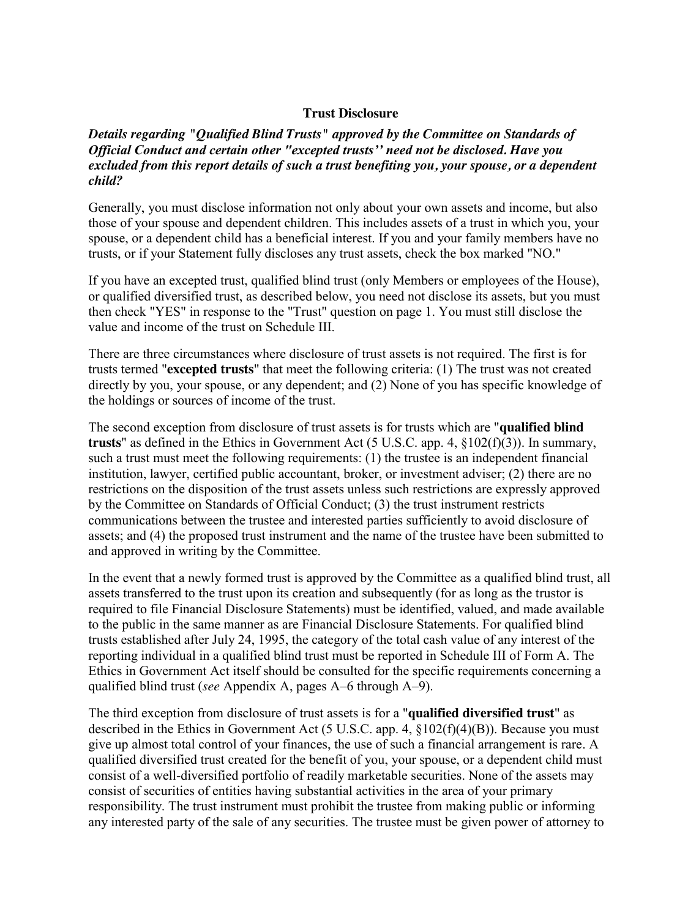#### **Trust Disclosure**

*Details regarding "Qualified Blind Trusts" approved by the Committee on Standards of Official Conduct and certain other "excepted trusts'' need not be disclosed. Have you excluded from this report details of such a trust benefiting you, your spouse, or a dependent child?* 

Generally, you must disclose information not only about your own assets and income, but also those of your spouse and dependent children. This includes assets of a trust in which you, your spouse, or a dependent child has a beneficial interest. If you and your family members have no trusts, or if your Statement fully discloses any trust assets, check the box marked "NO."

If you have an excepted trust, qualified blind trust (only Members or employees of the House), or qualified diversified trust, as described below, you need not disclose its assets, but you must then check "YES" in response to the "Trust" question on page 1. You must still disclose the value and income of the trust on Schedule III.

There are three circumstances where disclosure of trust assets is not required. The first is for trusts termed "**excepted trusts**" that meet the following criteria: (1) The trust was not created directly by you, your spouse, or any dependent; and (2) None of you has specific knowledge of the holdings or sources of income of the trust.

The second exception from disclosure of trust assets is for trusts which are "**qualified blind trusts**" as defined in the Ethics in Government Act (5 U.S.C. app. 4, §102(f)(3)). In summary, such a trust must meet the following requirements: (1) the trustee is an independent financial institution, lawyer, certified public accountant, broker, or investment adviser; (2) there are no restrictions on the disposition of the trust assets unless such restrictions are expressly approved by the Committee on Standards of Official Conduct; (3) the trust instrument restricts communications between the trustee and interested parties sufficiently to avoid disclosure of assets; and (4) the proposed trust instrument and the name of the trustee have been submitted to and approved in writing by the Committee.

In the event that a newly formed trust is approved by the Committee as a qualified blind trust, all assets transferred to the trust upon its creation and subsequently (for as long as the trustor is required to file Financial Disclosure Statements) must be identified, valued, and made available to the public in the same manner as are Financial Disclosure Statements. For qualified blind trusts established after July 24, 1995, the category of the total cash value of any interest of the reporting individual in a qualified blind trust must be reported in Schedule III of Form A. The Ethics in Government Act itself should be consulted for the specific requirements concerning a qualified blind trust (*see* Appendix A, pages A–6 through A–9).

The third exception from disclosure of trust assets is for a "**qualified diversified trust**" as described in the Ethics in Government Act (5 U.S.C. app. 4, §102(f)(4)(B)). Because you must give up almost total control of your finances, the use of such a financial arrangement is rare. A qualified diversified trust created for the benefit of you, your spouse, or a dependent child must consist of a well-diversified portfolio of readily marketable securities. None of the assets may consist of securities of entities having substantial activities in the area of your primary responsibility. The trust instrument must prohibit the trustee from making public or informing any interested party of the sale of any securities. The trustee must be given power of attorney to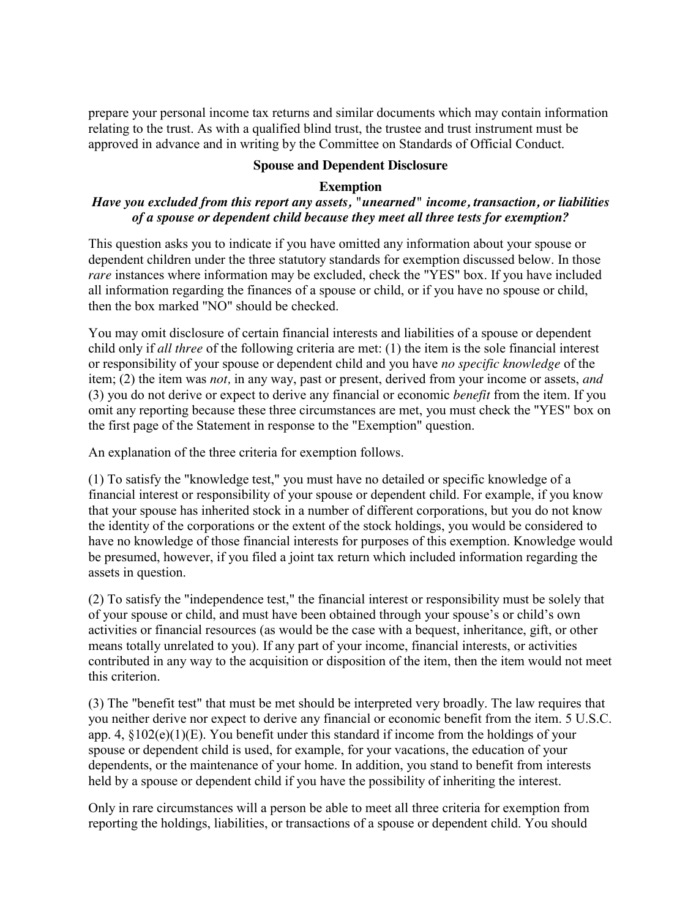prepare your personal income tax returns and similar documents which may contain information relating to the trust. As with a qualified blind trust, the trustee and trust instrument must be approved in advance and in writing by the Committee on Standards of Official Conduct.

#### **Spouse and Dependent Disclosure**

#### **Exemption**

# *Have you excluded from this report any assets, "unearned" income, transaction, or liabilities of a spouse or dependent child because they meet all three tests for exemption?*

This question asks you to indicate if you have omitted any information about your spouse or dependent children under the three statutory standards for exemption discussed below. In those *rare* instances where information may be excluded, check the "YES" box. If you have included all information regarding the finances of a spouse or child, or if you have no spouse or child, then the box marked "NO" should be checked.

You may omit disclosure of certain financial interests and liabilities of a spouse or dependent child only if *all three* of the following criteria are met: (1) the item is the sole financial interest or responsibility of your spouse or dependent child and you have *no specific knowledge* of the item; (2) the item was *not,* in any way, past or present, derived from your income or assets, *and* (3) you do not derive or expect to derive any financial or economic *benefit* from the item. If you omit any reporting because these three circumstances are met, you must check the "YES" box on the first page of the Statement in response to the "Exemption" question.

An explanation of the three criteria for exemption follows.

(1) To satisfy the "knowledge test," you must have no detailed or specific knowledge of a financial interest or responsibility of your spouse or dependent child. For example, if you know that your spouse has inherited stock in a number of different corporations, but you do not know the identity of the corporations or the extent of the stock holdings, you would be considered to have no knowledge of those financial interests for purposes of this exemption. Knowledge would be presumed, however, if you filed a joint tax return which included information regarding the assets in question.

(2) To satisfy the "independence test," the financial interest or responsibility must be solely that of your spouse or child, and must have been obtained through your spouse's or child's own activities or financial resources (as would be the case with a bequest, inheritance, gift, or other means totally unrelated to you). If any part of your income, financial interests, or activities contributed in any way to the acquisition or disposition of the item, then the item would not meet this criterion.

(3) The "benefit test" that must be met should be interpreted very broadly. The law requires that you neither derive nor expect to derive any financial or economic benefit from the item. 5 U.S.C. app. 4,  $\S 102(e)(1)(E)$ . You benefit under this standard if income from the holdings of your spouse or dependent child is used, for example, for your vacations, the education of your dependents, or the maintenance of your home. In addition, you stand to benefit from interests held by a spouse or dependent child if you have the possibility of inheriting the interest.

Only in rare circumstances will a person be able to meet all three criteria for exemption from reporting the holdings, liabilities, or transactions of a spouse or dependent child. You should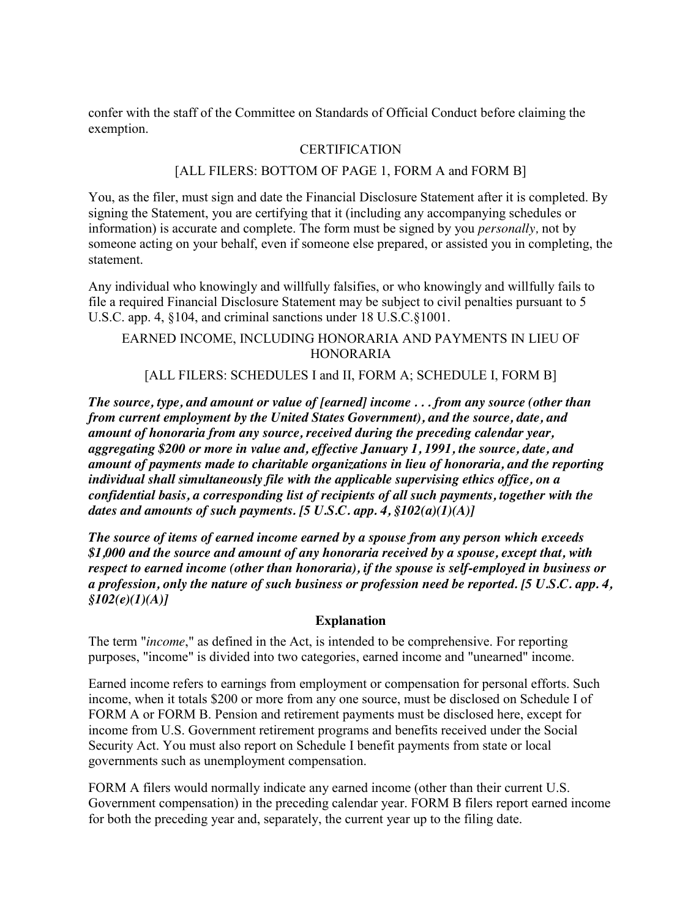confer with the staff of the Committee on Standards of Official Conduct before claiming the exemption.

## **CERTIFICATION**

## [ALL FILERS: BOTTOM OF PAGE 1, FORM A and FORM B]

You, as the filer, must sign and date the Financial Disclosure Statement after it is completed. By signing the Statement, you are certifying that it (including any accompanying schedules or information) is accurate and complete. The form must be signed by you *personally,* not by someone acting on your behalf, even if someone else prepared, or assisted you in completing, the statement.

Any individual who knowingly and willfully falsifies, or who knowingly and willfully fails to file a required Financial Disclosure Statement may be subject to civil penalties pursuant to 5 U.S.C. app. 4, §104, and criminal sanctions under 18 U.S.C.§1001.

## EARNED INCOME, INCLUDING HONORARIA AND PAYMENTS IN LIEU OF HONORARIA

## [ALL FILERS: SCHEDULES I and II, FORM A; SCHEDULE I, FORM B]

*The source, type, and amount or value of [earned] income . . . from any source (other than from current employment by the United States Government), and the source, date, and amount of honoraria from any source, received during the preceding calendar year, aggregating \$200 or more in value and, effective January 1, 1991, the source, date, and amount of payments made to charitable organizations in lieu of honoraria, and the reporting individual shall simultaneously file with the applicable supervising ethics office, on a confidential basis, a corresponding list of recipients of all such payments, together with the dates and amounts of such payments. [5 U.S.C. app. 4, §102(a)(1)(A)]* 

*The source of items of earned income earned by a spouse from any person which exceeds \$1,000 and the source and amount of any honoraria received by a spouse, except that, with respect to earned income (other than honoraria), if the spouse is self-employed in business or a profession, only the nature of such business or profession need be reported. [5 U.S.C. app. 4, §102(e)(1)(A)]* 

#### **Explanation**

The term "*income*," as defined in the Act, is intended to be comprehensive. For reporting purposes, "income" is divided into two categories, earned income and "unearned" income.

Earned income refers to earnings from employment or compensation for personal efforts. Such income, when it totals \$200 or more from any one source, must be disclosed on Schedule I of FORM A or FORM B. Pension and retirement payments must be disclosed here, except for income from U.S. Government retirement programs and benefits received under the Social Security Act. You must also report on Schedule I benefit payments from state or local governments such as unemployment compensation.

FORM A filers would normally indicate any earned income (other than their current U.S. Government compensation) in the preceding calendar year. FORM B filers report earned income for both the preceding year and, separately, the current year up to the filing date.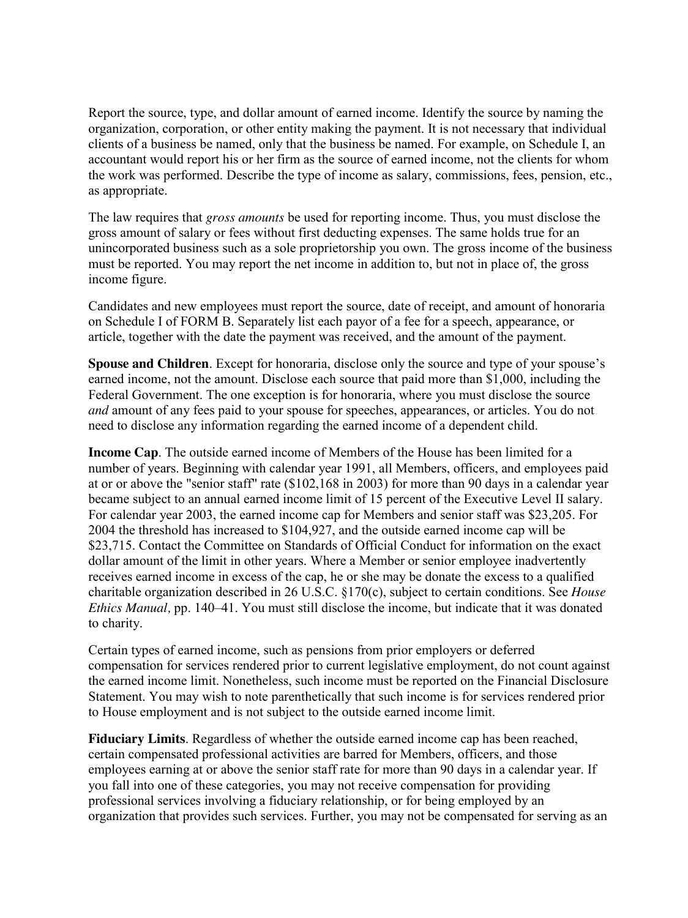Report the source, type, and dollar amount of earned income. Identify the source by naming the organization, corporation, or other entity making the payment. It is not necessary that individual clients of a business be named, only that the business be named. For example, on Schedule I, an accountant would report his or her firm as the source of earned income, not the clients for whom the work was performed. Describe the type of income as salary, commissions, fees, pension, etc., as appropriate.

The law requires that *gross amounts* be used for reporting income. Thus, you must disclose the gross amount of salary or fees without first deducting expenses. The same holds true for an unincorporated business such as a sole proprietorship you own. The gross income of the business must be reported. You may report the net income in addition to, but not in place of, the gross income figure.

Candidates and new employees must report the source, date of receipt, and amount of honoraria on Schedule I of FORM B. Separately list each payor of a fee for a speech, appearance, or article, together with the date the payment was received, and the amount of the payment.

**Spouse and Children**. Except for honoraria, disclose only the source and type of your spouse's earned income, not the amount. Disclose each source that paid more than \$1,000, including the Federal Government. The one exception is for honoraria, where you must disclose the source *and* amount of any fees paid to your spouse for speeches, appearances, or articles. You do not need to disclose any information regarding the earned income of a dependent child.

**Income Cap**. The outside earned income of Members of the House has been limited for a number of years. Beginning with calendar year 1991, all Members, officers, and employees paid at or or above the "senior staff" rate (\$102,168 in 2003) for more than 90 days in a calendar year became subject to an annual earned income limit of 15 percent of the Executive Level II salary. For calendar year 2003, the earned income cap for Members and senior staff was \$23,205. For 2004 the threshold has increased to \$104,927, and the outside earned income cap will be \$23,715. Contact the Committee on Standards of Official Conduct for information on the exact dollar amount of the limit in other years. Where a Member or senior employee inadvertently receives earned income in excess of the cap, he or she may be donate the excess to a qualified charitable organization described in 26 U.S.C. §170(c), subject to certain conditions. See *House Ethics Manual,* pp. 140–41. You must still disclose the income, but indicate that it was donated to charity.

Certain types of earned income, such as pensions from prior employers or deferred compensation for services rendered prior to current legislative employment, do not count against the earned income limit. Nonetheless, such income must be reported on the Financial Disclosure Statement. You may wish to note parenthetically that such income is for services rendered prior to House employment and is not subject to the outside earned income limit.

**Fiduciary Limits**. Regardless of whether the outside earned income cap has been reached, certain compensated professional activities are barred for Members, officers, and those employees earning at or above the senior staff rate for more than 90 days in a calendar year. If you fall into one of these categories, you may not receive compensation for providing professional services involving a fiduciary relationship, or for being employed by an organization that provides such services. Further, you may not be compensated for serving as an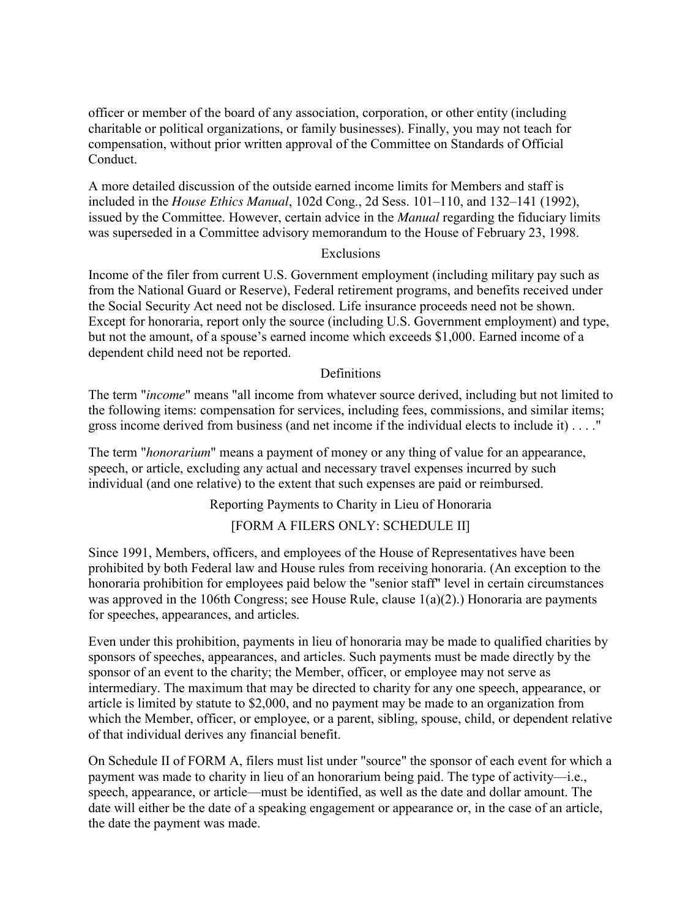officer or member of the board of any association, corporation, or other entity (including charitable or political organizations, or family businesses). Finally, you may not teach for compensation, without prior written approval of the Committee on Standards of Official Conduct.

A more detailed discussion of the outside earned income limits for Members and staff is included in the *House Ethics Manual*, 102d Cong., 2d Sess. 101–110, and 132–141 (1992), issued by the Committee. However, certain advice in the *Manual* regarding the fiduciary limits was superseded in a Committee advisory memorandum to the House of February 23, 1998.

## Exclusions

Income of the filer from current U.S. Government employment (including military pay such as from the National Guard or Reserve), Federal retirement programs, and benefits received under the Social Security Act need not be disclosed. Life insurance proceeds need not be shown. Except for honoraria, report only the source (including U.S. Government employment) and type, but not the amount, of a spouse's earned income which exceeds \$1,000. Earned income of a dependent child need not be reported.

## **Definitions**

The term "*income*" means "all income from whatever source derived, including but not limited to the following items: compensation for services, including fees, commissions, and similar items; gross income derived from business (and net income if the individual elects to include it) . . . ."

The term "*honorarium*" means a payment of money or any thing of value for an appearance, speech, or article, excluding any actual and necessary travel expenses incurred by such individual (and one relative) to the extent that such expenses are paid or reimbursed.

Reporting Payments to Charity in Lieu of Honoraria

# [FORM A FILERS ONLY: SCHEDULE II]

Since 1991, Members, officers, and employees of the House of Representatives have been prohibited by both Federal law and House rules from receiving honoraria. (An exception to the honoraria prohibition for employees paid below the "senior staff" level in certain circumstances was approved in the 106th Congress; see House Rule, clause 1(a)(2).) Honoraria are payments for speeches, appearances, and articles.

Even under this prohibition, payments in lieu of honoraria may be made to qualified charities by sponsors of speeches, appearances, and articles. Such payments must be made directly by the sponsor of an event to the charity; the Member, officer, or employee may not serve as intermediary. The maximum that may be directed to charity for any one speech, appearance, or article is limited by statute to \$2,000, and no payment may be made to an organization from which the Member, officer, or employee, or a parent, sibling, spouse, child, or dependent relative of that individual derives any financial benefit.

On Schedule II of FORM A, filers must list under "source" the sponsor of each event for which a payment was made to charity in lieu of an honorarium being paid. The type of activity—i.e., speech, appearance, or article—must be identified, as well as the date and dollar amount. The date will either be the date of a speaking engagement or appearance or, in the case of an article, the date the payment was made.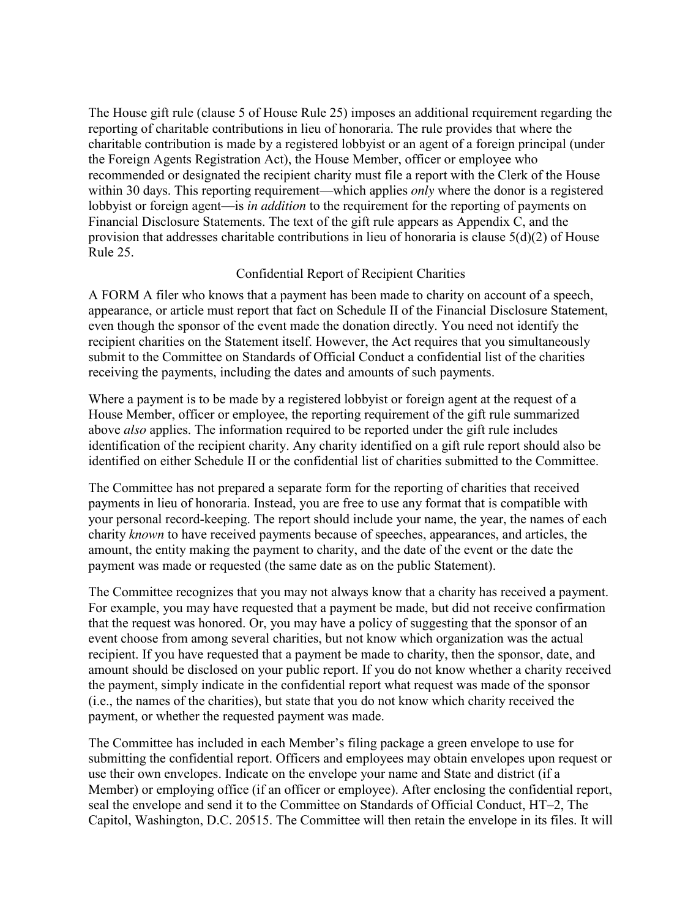The House gift rule (clause 5 of House Rule 25) imposes an additional requirement regarding the reporting of charitable contributions in lieu of honoraria. The rule provides that where the charitable contribution is made by a registered lobbyist or an agent of a foreign principal (under the Foreign Agents Registration Act), the House Member, officer or employee who recommended or designated the recipient charity must file a report with the Clerk of the House within 30 days. This reporting requirement—which applies *only* where the donor is a registered lobbyist or foreign agent—is *in addition* to the requirement for the reporting of payments on Financial Disclosure Statements. The text of the gift rule appears as Appendix C, and the provision that addresses charitable contributions in lieu of honoraria is clause 5(d)(2) of House Rule 25.

# Confidential Report of Recipient Charities

A FORM A filer who knows that a payment has been made to charity on account of a speech, appearance, or article must report that fact on Schedule II of the Financial Disclosure Statement, even though the sponsor of the event made the donation directly. You need not identify the recipient charities on the Statement itself. However, the Act requires that you simultaneously submit to the Committee on Standards of Official Conduct a confidential list of the charities receiving the payments, including the dates and amounts of such payments.

Where a payment is to be made by a registered lobbyist or foreign agent at the request of a House Member, officer or employee, the reporting requirement of the gift rule summarized above *also* applies. The information required to be reported under the gift rule includes identification of the recipient charity. Any charity identified on a gift rule report should also be identified on either Schedule II or the confidential list of charities submitted to the Committee.

The Committee has not prepared a separate form for the reporting of charities that received payments in lieu of honoraria. Instead, you are free to use any format that is compatible with your personal record-keeping. The report should include your name, the year, the names of each charity *known* to have received payments because of speeches, appearances, and articles, the amount, the entity making the payment to charity, and the date of the event or the date the payment was made or requested (the same date as on the public Statement).

The Committee recognizes that you may not always know that a charity has received a payment. For example, you may have requested that a payment be made, but did not receive confirmation that the request was honored. Or, you may have a policy of suggesting that the sponsor of an event choose from among several charities, but not know which organization was the actual recipient. If you have requested that a payment be made to charity, then the sponsor, date, and amount should be disclosed on your public report. If you do not know whether a charity received the payment, simply indicate in the confidential report what request was made of the sponsor (i.e., the names of the charities), but state that you do not know which charity received the payment, or whether the requested payment was made.

The Committee has included in each Member's filing package a green envelope to use for submitting the confidential report. Officers and employees may obtain envelopes upon request or use their own envelopes. Indicate on the envelope your name and State and district (if a Member) or employing office (if an officer or employee). After enclosing the confidential report, seal the envelope and send it to the Committee on Standards of Official Conduct, HT–2, The Capitol, Washington, D.C. 20515. The Committee will then retain the envelope in its files. It will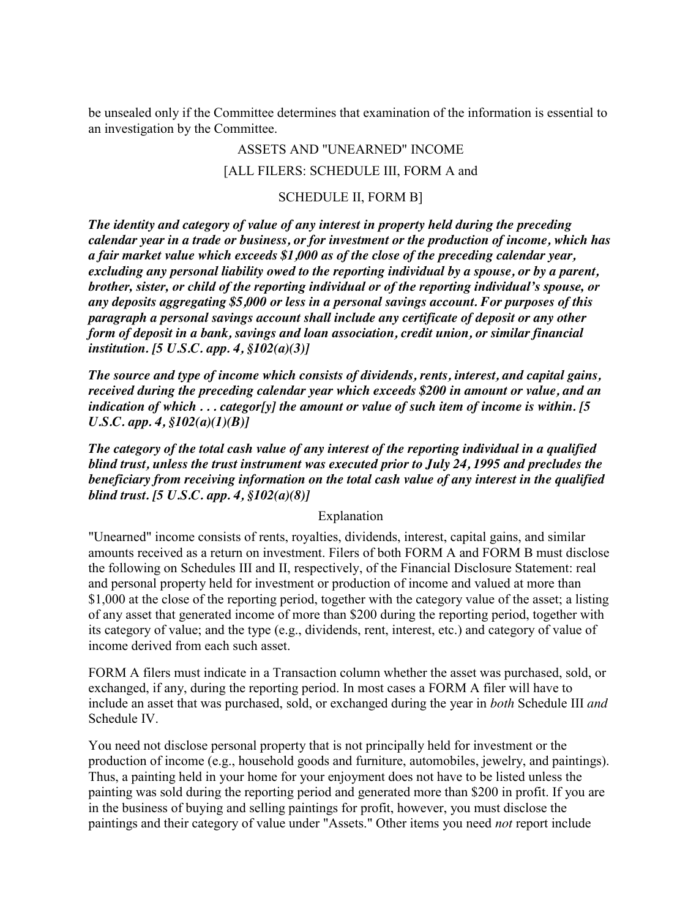be unsealed only if the Committee determines that examination of the information is essential to an investigation by the Committee.

# ASSETS AND "UNEARNED" INCOME [ALL FILERS: SCHEDULE III, FORM A and

# SCHEDULE II, FORM B]

*The identity and category of value of any interest in property held during the preceding calendar year in a trade or business, or for investment or the production of income, which has a fair market value which exceeds \$1,000 as of the close of the preceding calendar year, excluding any personal liability owed to the reporting individual by a spouse, or by a parent, brother, sister, or child of the reporting individual or of the reporting individual's spouse, or any deposits aggregating \$5,000 or less in a personal savings account. For purposes of this paragraph a personal savings account shall include any certificate of deposit or any other form of deposit in a bank, savings and loan association, credit union, or similar financial institution. [5 U.S.C. app. 4, §102(a)(3)]* 

*The source and type of income which consists of dividends, rents, interest, and capital gains, received during the preceding calendar year which exceeds \$200 in amount or value, and an indication of which . . . categor[y] the amount or value of such item of income is within. [5 U.S.C. app. 4, §102(a)(1)(B)]* 

*The category of the total cash value of any interest of the reporting individual in a qualified blind trust, unless the trust instrument was executed prior to July 24, 1995 and precludes the beneficiary from receiving information on the total cash value of any interest in the qualified blind trust. [5 U.S.C. app. 4, §102(a)(8)]* 

#### Explanation

"Unearned" income consists of rents, royalties, dividends, interest, capital gains, and similar amounts received as a return on investment. Filers of both FORM A and FORM B must disclose the following on Schedules III and II, respectively, of the Financial Disclosure Statement: real and personal property held for investment or production of income and valued at more than \$1,000 at the close of the reporting period, together with the category value of the asset; a listing of any asset that generated income of more than \$200 during the reporting period, together with its category of value; and the type (e.g., dividends, rent, interest, etc.) and category of value of income derived from each such asset.

FORM A filers must indicate in a Transaction column whether the asset was purchased, sold, or exchanged, if any, during the reporting period. In most cases a FORM A filer will have to include an asset that was purchased, sold, or exchanged during the year in *both* Schedule III *and* Schedule IV.

You need not disclose personal property that is not principally held for investment or the production of income (e.g., household goods and furniture, automobiles, jewelry, and paintings). Thus, a painting held in your home for your enjoyment does not have to be listed unless the painting was sold during the reporting period and generated more than \$200 in profit. If you are in the business of buying and selling paintings for profit, however, you must disclose the paintings and their category of value under "Assets." Other items you need *not* report include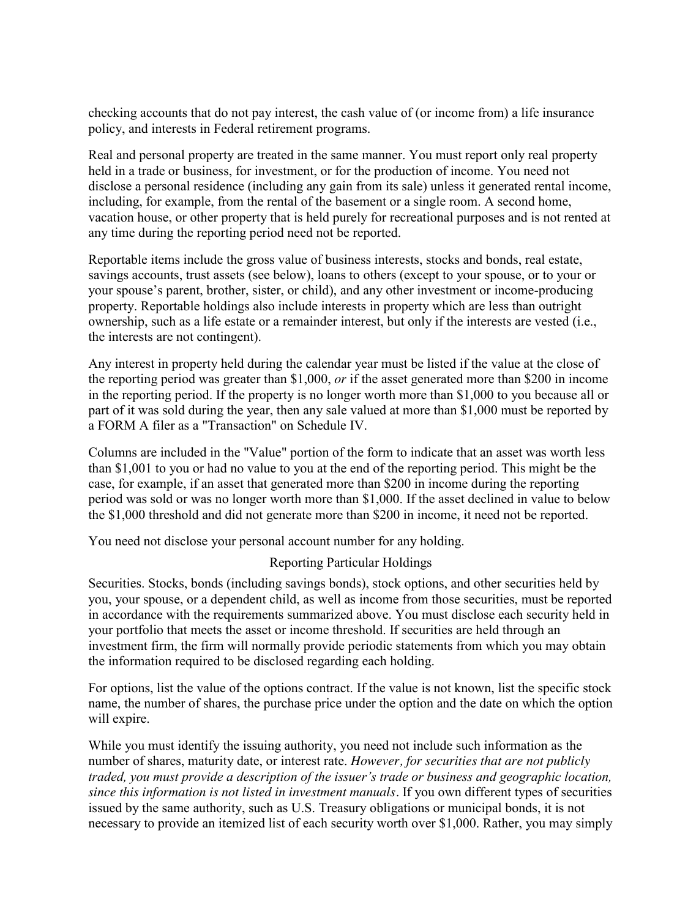checking accounts that do not pay interest, the cash value of (or income from) a life insurance policy, and interests in Federal retirement programs.

Real and personal property are treated in the same manner. You must report only real property held in a trade or business, for investment, or for the production of income. You need not disclose a personal residence (including any gain from its sale) unless it generated rental income, including, for example, from the rental of the basement or a single room. A second home, vacation house, or other property that is held purely for recreational purposes and is not rented at any time during the reporting period need not be reported.

Reportable items include the gross value of business interests, stocks and bonds, real estate, savings accounts, trust assets (see below), loans to others (except to your spouse, or to your or your spouse's parent, brother, sister, or child), and any other investment or income-producing property. Reportable holdings also include interests in property which are less than outright ownership, such as a life estate or a remainder interest, but only if the interests are vested (i.e., the interests are not contingent).

Any interest in property held during the calendar year must be listed if the value at the close of the reporting period was greater than \$1,000, *or* if the asset generated more than \$200 in income in the reporting period. If the property is no longer worth more than \$1,000 to you because all or part of it was sold during the year, then any sale valued at more than \$1,000 must be reported by a FORM A filer as a "Transaction" on Schedule IV.

Columns are included in the "Value" portion of the form to indicate that an asset was worth less than \$1,001 to you or had no value to you at the end of the reporting period. This might be the case, for example, if an asset that generated more than \$200 in income during the reporting period was sold or was no longer worth more than \$1,000. If the asset declined in value to below the \$1,000 threshold and did not generate more than \$200 in income, it need not be reported.

You need not disclose your personal account number for any holding.

# Reporting Particular Holdings

Securities. Stocks, bonds (including savings bonds), stock options, and other securities held by you, your spouse, or a dependent child, as well as income from those securities, must be reported in accordance with the requirements summarized above. You must disclose each security held in your portfolio that meets the asset or income threshold. If securities are held through an investment firm, the firm will normally provide periodic statements from which you may obtain the information required to be disclosed regarding each holding.

For options, list the value of the options contract. If the value is not known, list the specific stock name, the number of shares, the purchase price under the option and the date on which the option will expire.

While you must identify the issuing authority, you need not include such information as the number of shares, maturity date, or interest rate. *However, for securities that are not publicly traded, you must provide a description of the issuer's trade or business and geographic location, since this information is not listed in investment manuals.* If you own different types of securities issued by the same authority, such as U.S. Treasury obligations or municipal bonds, it is not necessary to provide an itemized list of each security worth over \$1,000. Rather, you may simply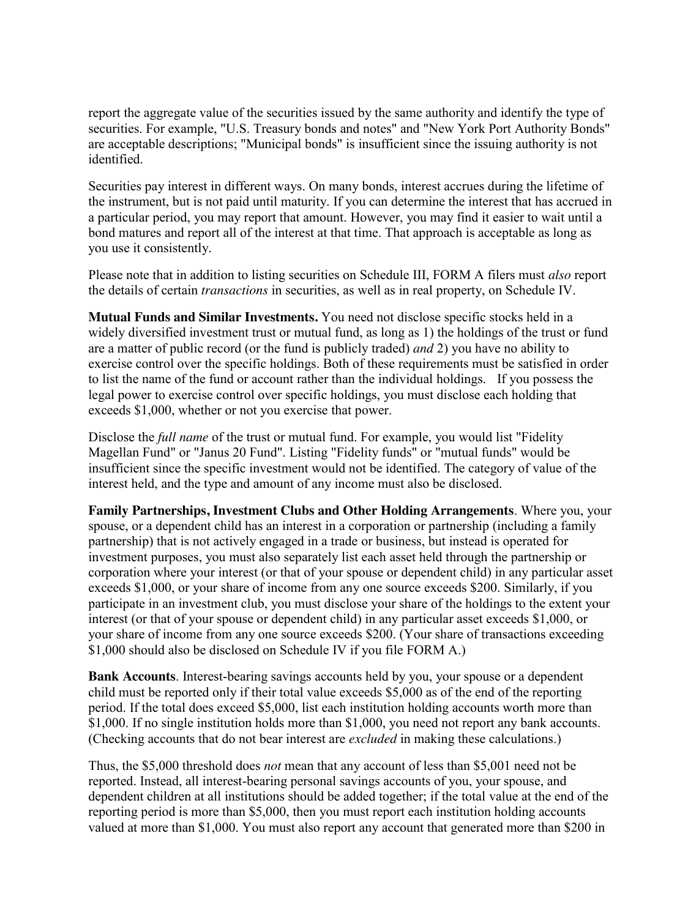report the aggregate value of the securities issued by the same authority and identify the type of securities. For example, "U.S. Treasury bonds and notes" and "New York Port Authority Bonds" are acceptable descriptions; "Municipal bonds" is insufficient since the issuing authority is not identified.

Securities pay interest in different ways. On many bonds, interest accrues during the lifetime of the instrument, but is not paid until maturity. If you can determine the interest that has accrued in a particular period, you may report that amount. However, you may find it easier to wait until a bond matures and report all of the interest at that time. That approach is acceptable as long as you use it consistently.

Please note that in addition to listing securities on Schedule III, FORM A filers must *also* report the details of certain *transactions* in securities, as well as in real property, on Schedule IV.

**Mutual Funds and Similar Investments.** You need not disclose specific stocks held in a widely diversified investment trust or mutual fund, as long as 1) the holdings of the trust or fund are a matter of public record (or the fund is publicly traded) *and* 2) you have no ability to exercise control over the specific holdings. Both of these requirements must be satisfied in order to list the name of the fund or account rather than the individual holdings. If you possess the legal power to exercise control over specific holdings, you must disclose each holding that exceeds \$1,000, whether or not you exercise that power.

Disclose the *full name* of the trust or mutual fund. For example, you would list "Fidelity Magellan Fund" or "Janus 20 Fund". Listing "Fidelity funds" or "mutual funds" would be insufficient since the specific investment would not be identified. The category of value of the interest held, and the type and amount of any income must also be disclosed.

**Family Partnerships, Investment Clubs and Other Holding Arrangements**. Where you, your spouse, or a dependent child has an interest in a corporation or partnership (including a family partnership) that is not actively engaged in a trade or business, but instead is operated for investment purposes, you must also separately list each asset held through the partnership or corporation where your interest (or that of your spouse or dependent child) in any particular asset exceeds \$1,000, or your share of income from any one source exceeds \$200. Similarly, if you participate in an investment club, you must disclose your share of the holdings to the extent your interest (or that of your spouse or dependent child) in any particular asset exceeds \$1,000, or your share of income from any one source exceeds \$200. (Your share of transactions exceeding \$1,000 should also be disclosed on Schedule IV if you file FORM A.)

**Bank Accounts**. Interest-bearing savings accounts held by you, your spouse or a dependent child must be reported only if their total value exceeds \$5,000 as of the end of the reporting period. If the total does exceed \$5,000, list each institution holding accounts worth more than \$1,000. If no single institution holds more than \$1,000, you need not report any bank accounts. (Checking accounts that do not bear interest are *excluded* in making these calculations.)

Thus, the \$5,000 threshold does *not* mean that any account of less than \$5,001 need not be reported. Instead, all interest-bearing personal savings accounts of you, your spouse, and dependent children at all institutions should be added together; if the total value at the end of the reporting period is more than \$5,000, then you must report each institution holding accounts valued at more than \$1,000. You must also report any account that generated more than \$200 in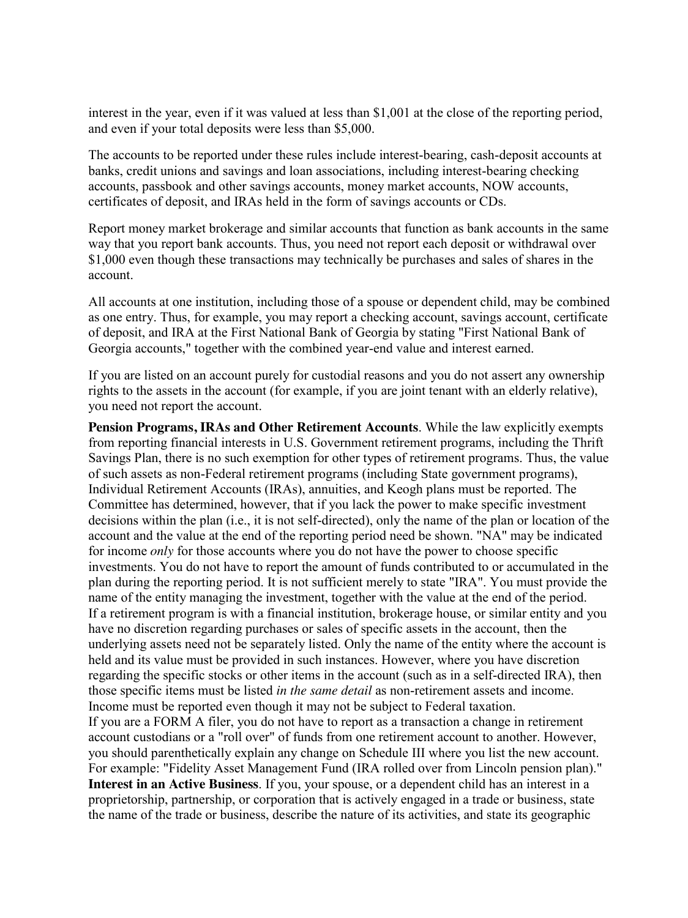interest in the year, even if it was valued at less than \$1,001 at the close of the reporting period, and even if your total deposits were less than \$5,000.

The accounts to be reported under these rules include interest-bearing, cash-deposit accounts at banks, credit unions and savings and loan associations, including interest-bearing checking accounts, passbook and other savings accounts, money market accounts, NOW accounts, certificates of deposit, and IRAs held in the form of savings accounts or CDs.

Report money market brokerage and similar accounts that function as bank accounts in the same way that you report bank accounts. Thus, you need not report each deposit or withdrawal over \$1,000 even though these transactions may technically be purchases and sales of shares in the account.

All accounts at one institution, including those of a spouse or dependent child, may be combined as one entry. Thus, for example, you may report a checking account, savings account, certificate of deposit, and IRA at the First National Bank of Georgia by stating "First National Bank of Georgia accounts," together with the combined year-end value and interest earned.

If you are listed on an account purely for custodial reasons and you do not assert any ownership rights to the assets in the account (for example, if you are joint tenant with an elderly relative), you need not report the account.

**Pension Programs, IRAs and Other Retirement Accounts**. While the law explicitly exempts from reporting financial interests in U.S. Government retirement programs, including the Thrift Savings Plan, there is no such exemption for other types of retirement programs. Thus, the value of such assets as non-Federal retirement programs (including State government programs), Individual Retirement Accounts (IRAs), annuities, and Keogh plans must be reported. The Committee has determined, however, that if you lack the power to make specific investment decisions within the plan (i.e., it is not self-directed), only the name of the plan or location of the account and the value at the end of the reporting period need be shown. "NA" may be indicated for income *only* for those accounts where you do not have the power to choose specific investments. You do not have to report the amount of funds contributed to or accumulated in the plan during the reporting period. It is not sufficient merely to state "IRA". You must provide the name of the entity managing the investment, together with the value at the end of the period. If a retirement program is with a financial institution, brokerage house, or similar entity and you have no discretion regarding purchases or sales of specific assets in the account, then the underlying assets need not be separately listed. Only the name of the entity where the account is held and its value must be provided in such instances. However, where you have discretion regarding the specific stocks or other items in the account (such as in a self-directed IRA), then those specific items must be listed *in the same detail* as non-retirement assets and income. Income must be reported even though it may not be subject to Federal taxation. If you are a FORM A filer, you do not have to report as a transaction a change in retirement account custodians or a "roll over" of funds from one retirement account to another. However, you should parenthetically explain any change on Schedule III where you list the new account. For example: "Fidelity Asset Management Fund (IRA rolled over from Lincoln pension plan)." **Interest in an Active Business**. If you, your spouse, or a dependent child has an interest in a proprietorship, partnership, or corporation that is actively engaged in a trade or business, state the name of the trade or business, describe the nature of its activities, and state its geographic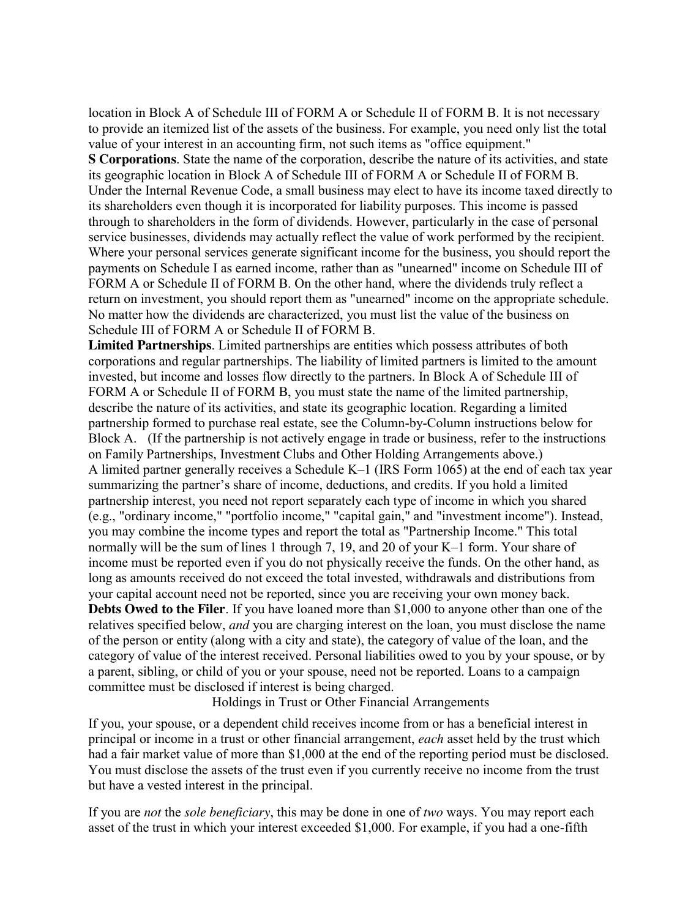location in Block A of Schedule III of FORM A or Schedule II of FORM B. It is not necessary to provide an itemized list of the assets of the business. For example, you need only list the total value of your interest in an accounting firm, not such items as "office equipment."

**S Corporations**. State the name of the corporation, describe the nature of its activities, and state its geographic location in Block A of Schedule III of FORM A or Schedule II of FORM B. Under the Internal Revenue Code, a small business may elect to have its income taxed directly to its shareholders even though it is incorporated for liability purposes. This income is passed through to shareholders in the form of dividends. However, particularly in the case of personal service businesses, dividends may actually reflect the value of work performed by the recipient. Where your personal services generate significant income for the business, you should report the payments on Schedule I as earned income, rather than as "unearned" income on Schedule III of FORM A or Schedule II of FORM B. On the other hand, where the dividends truly reflect a return on investment, you should report them as "unearned" income on the appropriate schedule. No matter how the dividends are characterized, you must list the value of the business on Schedule III of FORM A or Schedule II of FORM B.

**Limited Partnerships**. Limited partnerships are entities which possess attributes of both corporations and regular partnerships. The liability of limited partners is limited to the amount invested, but income and losses flow directly to the partners. In Block A of Schedule III of FORM A or Schedule II of FORM B, you must state the name of the limited partnership, describe the nature of its activities, and state its geographic location. Regarding a limited partnership formed to purchase real estate, see the Column-by-Column instructions below for Block A. (If the partnership is not actively engage in trade or business, refer to the instructions on Family Partnerships, Investment Clubs and Other Holding Arrangements above.) A limited partner generally receives a Schedule K–1 (IRS Form 1065) at the end of each tax year summarizing the partner's share of income, deductions, and credits. If you hold a limited partnership interest, you need not report separately each type of income in which you shared (e.g., "ordinary income," "portfolio income," "capital gain," and "investment income"). Instead, you may combine the income types and report the total as "Partnership Income." This total normally will be the sum of lines 1 through 7, 19, and 20 of your K–1 form. Your share of income must be reported even if you do not physically receive the funds. On the other hand, as long as amounts received do not exceed the total invested, withdrawals and distributions from your capital account need not be reported, since you are receiving your own money back. **Debts Owed to the Filer**. If you have loaned more than \$1,000 to anyone other than one of the relatives specified below, *and* you are charging interest on the loan, you must disclose the name of the person or entity (along with a city and state), the category of value of the loan, and the category of value of the interest received. Personal liabilities owed to you by your spouse, or by a parent, sibling, or child of you or your spouse, need not be reported. Loans to a campaign committee must be disclosed if interest is being charged.

Holdings in Trust or Other Financial Arrangements

If you, your spouse, or a dependent child receives income from or has a beneficial interest in principal or income in a trust or other financial arrangement, *each* asset held by the trust which had a fair market value of more than \$1,000 at the end of the reporting period must be disclosed. You must disclose the assets of the trust even if you currently receive no income from the trust but have a vested interest in the principal.

If you are *not* the *sole beneficiary*, this may be done in one of *two* ways. You may report each asset of the trust in which your interest exceeded \$1,000. For example, if you had a one-fifth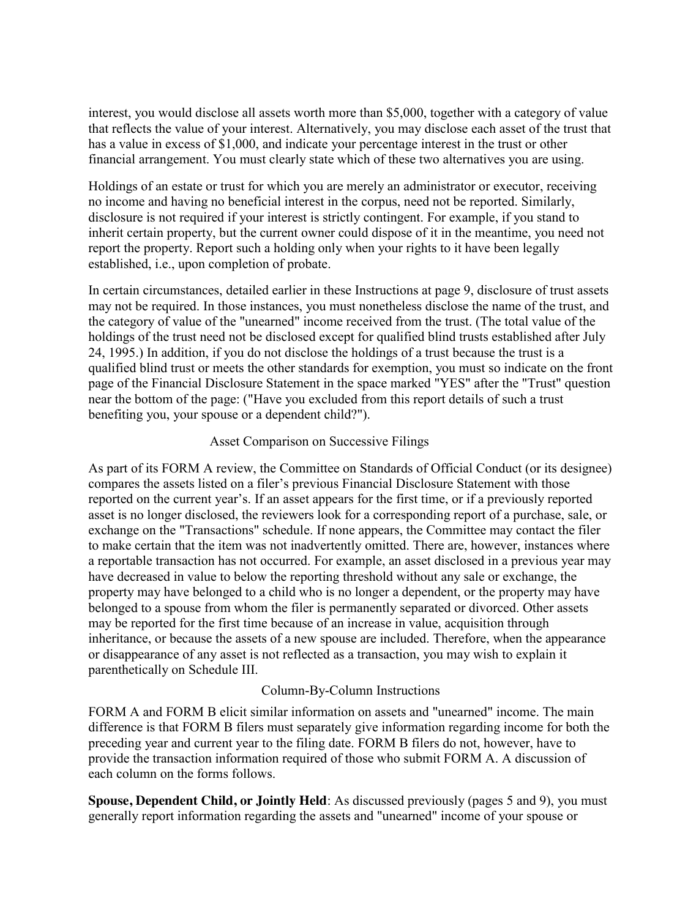interest, you would disclose all assets worth more than \$5,000, together with a category of value that reflects the value of your interest. Alternatively, you may disclose each asset of the trust that has a value in excess of \$1,000, and indicate your percentage interest in the trust or other financial arrangement. You must clearly state which of these two alternatives you are using.

Holdings of an estate or trust for which you are merely an administrator or executor, receiving no income and having no beneficial interest in the corpus, need not be reported. Similarly, disclosure is not required if your interest is strictly contingent. For example, if you stand to inherit certain property, but the current owner could dispose of it in the meantime, you need not report the property. Report such a holding only when your rights to it have been legally established, i.e., upon completion of probate.

In certain circumstances, detailed earlier in these Instructions at page 9, disclosure of trust assets may not be required. In those instances, you must nonetheless disclose the name of the trust, and the category of value of the "unearned" income received from the trust. (The total value of the holdings of the trust need not be disclosed except for qualified blind trusts established after July 24, 1995.) In addition, if you do not disclose the holdings of a trust because the trust is a qualified blind trust or meets the other standards for exemption, you must so indicate on the front page of the Financial Disclosure Statement in the space marked "YES" after the "Trust" question near the bottom of the page: ("Have you excluded from this report details of such a trust benefiting you, your spouse or a dependent child?").

## Asset Comparison on Successive Filings

As part of its FORM A review, the Committee on Standards of Official Conduct (or its designee) compares the assets listed on a filer's previous Financial Disclosure Statement with those reported on the current year's. If an asset appears for the first time, or if a previously reported asset is no longer disclosed, the reviewers look for a corresponding report of a purchase, sale, or exchange on the "Transactions" schedule. If none appears, the Committee may contact the filer to make certain that the item was not inadvertently omitted. There are, however, instances where a reportable transaction has not occurred. For example, an asset disclosed in a previous year may have decreased in value to below the reporting threshold without any sale or exchange, the property may have belonged to a child who is no longer a dependent, or the property may have belonged to a spouse from whom the filer is permanently separated or divorced. Other assets may be reported for the first time because of an increase in value, acquisition through inheritance, or because the assets of a new spouse are included. Therefore, when the appearance or disappearance of any asset is not reflected as a transaction, you may wish to explain it parenthetically on Schedule III.

# Column-By-Column Instructions

FORM A and FORM B elicit similar information on assets and "unearned" income. The main difference is that FORM B filers must separately give information regarding income for both the preceding year and current year to the filing date. FORM B filers do not, however, have to provide the transaction information required of those who submit FORM A. A discussion of each column on the forms follows.

**Spouse, Dependent Child, or Jointly Held**: As discussed previously (pages 5 and 9), you must generally report information regarding the assets and "unearned" income of your spouse or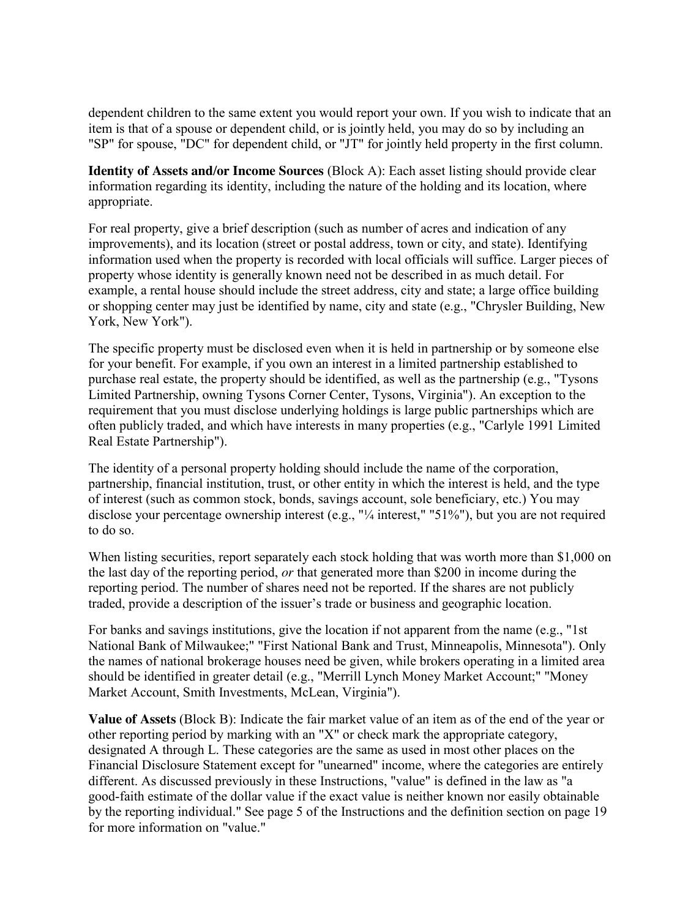dependent children to the same extent you would report your own. If you wish to indicate that an item is that of a spouse or dependent child, or is jointly held, you may do so by including an "SP" for spouse, "DC" for dependent child, or "JT" for jointly held property in the first column.

**Identity of Assets and/or Income Sources** (Block A): Each asset listing should provide clear information regarding its identity, including the nature of the holding and its location, where appropriate.

For real property, give a brief description (such as number of acres and indication of any improvements), and its location (street or postal address, town or city, and state). Identifying information used when the property is recorded with local officials will suffice. Larger pieces of property whose identity is generally known need not be described in as much detail. For example, a rental house should include the street address, city and state; a large office building or shopping center may just be identified by name, city and state (e.g., "Chrysler Building, New York, New York").

The specific property must be disclosed even when it is held in partnership or by someone else for your benefit. For example, if you own an interest in a limited partnership established to purchase real estate, the property should be identified, as well as the partnership (e.g., "Tysons Limited Partnership, owning Tysons Corner Center, Tysons, Virginia"). An exception to the requirement that you must disclose underlying holdings is large public partnerships which are often publicly traded, and which have interests in many properties (e.g., "Carlyle 1991 Limited Real Estate Partnership").

The identity of a personal property holding should include the name of the corporation, partnership, financial institution, trust, or other entity in which the interest is held, and the type of interest (such as common stock, bonds, savings account, sole beneficiary, etc.) You may disclose your percentage ownership interest (e.g., "¼ interest," "51%"), but you are not required to do so.

When listing securities, report separately each stock holding that was worth more than \$1,000 on the last day of the reporting period, *or* that generated more than \$200 in income during the reporting period. The number of shares need not be reported. If the shares are not publicly traded, provide a description of the issuer's trade or business and geographic location.

For banks and savings institutions, give the location if not apparent from the name (e.g., "1st National Bank of Milwaukee;" "First National Bank and Trust, Minneapolis, Minnesota"). Only the names of national brokerage houses need be given, while brokers operating in a limited area should be identified in greater detail (e.g., "Merrill Lynch Money Market Account;" "Money Market Account, Smith Investments, McLean, Virginia").

**Value of Assets** (Block B): Indicate the fair market value of an item as of the end of the year or other reporting period by marking with an "X" or check mark the appropriate category, designated A through L. These categories are the same as used in most other places on the Financial Disclosure Statement except for "unearned" income, where the categories are entirely different. As discussed previously in these Instructions, "value" is defined in the law as "a good-faith estimate of the dollar value if the exact value is neither known nor easily obtainable by the reporting individual." See page 5 of the Instructions and the definition section on page 19 for more information on "value."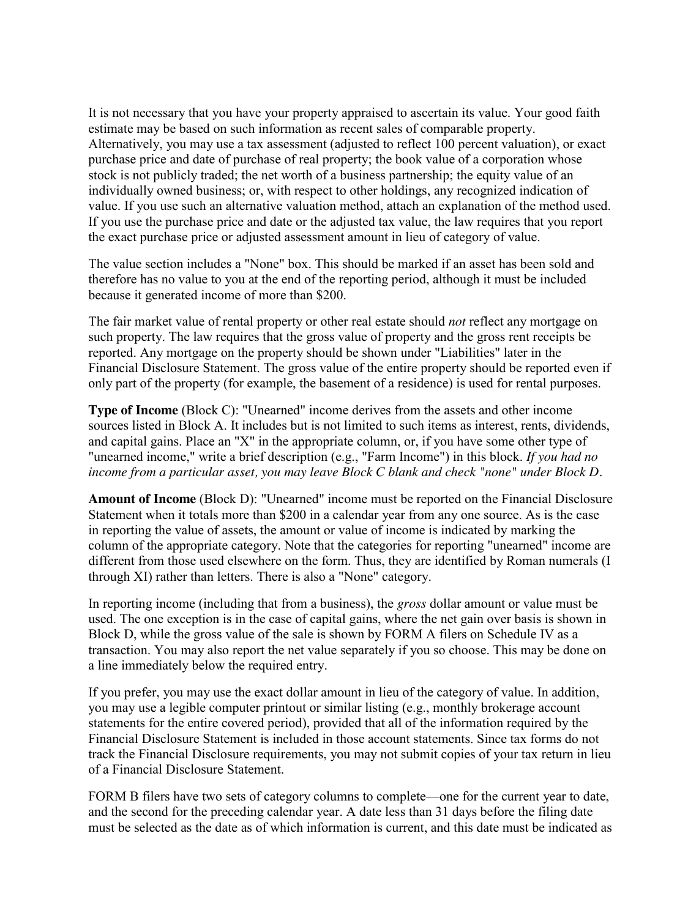It is not necessary that you have your property appraised to ascertain its value. Your good faith estimate may be based on such information as recent sales of comparable property. Alternatively, you may use a tax assessment (adjusted to reflect 100 percent valuation), or exact purchase price and date of purchase of real property; the book value of a corporation whose stock is not publicly traded; the net worth of a business partnership; the equity value of an individually owned business; or, with respect to other holdings, any recognized indication of value. If you use such an alternative valuation method, attach an explanation of the method used. If you use the purchase price and date or the adjusted tax value, the law requires that you report the exact purchase price or adjusted assessment amount in lieu of category of value.

The value section includes a "None" box. This should be marked if an asset has been sold and therefore has no value to you at the end of the reporting period, although it must be included because it generated income of more than \$200.

The fair market value of rental property or other real estate should *not* reflect any mortgage on such property. The law requires that the gross value of property and the gross rent receipts be reported. Any mortgage on the property should be shown under "Liabilities" later in the Financial Disclosure Statement. The gross value of the entire property should be reported even if only part of the property (for example, the basement of a residence) is used for rental purposes.

**Type of Income** (Block C): "Unearned" income derives from the assets and other income sources listed in Block A. It includes but is not limited to such items as interest, rents, dividends, and capital gains. Place an "X" in the appropriate column, or, if you have some other type of "unearned income," write a brief description (e.g., "Farm Income") in this block. *If you had no income from a particular asset, you may leave Block C blank and check "none" under Block D.* 

**Amount of Income** (Block D): "Unearned" income must be reported on the Financial Disclosure Statement when it totals more than \$200 in a calendar year from any one source. As is the case in reporting the value of assets, the amount or value of income is indicated by marking the column of the appropriate category. Note that the categories for reporting "unearned" income are different from those used elsewhere on the form. Thus, they are identified by Roman numerals (I through XI) rather than letters. There is also a "None" category.

In reporting income (including that from a business), the *gross* dollar amount or value must be used. The one exception is in the case of capital gains, where the net gain over basis is shown in Block D, while the gross value of the sale is shown by FORM A filers on Schedule IV as a transaction. You may also report the net value separately if you so choose. This may be done on a line immediately below the required entry.

If you prefer, you may use the exact dollar amount in lieu of the category of value. In addition, you may use a legible computer printout or similar listing (e.g., monthly brokerage account statements for the entire covered period), provided that all of the information required by the Financial Disclosure Statement is included in those account statements. Since tax forms do not track the Financial Disclosure requirements, you may not submit copies of your tax return in lieu of a Financial Disclosure Statement.

FORM B filers have two sets of category columns to complete—one for the current year to date, and the second for the preceding calendar year. A date less than 31 days before the filing date must be selected as the date as of which information is current, and this date must be indicated as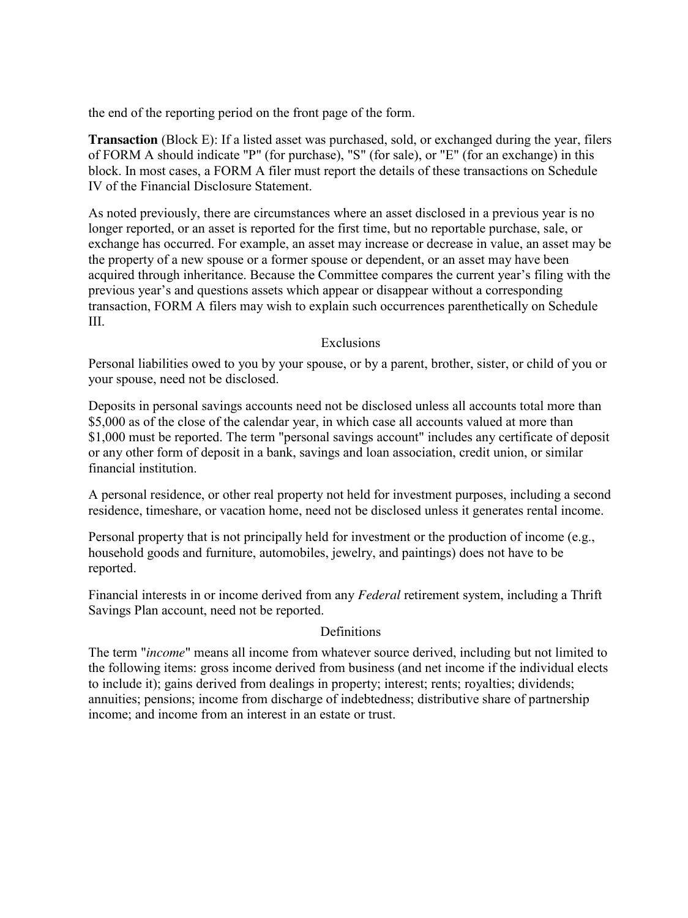the end of the reporting period on the front page of the form.

**Transaction** (Block E): If a listed asset was purchased, sold, or exchanged during the year, filers of FORM A should indicate "P" (for purchase), "S" (for sale), or "E" (for an exchange) in this block. In most cases, a FORM A filer must report the details of these transactions on Schedule IV of the Financial Disclosure Statement.

As noted previously, there are circumstances where an asset disclosed in a previous year is no longer reported, or an asset is reported for the first time, but no reportable purchase, sale, or exchange has occurred. For example, an asset may increase or decrease in value, an asset may be the property of a new spouse or a former spouse or dependent, or an asset may have been acquired through inheritance. Because the Committee compares the current year's filing with the previous year's and questions assets which appear or disappear without a corresponding transaction, FORM A filers may wish to explain such occurrences parenthetically on Schedule III.

#### Exclusions

Personal liabilities owed to you by your spouse, or by a parent, brother, sister, or child of you or your spouse, need not be disclosed.

Deposits in personal savings accounts need not be disclosed unless all accounts total more than \$5,000 as of the close of the calendar year, in which case all accounts valued at more than \$1,000 must be reported. The term "personal savings account" includes any certificate of deposit or any other form of deposit in a bank, savings and loan association, credit union, or similar financial institution.

A personal residence, or other real property not held for investment purposes, including a second residence, timeshare, or vacation home, need not be disclosed unless it generates rental income.

Personal property that is not principally held for investment or the production of income (e.g., household goods and furniture, automobiles, jewelry, and paintings) does not have to be reported.

Financial interests in or income derived from any *Federal* retirement system, including a Thrift Savings Plan account, need not be reported.

#### Definitions

The term "*income*" means all income from whatever source derived, including but not limited to the following items: gross income derived from business (and net income if the individual elects to include it); gains derived from dealings in property; interest; rents; royalties; dividends; annuities; pensions; income from discharge of indebtedness; distributive share of partnership income; and income from an interest in an estate or trust.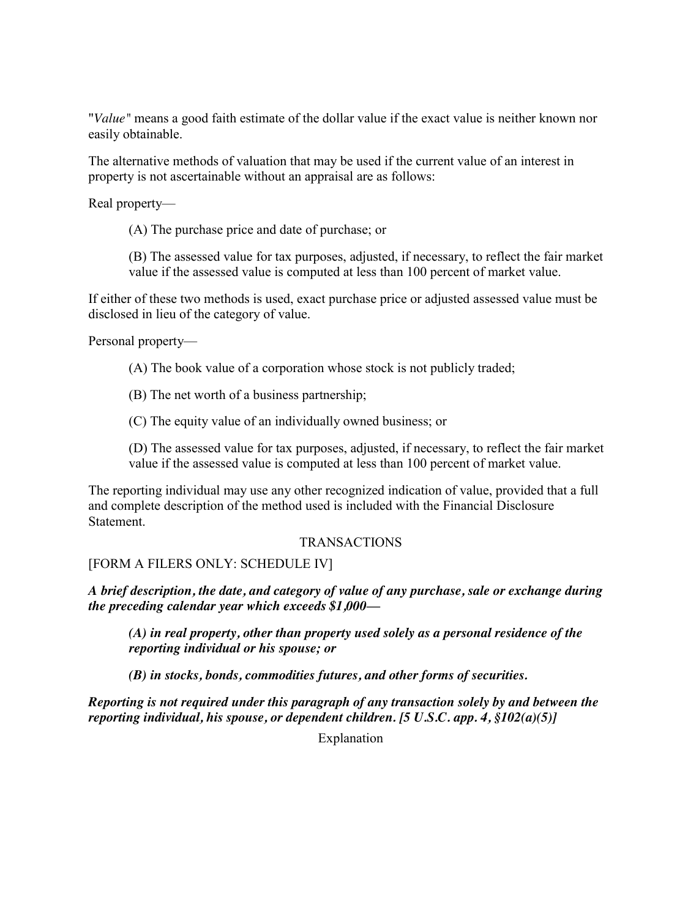"*Value"* means a good faith estimate of the dollar value if the exact value is neither known nor easily obtainable.

The alternative methods of valuation that may be used if the current value of an interest in property is not ascertainable without an appraisal are as follows:

Real property—

(A) The purchase price and date of purchase; or

(B) The assessed value for tax purposes, adjusted, if necessary, to reflect the fair market value if the assessed value is computed at less than 100 percent of market value.

If either of these two methods is used, exact purchase price or adjusted assessed value must be disclosed in lieu of the category of value.

Personal property—

- (A) The book value of a corporation whose stock is not publicly traded;
- (B) The net worth of a business partnership;

(C) The equity value of an individually owned business; or

(D) The assessed value for tax purposes, adjusted, if necessary, to reflect the fair market value if the assessed value is computed at less than 100 percent of market value.

The reporting individual may use any other recognized indication of value, provided that a full and complete description of the method used is included with the Financial Disclosure **Statement** 

#### TRANSACTIONS

# [FORM A FILERS ONLY: SCHEDULE IV]

*A brief description, the date, and category of value of any purchase, sale or exchange during the preceding calendar year which exceeds \$1,000—*

*(A) in real property, other than property used solely as a personal residence of the reporting individual or his spouse; or* 

*(B) in stocks, bonds, commodities futures, and other forms of securities.* 

*Reporting is not required under this paragraph of any transaction solely by and between the reporting individual, his spouse, or dependent children. [5 U.S.C. app. 4, §102(a)(5)]* 

Explanation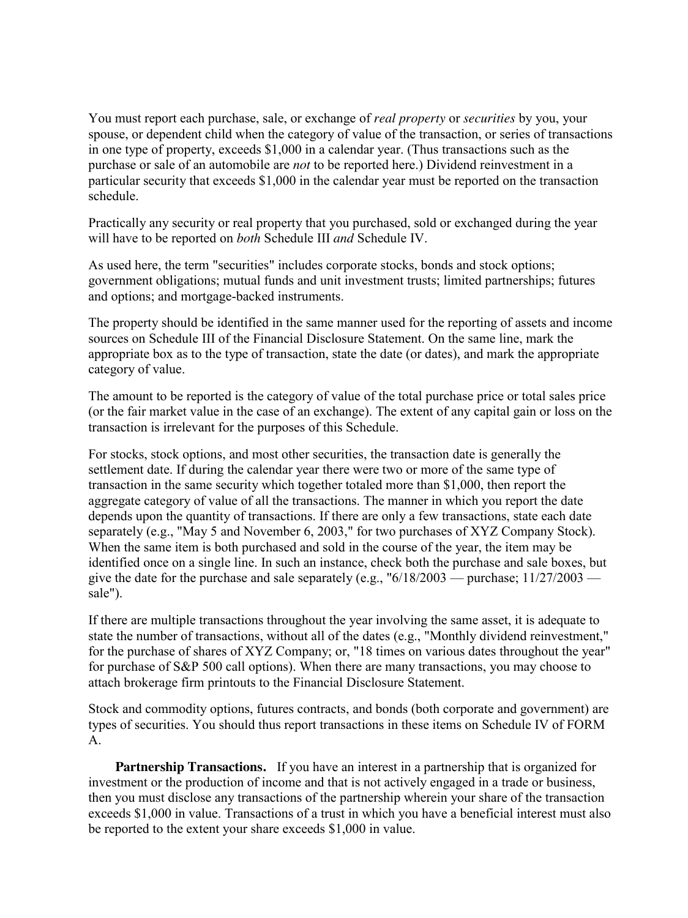You must report each purchase, sale, or exchange of *real property* or *securities* by you, your spouse, or dependent child when the category of value of the transaction, or series of transactions in one type of property, exceeds \$1,000 in a calendar year. (Thus transactions such as the purchase or sale of an automobile are *not* to be reported here.) Dividend reinvestment in a particular security that exceeds \$1,000 in the calendar year must be reported on the transaction schedule.

Practically any security or real property that you purchased, sold or exchanged during the year will have to be reported on *both* Schedule III *and* Schedule IV.

As used here, the term "securities" includes corporate stocks, bonds and stock options; government obligations; mutual funds and unit investment trusts; limited partnerships; futures and options; and mortgage-backed instruments.

The property should be identified in the same manner used for the reporting of assets and income sources on Schedule III of the Financial Disclosure Statement. On the same line, mark the appropriate box as to the type of transaction, state the date (or dates), and mark the appropriate category of value.

The amount to be reported is the category of value of the total purchase price or total sales price (or the fair market value in the case of an exchange). The extent of any capital gain or loss on the transaction is irrelevant for the purposes of this Schedule.

For stocks, stock options, and most other securities, the transaction date is generally the settlement date. If during the calendar year there were two or more of the same type of transaction in the same security which together totaled more than \$1,000, then report the aggregate category of value of all the transactions. The manner in which you report the date depends upon the quantity of transactions. If there are only a few transactions, state each date separately (e.g., "May 5 and November 6, 2003," for two purchases of XYZ Company Stock). When the same item is both purchased and sold in the course of the year, the item may be identified once on a single line. In such an instance, check both the purchase and sale boxes, but give the date for the purchase and sale separately (e.g.,  $\frac{6}{18/2003}$  — purchase;  $\frac{11}{27/2003}$  sale").

If there are multiple transactions throughout the year involving the same asset, it is adequate to state the number of transactions, without all of the dates (e.g., "Monthly dividend reinvestment," for the purchase of shares of XYZ Company; or, "18 times on various dates throughout the year" for purchase of S&P 500 call options). When there are many transactions, you may choose to attach brokerage firm printouts to the Financial Disclosure Statement.

Stock and commodity options, futures contracts, and bonds (both corporate and government) are types of securities. You should thus report transactions in these items on Schedule IV of FORM A.

**Partnership Transactions.** If you have an interest in a partnership that is organized for investment or the production of income and that is not actively engaged in a trade or business, then you must disclose any transactions of the partnership wherein your share of the transaction exceeds \$1,000 in value. Transactions of a trust in which you have a beneficial interest must also be reported to the extent your share exceeds \$1,000 in value.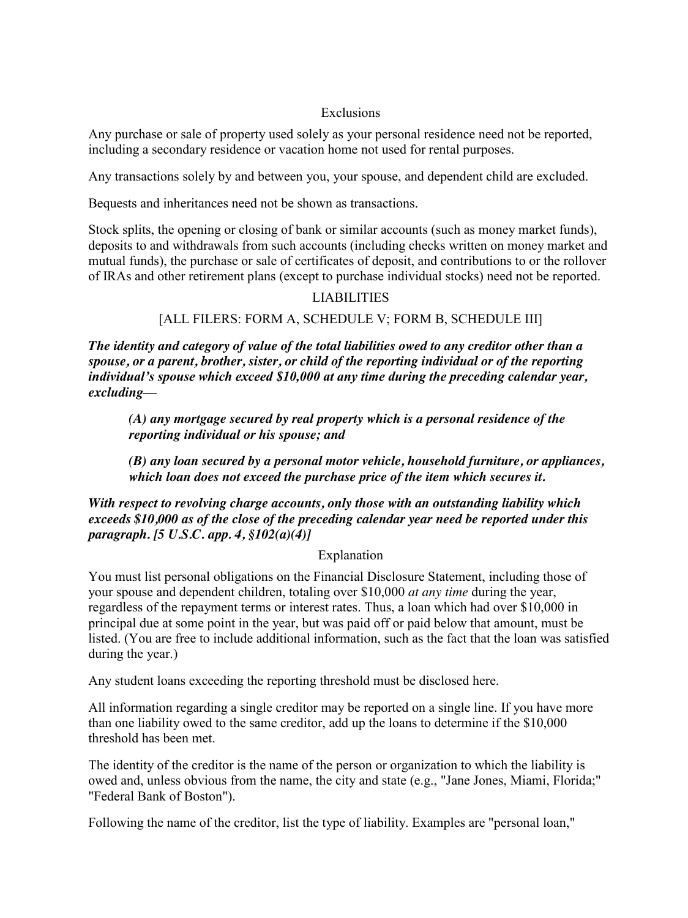# Exclusions

Any purchase or sale of property used solely as your personal residence need not be reported, including a secondary residence or vacation home not used for rental purposes.

Any transactions solely by and between you, your spouse, and dependent child are excluded.

Bequests and inheritances need not be shown as transactions.

Stock splits, the opening or closing of bank or similar accounts (such as money market funds), deposits to and withdrawals from such accounts (including checks written on money market and mutual funds), the purchase or sale of certificates of deposit, and contributions to or the rollover of IRAs and other retirement plans (except to purchase individual stocks) need not be reported.

# LIABILITIES

# [ALL FILERS: FORM A, SCHEDULE V; FORM B, SCHEDULE III]

*The identity and category of value of the total liabilities owed to any creditor other than a spouse, or a parent, brother, sister, or child of the reporting individual or of the reporting individual's spouse which exceed \$10,000 at any time during the preceding calendar year, excluding—*

*(A) any mortgage secured by real property which is a personal residence of the reporting individual or his spouse; and* 

*(B) any loan secured by a personal motor vehicle, household furniture, or appliances, which loan does not exceed the purchase price of the item which secures it.* 

*With respect to revolving charge accounts, only those with an outstanding liability which exceeds \$10,000 as of the close of the preceding calendar year need be reported under this paragraph. [5 U.S.C. app. 4, §102(a)(4)]* 

#### Explanation

You must list personal obligations on the Financial Disclosure Statement, including those of your spouse and dependent children, totaling over \$10,000 *at any time* during the year, regardless of the repayment terms or interest rates. Thus, a loan which had over \$10,000 in principal due at some point in the year, but was paid off or paid below that amount, must be listed. (You are free to include additional information, such as the fact that the loan was satisfied during the year.)

Any student loans exceeding the reporting threshold must be disclosed here.

All information regarding a single creditor may be reported on a single line. If you have more than one liability owed to the same creditor, add up the loans to determine if the \$10,000 threshold has been met.

The identity of the creditor is the name of the person or organization to which the liability is owed and, unless obvious from the name, the city and state (e.g., "Jane Jones, Miami, Florida;" "Federal Bank of Boston").

Following the name of the creditor, list the type of liability. Examples are "personal loan,"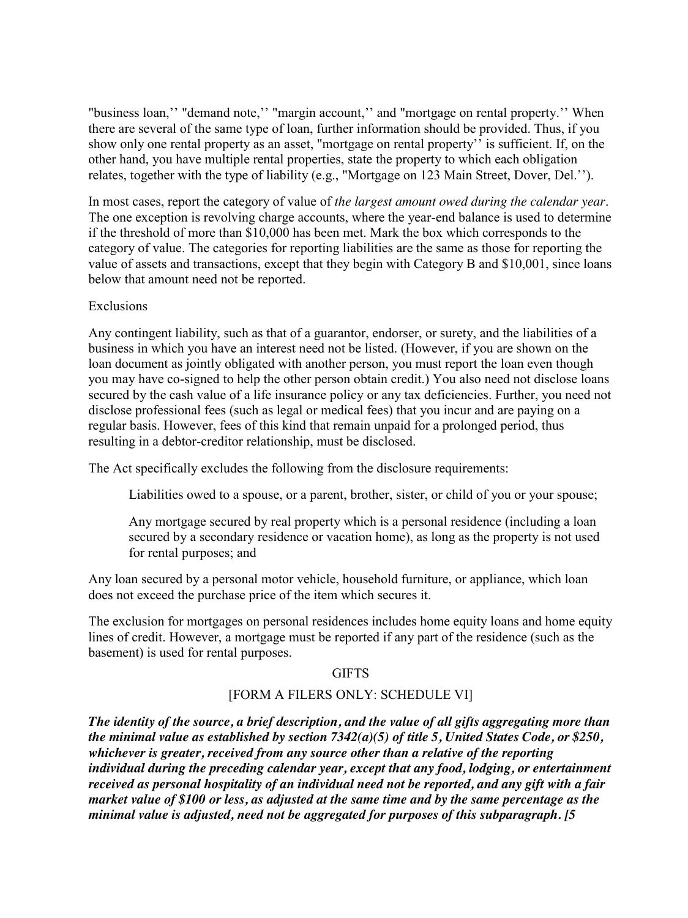"business loan," "demand note," "margin account," and "mortgage on rental property." When there are several of the same type of loan, further information should be provided. Thus, if you show only one rental property as an asset, "mortgage on rental property'' is sufficient. If, on the other hand, you have multiple rental properties, state the property to which each obligation relates, together with the type of liability (e.g., "Mortgage on 123 Main Street, Dover, Del.'').

In most cases, report the category of value of *the largest amount owed during the calendar year*. The one exception is revolving charge accounts, where the year-end balance is used to determine if the threshold of more than \$10,000 has been met. Mark the box which corresponds to the category of value. The categories for reporting liabilities are the same as those for reporting the value of assets and transactions, except that they begin with Category B and \$10,001, since loans below that amount need not be reported.

#### Exclusions

Any contingent liability, such as that of a guarantor, endorser, or surety, and the liabilities of a business in which you have an interest need not be listed. (However, if you are shown on the loan document as jointly obligated with another person, you must report the loan even though you may have co-signed to help the other person obtain credit.) You also need not disclose loans secured by the cash value of a life insurance policy or any tax deficiencies. Further, you need not disclose professional fees (such as legal or medical fees) that you incur and are paying on a regular basis. However, fees of this kind that remain unpaid for a prolonged period, thus resulting in a debtor-creditor relationship, must be disclosed.

The Act specifically excludes the following from the disclosure requirements:

Liabilities owed to a spouse, or a parent, brother, sister, or child of you or your spouse;

Any mortgage secured by real property which is a personal residence (including a loan secured by a secondary residence or vacation home), as long as the property is not used for rental purposes; and

Any loan secured by a personal motor vehicle, household furniture, or appliance, which loan does not exceed the purchase price of the item which secures it.

The exclusion for mortgages on personal residences includes home equity loans and home equity lines of credit. However, a mortgage must be reported if any part of the residence (such as the basement) is used for rental purposes.

#### **GIFTS**

# [FORM A FILERS ONLY: SCHEDULE VI]

*The identity of the source, a brief description, and the value of all gifts aggregating more than the minimal value as established by section 7342(a)(5) of title 5, United States Code, or \$250, whichever is greater, received from any source other than a relative of the reporting individual during the preceding calendar year, except that any food, lodging, or entertainment received as personal hospitality of an individual need not be reported, and any gift with a fair market value of \$100 or less, as adjusted at the same time and by the same percentage as the minimal value is adjusted, need not be aggregated for purposes of this subparagraph. [5*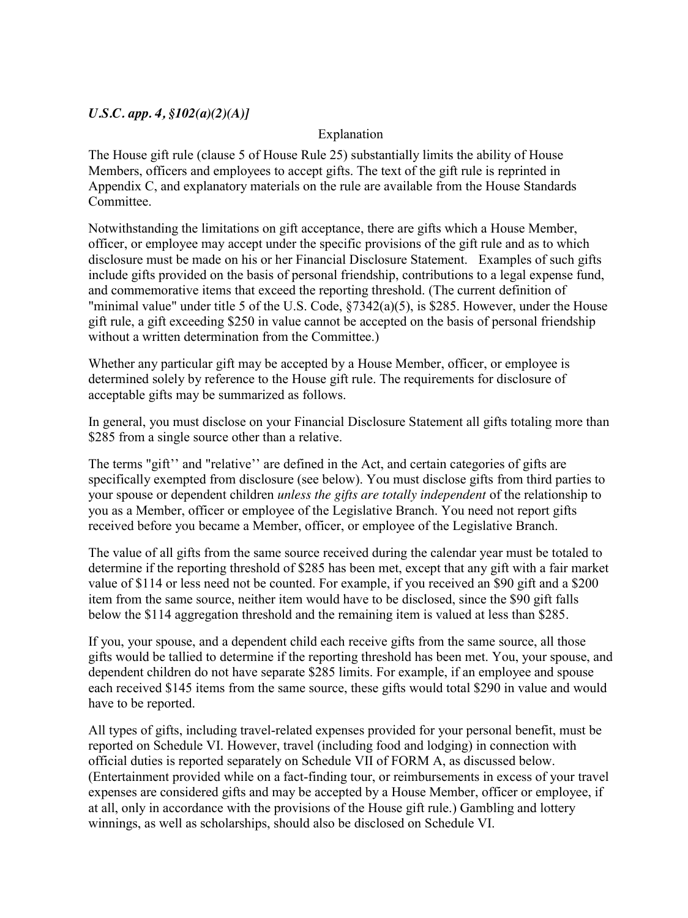# *U.S.C. app. 4, §102(a)(2)(A)]*

## Explanation

The House gift rule (clause 5 of House Rule 25) substantially limits the ability of House Members, officers and employees to accept gifts. The text of the gift rule is reprinted in Appendix C, and explanatory materials on the rule are available from the House Standards Committee.

Notwithstanding the limitations on gift acceptance, there are gifts which a House Member, officer, or employee may accept under the specific provisions of the gift rule and as to which disclosure must be made on his or her Financial Disclosure Statement. Examples of such gifts include gifts provided on the basis of personal friendship, contributions to a legal expense fund, and commemorative items that exceed the reporting threshold. (The current definition of "minimal value" under title 5 of the U.S. Code, §7342(a)(5), is \$285. However, under the House gift rule, a gift exceeding \$250 in value cannot be accepted on the basis of personal friendship without a written determination from the Committee.)

Whether any particular gift may be accepted by a House Member, officer, or employee is determined solely by reference to the House gift rule. The requirements for disclosure of acceptable gifts may be summarized as follows.

In general, you must disclose on your Financial Disclosure Statement all gifts totaling more than \$285 from a single source other than a relative.

The terms "gift'' and "relative'' are defined in the Act, and certain categories of gifts are specifically exempted from disclosure (see below). You must disclose gifts from third parties to your spouse or dependent children *unless the gifts are totally independent* of the relationship to you as a Member, officer or employee of the Legislative Branch. You need not report gifts received before you became a Member, officer, or employee of the Legislative Branch.

The value of all gifts from the same source received during the calendar year must be totaled to determine if the reporting threshold of \$285 has been met, except that any gift with a fair market value of \$114 or less need not be counted. For example, if you received an \$90 gift and a \$200 item from the same source, neither item would have to be disclosed, since the \$90 gift falls below the \$114 aggregation threshold and the remaining item is valued at less than \$285.

If you, your spouse, and a dependent child each receive gifts from the same source, all those gifts would be tallied to determine if the reporting threshold has been met. You, your spouse, and dependent children do not have separate \$285 limits. For example, if an employee and spouse each received \$145 items from the same source, these gifts would total \$290 in value and would have to be reported.

All types of gifts, including travel-related expenses provided for your personal benefit, must be reported on Schedule VI. However, travel (including food and lodging) in connection with official duties is reported separately on Schedule VII of FORM A, as discussed below. (Entertainment provided while on a fact-finding tour, or reimbursements in excess of your travel expenses are considered gifts and may be accepted by a House Member, officer or employee, if at all, only in accordance with the provisions of the House gift rule.) Gambling and lottery winnings, as well as scholarships, should also be disclosed on Schedule VI.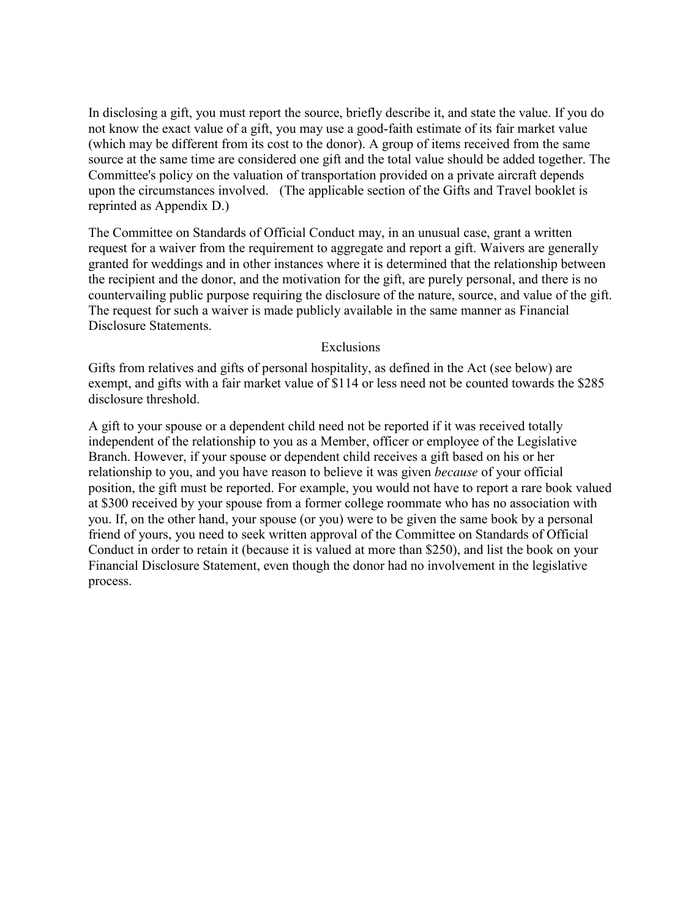In disclosing a gift, you must report the source, briefly describe it, and state the value. If you do not know the exact value of a gift, you may use a good-faith estimate of its fair market value (which may be different from its cost to the donor). A group of items received from the same source at the same time are considered one gift and the total value should be added together. The Committee's policy on the valuation of transportation provided on a private aircraft depends upon the circumstances involved. (The applicable section of the Gifts and Travel booklet is reprinted as Appendix D.)

The Committee on Standards of Official Conduct may, in an unusual case, grant a written request for a waiver from the requirement to aggregate and report a gift. Waivers are generally granted for weddings and in other instances where it is determined that the relationship between the recipient and the donor, and the motivation for the gift, are purely personal, and there is no countervailing public purpose requiring the disclosure of the nature, source, and value of the gift. The request for such a waiver is made publicly available in the same manner as Financial Disclosure Statements.

## Exclusions

Gifts from relatives and gifts of personal hospitality, as defined in the Act (see below) are exempt, and gifts with a fair market value of \$114 or less need not be counted towards the \$285 disclosure threshold.

A gift to your spouse or a dependent child need not be reported if it was received totally independent of the relationship to you as a Member, officer or employee of the Legislative Branch. However, if your spouse or dependent child receives a gift based on his or her relationship to you, and you have reason to believe it was given *because* of your official position, the gift must be reported. For example, you would not have to report a rare book valued at \$300 received by your spouse from a former college roommate who has no association with you. If, on the other hand, your spouse (or you) were to be given the same book by a personal friend of yours, you need to seek written approval of the Committee on Standards of Official Conduct in order to retain it (because it is valued at more than \$250), and list the book on your Financial Disclosure Statement, even though the donor had no involvement in the legislative process.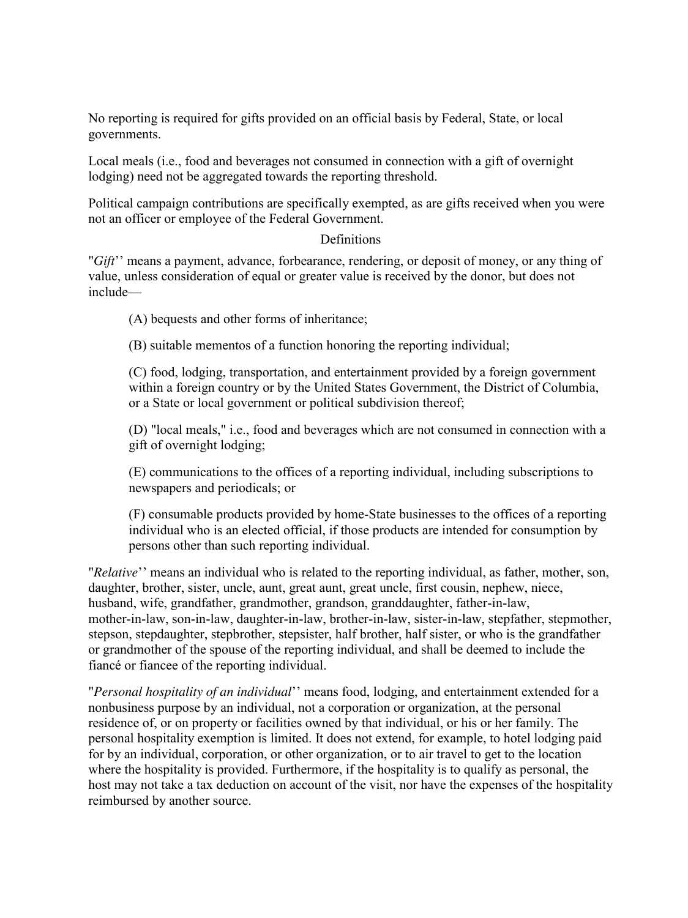No reporting is required for gifts provided on an official basis by Federal, State, or local governments.

Local meals (i.e., food and beverages not consumed in connection with a gift of overnight lodging) need not be aggregated towards the reporting threshold.

Political campaign contributions are specifically exempted, as are gifts received when you were not an officer or employee of the Federal Government.

# **Definitions**

"*Gift*'' means a payment, advance, forbearance, rendering, or deposit of money, or any thing of value, unless consideration of equal or greater value is received by the donor, but does not include—

(A) bequests and other forms of inheritance;

(B) suitable mementos of a function honoring the reporting individual;

(C) food, lodging, transportation, and entertainment provided by a foreign government within a foreign country or by the United States Government, the District of Columbia, or a State or local government or political subdivision thereof;

(D) "local meals," i.e., food and beverages which are not consumed in connection with a gift of overnight lodging;

(E) communications to the offices of a reporting individual, including subscriptions to newspapers and periodicals; or

(F) consumable products provided by home-State businesses to the offices of a reporting individual who is an elected official, if those products are intended for consumption by persons other than such reporting individual.

"*Relative*'' means an individual who is related to the reporting individual, as father, mother, son, daughter, brother, sister, uncle, aunt, great aunt, great uncle, first cousin, nephew, niece, husband, wife, grandfather, grandmother, grandson, granddaughter, father-in-law, mother-in-law, son-in-law, daughter-in-law, brother-in-law, sister-in-law, stepfather, stepmother, stepson, stepdaughter, stepbrother, stepsister, half brother, half sister, or who is the grandfather or grandmother of the spouse of the reporting individual, and shall be deemed to include the fiancé or fiancee of the reporting individual.

"*Personal hospitality of an individual*'' means food, lodging, and entertainment extended for a nonbusiness purpose by an individual, not a corporation or organization, at the personal residence of, or on property or facilities owned by that individual, or his or her family. The personal hospitality exemption is limited. It does not extend, for example, to hotel lodging paid for by an individual, corporation, or other organization, or to air travel to get to the location where the hospitality is provided. Furthermore, if the hospitality is to qualify as personal, the host may not take a tax deduction on account of the visit, nor have the expenses of the hospitality reimbursed by another source.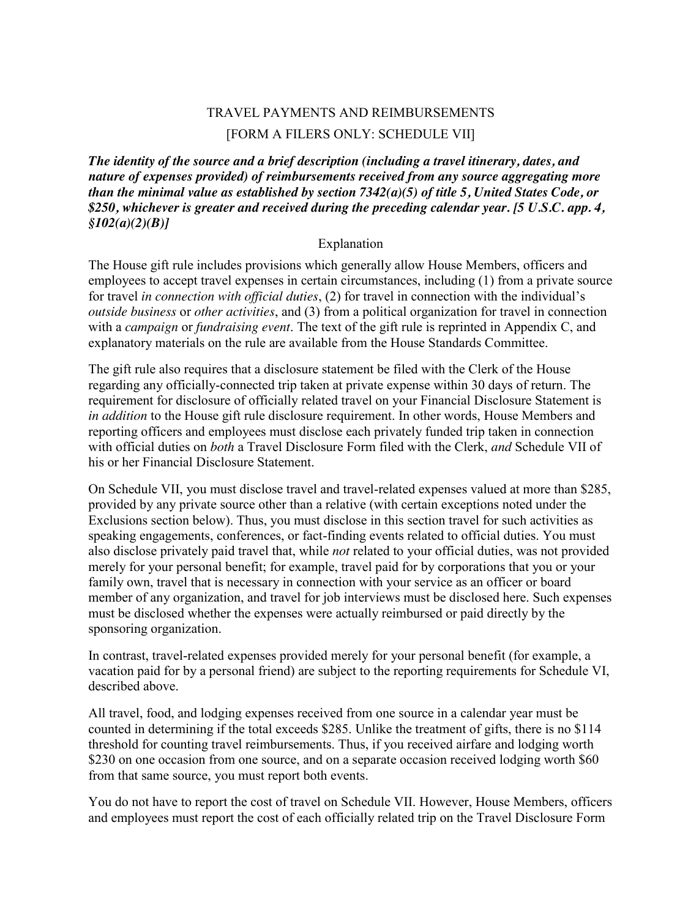# TRAVEL PAYMENTS AND REIMBURSEMENTS [FORM A FILERS ONLY: SCHEDULE VII]

*The identity of the source and a brief description (including a travel itinerary, dates, and nature of expenses provided) of reimbursements received from any source aggregating more than the minimal value as established by section 7342(a)(5) of title 5, United States Code, or \$250, whichever is greater and received during the preceding calendar year. [5 U.S.C. app. 4, §102(a)(2)(B)]* 

## Explanation

The House gift rule includes provisions which generally allow House Members, officers and employees to accept travel expenses in certain circumstances, including (1) from a private source for travel *in connection with official duties*, (2) for travel in connection with the individual's *outside business* or *other activities*, and (3) from a political organization for travel in connection with a *campaign* or *fundraising event*. The text of the gift rule is reprinted in Appendix C, and explanatory materials on the rule are available from the House Standards Committee.

The gift rule also requires that a disclosure statement be filed with the Clerk of the House regarding any officially-connected trip taken at private expense within 30 days of return. The requirement for disclosure of officially related travel on your Financial Disclosure Statement is *in addition* to the House gift rule disclosure requirement. In other words, House Members and reporting officers and employees must disclose each privately funded trip taken in connection with official duties on *both* a Travel Disclosure Form filed with the Clerk, *and* Schedule VII of his or her Financial Disclosure Statement.

On Schedule VII, you must disclose travel and travel-related expenses valued at more than \$285, provided by any private source other than a relative (with certain exceptions noted under the Exclusions section below). Thus, you must disclose in this section travel for such activities as speaking engagements, conferences, or fact-finding events related to official duties. You must also disclose privately paid travel that, while *not* related to your official duties, was not provided merely for your personal benefit; for example, travel paid for by corporations that you or your family own, travel that is necessary in connection with your service as an officer or board member of any organization, and travel for job interviews must be disclosed here. Such expenses must be disclosed whether the expenses were actually reimbursed or paid directly by the sponsoring organization.

In contrast, travel-related expenses provided merely for your personal benefit (for example, a vacation paid for by a personal friend) are subject to the reporting requirements for Schedule VI, described above.

All travel, food, and lodging expenses received from one source in a calendar year must be counted in determining if the total exceeds \$285. Unlike the treatment of gifts, there is no \$114 threshold for counting travel reimbursements. Thus, if you received airfare and lodging worth \$230 on one occasion from one source, and on a separate occasion received lodging worth \$60 from that same source, you must report both events.

You do not have to report the cost of travel on Schedule VII. However, House Members, officers and employees must report the cost of each officially related trip on the Travel Disclosure Form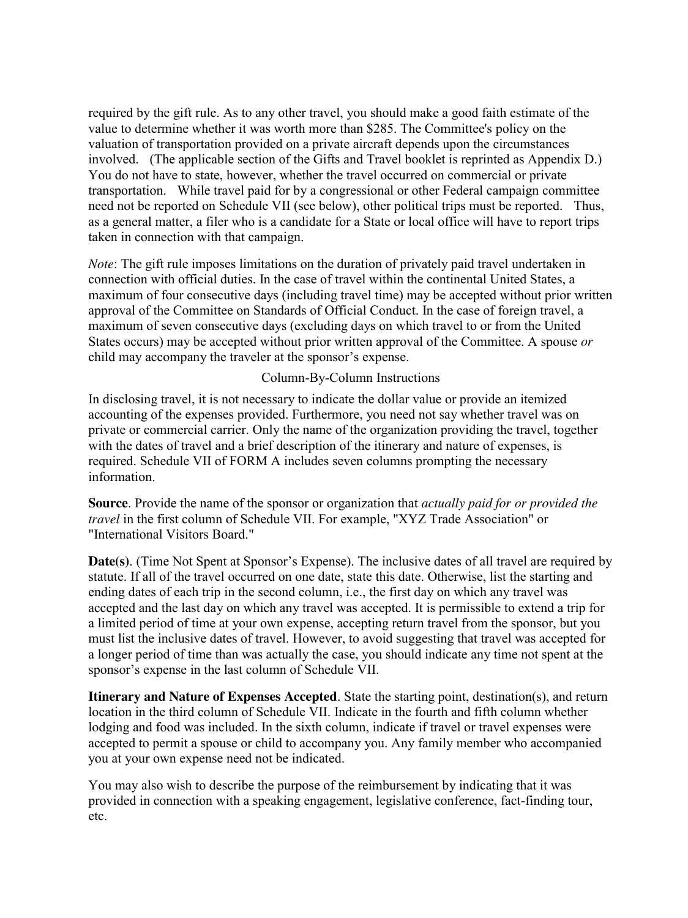required by the gift rule. As to any other travel, you should make a good faith estimate of the value to determine whether it was worth more than \$285. The Committee's policy on the valuation of transportation provided on a private aircraft depends upon the circumstances involved. (The applicable section of the Gifts and Travel booklet is reprinted as Appendix D.) You do not have to state, however, whether the travel occurred on commercial or private transportation. While travel paid for by a congressional or other Federal campaign committee need not be reported on Schedule VII (see below), other political trips must be reported. Thus, as a general matter, a filer who is a candidate for a State or local office will have to report trips taken in connection with that campaign.

*Note*: The gift rule imposes limitations on the duration of privately paid travel undertaken in connection with official duties. In the case of travel within the continental United States, a maximum of four consecutive days (including travel time) may be accepted without prior written approval of the Committee on Standards of Official Conduct. In the case of foreign travel, a maximum of seven consecutive days (excluding days on which travel to or from the United States occurs) may be accepted without prior written approval of the Committee. A spouse *or*  child may accompany the traveler at the sponsor's expense.

# Column-By-Column Instructions

In disclosing travel, it is not necessary to indicate the dollar value or provide an itemized accounting of the expenses provided. Furthermore, you need not say whether travel was on private or commercial carrier. Only the name of the organization providing the travel, together with the dates of travel and a brief description of the itinerary and nature of expenses, is required. Schedule VII of FORM A includes seven columns prompting the necessary information.

**Source**. Provide the name of the sponsor or organization that *actually paid for or provided the travel* in the first column of Schedule VII. For example, "XYZ Trade Association" or "International Visitors Board."

**Date(s)**. (Time Not Spent at Sponsor's Expense). The inclusive dates of all travel are required by statute. If all of the travel occurred on one date, state this date. Otherwise, list the starting and ending dates of each trip in the second column, i.e., the first day on which any travel was accepted and the last day on which any travel was accepted. It is permissible to extend a trip for a limited period of time at your own expense, accepting return travel from the sponsor, but you must list the inclusive dates of travel. However, to avoid suggesting that travel was accepted for a longer period of time than was actually the case, you should indicate any time not spent at the sponsor's expense in the last column of Schedule VII.

**Itinerary and Nature of Expenses Accepted**. State the starting point, destination(s), and return location in the third column of Schedule VII. Indicate in the fourth and fifth column whether lodging and food was included. In the sixth column, indicate if travel or travel expenses were accepted to permit a spouse or child to accompany you. Any family member who accompanied you at your own expense need not be indicated.

You may also wish to describe the purpose of the reimbursement by indicating that it was provided in connection with a speaking engagement, legislative conference, fact-finding tour, etc.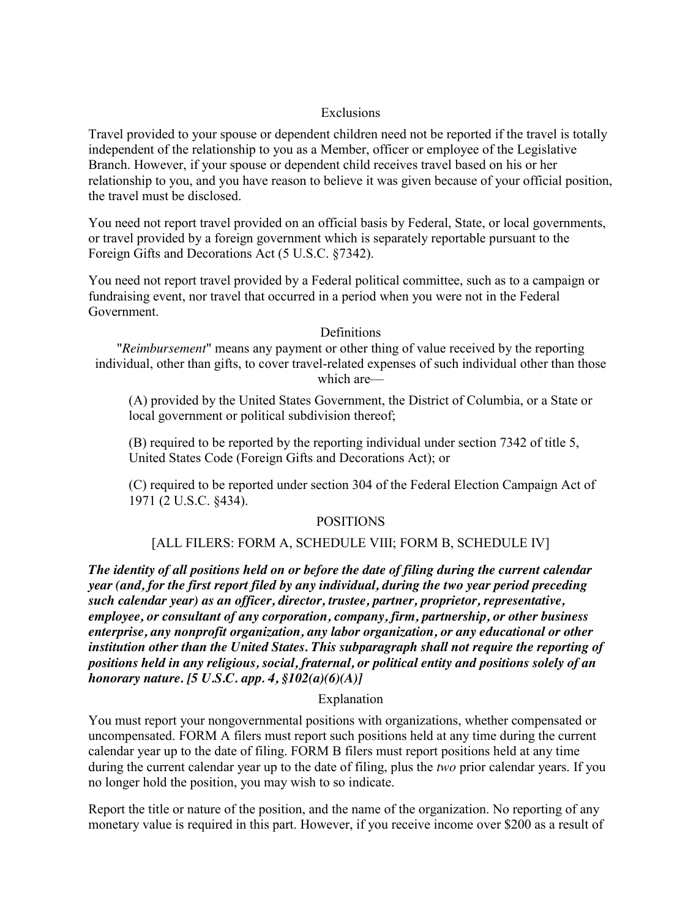## Exclusions

Travel provided to your spouse or dependent children need not be reported if the travel is totally independent of the relationship to you as a Member, officer or employee of the Legislative Branch. However, if your spouse or dependent child receives travel based on his or her relationship to you, and you have reason to believe it was given because of your official position, the travel must be disclosed.

You need not report travel provided on an official basis by Federal, State, or local governments, or travel provided by a foreign government which is separately reportable pursuant to the Foreign Gifts and Decorations Act (5 U.S.C. §7342).

You need not report travel provided by a Federal political committee, such as to a campaign or fundraising event, nor travel that occurred in a period when you were not in the Federal Government.

## **Definitions**

"*Reimbursement*" means any payment or other thing of value received by the reporting individual, other than gifts, to cover travel-related expenses of such individual other than those

which are—

(A) provided by the United States Government, the District of Columbia, or a State or local government or political subdivision thereof;

(B) required to be reported by the reporting individual under section 7342 of title 5, United States Code (Foreign Gifts and Decorations Act); or

(C) required to be reported under section 304 of the Federal Election Campaign Act of 1971 (2 U.S.C. §434).

### POSITIONS

## [ALL FILERS: FORM A, SCHEDULE VIII; FORM B, SCHEDULE IV]

*The identity of all positions held on or before the date of filing during the current calendar year (and, for the first report filed by any individual, during the two year period preceding such calendar year) as an officer, director, trustee, partner, proprietor, representative, employee, or consultant of any corporation, company, firm, partnership, or other business enterprise, any nonprofit organization, any labor organization, or any educational or other institution other than the United States. This subparagraph shall not require the reporting of positions held in any religious, social, fraternal, or political entity and positions solely of an honorary nature. [5 U.S.C. app. 4, §102(a)(6)(A)]*

### Explanation

You must report your nongovernmental positions with organizations, whether compensated or uncompensated. FORM A filers must report such positions held at any time during the current calendar year up to the date of filing. FORM B filers must report positions held at any time during the current calendar year up to the date of filing, plus the *two* prior calendar years. If you no longer hold the position, you may wish to so indicate.

Report the title or nature of the position, and the name of the organization. No reporting of any monetary value is required in this part. However, if you receive income over \$200 as a result of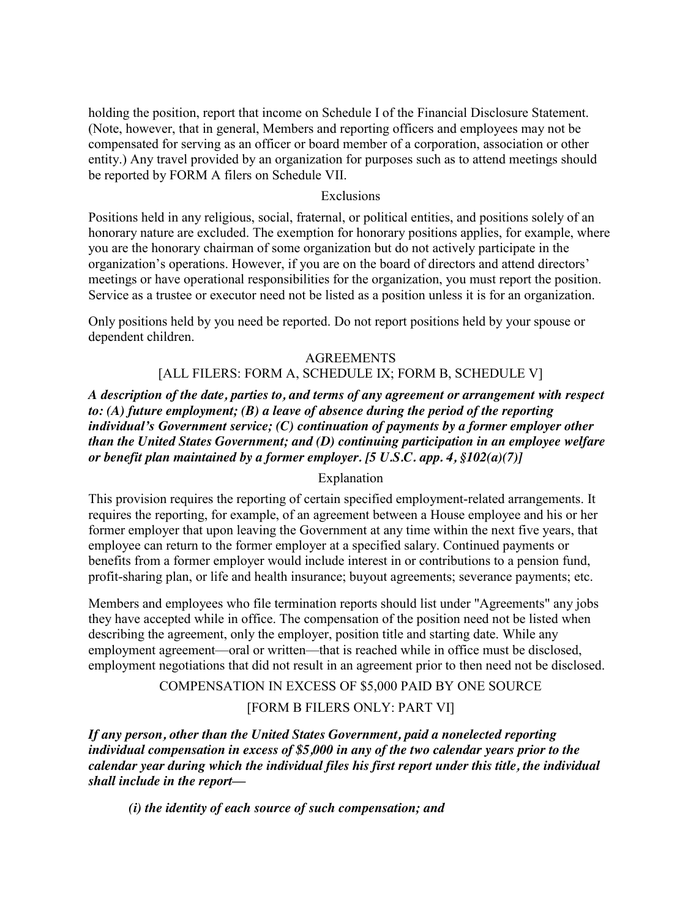holding the position, report that income on Schedule I of the Financial Disclosure Statement. (Note, however, that in general, Members and reporting officers and employees may not be compensated for serving as an officer or board member of a corporation, association or other entity.) Any travel provided by an organization for purposes such as to attend meetings should be reported by FORM A filers on Schedule VII.

## Exclusions

Positions held in any religious, social, fraternal, or political entities, and positions solely of an honorary nature are excluded. The exemption for honorary positions applies, for example, where you are the honorary chairman of some organization but do not actively participate in the organization's operations. However, if you are on the board of directors and attend directors' meetings or have operational responsibilities for the organization, you must report the position. Service as a trustee or executor need not be listed as a position unless it is for an organization.

Only positions held by you need be reported. Do not report positions held by your spouse or dependent children.

## AGREEMENTS

## [ALL FILERS: FORM A, SCHEDULE IX; FORM B, SCHEDULE V]

*A description of the date, parties to, and terms of any agreement or arrangement with respect to: (A) future employment; (B) a leave of absence during the period of the reporting individual's Government service; (C) continuation of payments by a former employer other than the United States Government; and (D) continuing participation in an employee welfare or benefit plan maintained by a former employer. [5 U.S.C. app. 4, §102(a)(7)]* 

### Explanation

This provision requires the reporting of certain specified employment-related arrangements. It requires the reporting, for example, of an agreement between a House employee and his or her former employer that upon leaving the Government at any time within the next five years, that employee can return to the former employer at a specified salary. Continued payments or benefits from a former employer would include interest in or contributions to a pension fund, profit-sharing plan, or life and health insurance; buyout agreements; severance payments; etc.

Members and employees who file termination reports should list under "Agreements" any jobs they have accepted while in office. The compensation of the position need not be listed when describing the agreement, only the employer, position title and starting date. While any employment agreement—oral or written—that is reached while in office must be disclosed, employment negotiations that did not result in an agreement prior to then need not be disclosed.

COMPENSATION IN EXCESS OF \$5,000 PAID BY ONE SOURCE

# [FORM B FILERS ONLY: PART VI]

*If any person, other than the United States Government, paid a nonelected reporting individual compensation in excess of \$5,000 in any of the two calendar years prior to the calendar year during which the individual files his first report under this title, the individual shall include in the report—*

*(i) the identity of each source of such compensation; and*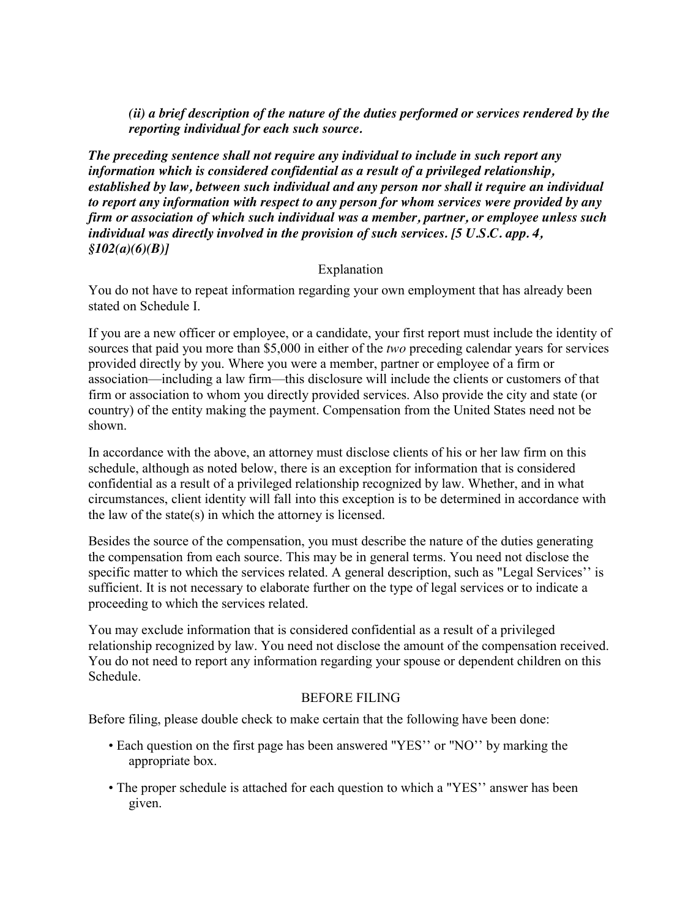*(ii) a brief description of the nature of the duties performed or services rendered by the reporting individual for each such source.* 

*The preceding sentence shall not require any individual to include in such report any information which is considered confidential as a result of a privileged relationship, established by law, between such individual and any person nor shall it require an individual to report any information with respect to any person for whom services were provided by any firm or association of which such individual was a member, partner, or employee unless such individual was directly involved in the provision of such services. [5 U.S.C. app. 4, §102(a)(6)(B)]*

## Explanation

You do not have to repeat information regarding your own employment that has already been stated on Schedule I.

If you are a new officer or employee, or a candidate, your first report must include the identity of sources that paid you more than \$5,000 in either of the *two* preceding calendar years for services provided directly by you. Where you were a member, partner or employee of a firm or association—including a law firm—this disclosure will include the clients or customers of that firm or association to whom you directly provided services. Also provide the city and state (or country) of the entity making the payment. Compensation from the United States need not be shown.

In accordance with the above, an attorney must disclose clients of his or her law firm on this schedule, although as noted below, there is an exception for information that is considered confidential as a result of a privileged relationship recognized by law. Whether, and in what circumstances, client identity will fall into this exception is to be determined in accordance with the law of the state(s) in which the attorney is licensed.

Besides the source of the compensation, you must describe the nature of the duties generating the compensation from each source. This may be in general terms. You need not disclose the specific matter to which the services related. A general description, such as "Legal Services'' is sufficient. It is not necessary to elaborate further on the type of legal services or to indicate a proceeding to which the services related.

You may exclude information that is considered confidential as a result of a privileged relationship recognized by law. You need not disclose the amount of the compensation received. You do not need to report any information regarding your spouse or dependent children on this Schedule.

### BEFORE FILING

Before filing, please double check to make certain that the following have been done:

- Each question on the first page has been answered "YES'' or "NO'' by marking the appropriate box.
- The proper schedule is attached for each question to which a "YES'' answer has been given.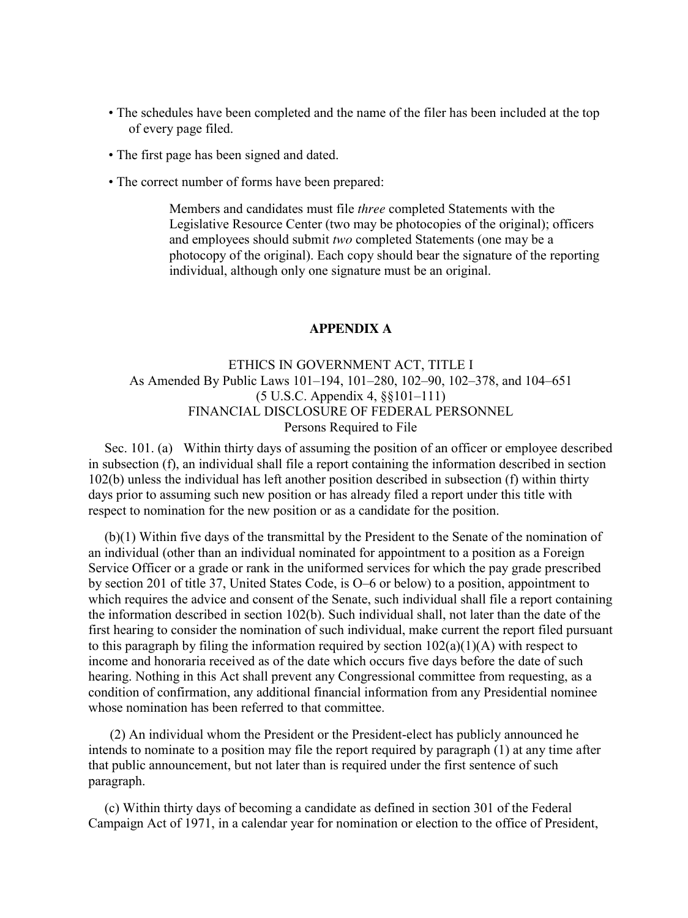- The schedules have been completed and the name of the filer has been included at the top of every page filed.
- The first page has been signed and dated.
- The correct number of forms have been prepared:

Members and candidates must file *three* completed Statements with the Legislative Resource Center (two may be photocopies of the original); officers and employees should submit *two* completed Statements (one may be a photocopy of the original). Each copy should bear the signature of the reporting individual, although only one signature must be an original.

### **APPENDIX A**

# ETHICS IN GOVERNMENT ACT, TITLE I As Amended By Public Laws 101–194, 101–280, 102–90, 102–378, and 104–651 (5 U.S.C. Appendix 4, §§101–111) FINANCIAL DISCLOSURE OF FEDERAL PERSONNEL Persons Required to File

 Sec. 101. (a) Within thirty days of assuming the position of an officer or employee described in subsection (f), an individual shall file a report containing the information described in section 102(b) unless the individual has left another position described in subsection (f) within thirty days prior to assuming such new position or has already filed a report under this title with respect to nomination for the new position or as a candidate for the position.

 (b)(1) Within five days of the transmittal by the President to the Senate of the nomination of an individual (other than an individual nominated for appointment to a position as a Foreign Service Officer or a grade or rank in the uniformed services for which the pay grade prescribed by section 201 of title 37, United States Code, is O–6 or below) to a position, appointment to which requires the advice and consent of the Senate, such individual shall file a report containing the information described in section 102(b). Such individual shall, not later than the date of the first hearing to consider the nomination of such individual, make current the report filed pursuant to this paragraph by filing the information required by section  $102(a)(1)(A)$  with respect to income and honoraria received as of the date which occurs five days before the date of such hearing. Nothing in this Act shall prevent any Congressional committee from requesting, as a condition of confirmation, any additional financial information from any Presidential nominee whose nomination has been referred to that committee.

 (2) An individual whom the President or the President-elect has publicly announced he intends to nominate to a position may file the report required by paragraph (1) at any time after that public announcement, but not later than is required under the first sentence of such paragraph.

 (c) Within thirty days of becoming a candidate as defined in section 301 of the Federal Campaign Act of 1971, in a calendar year for nomination or election to the office of President,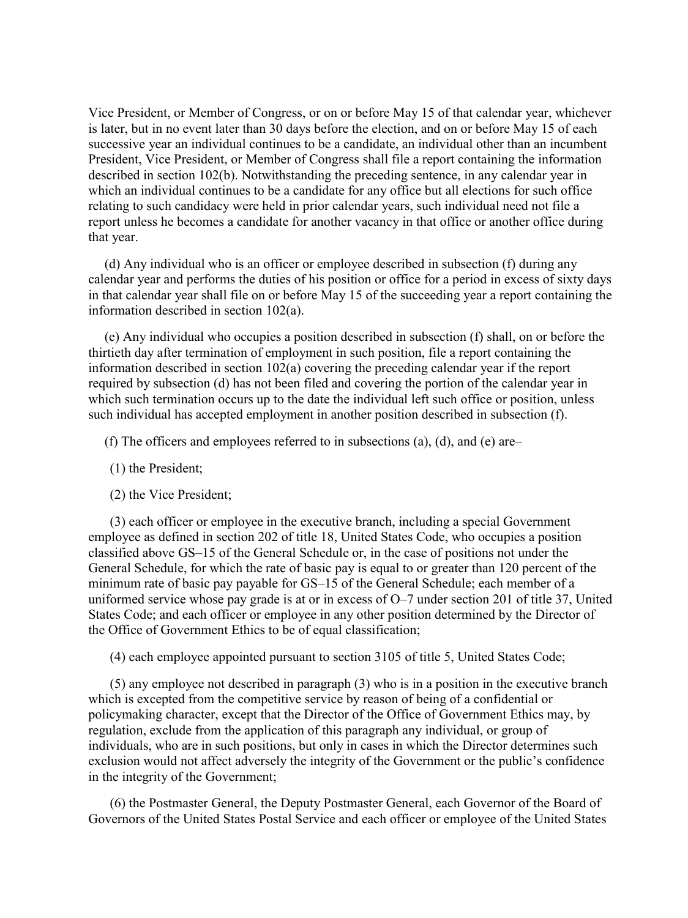Vice President, or Member of Congress, or on or before May 15 of that calendar year, whichever is later, but in no event later than 30 days before the election, and on or before May 15 of each successive year an individual continues to be a candidate, an individual other than an incumbent President, Vice President, or Member of Congress shall file a report containing the information described in section 102(b). Notwithstanding the preceding sentence, in any calendar year in which an individual continues to be a candidate for any office but all elections for such office relating to such candidacy were held in prior calendar years, such individual need not file a report unless he becomes a candidate for another vacancy in that office or another office during that year.

 (d) Any individual who is an officer or employee described in subsection (f) during any calendar year and performs the duties of his position or office for a period in excess of sixty days in that calendar year shall file on or before May 15 of the succeeding year a report containing the information described in section 102(a).

 (e) Any individual who occupies a position described in subsection (f) shall, on or before the thirtieth day after termination of employment in such position, file a report containing the information described in section 102(a) covering the preceding calendar year if the report required by subsection (d) has not been filed and covering the portion of the calendar year in which such termination occurs up to the date the individual left such office or position, unless such individual has accepted employment in another position described in subsection (f).

(f) The officers and employees referred to in subsections (a), (d), and (e) are–

- (1) the President;
- (2) the Vice President;

 (3) each officer or employee in the executive branch, including a special Government employee as defined in section 202 of title 18, United States Code, who occupies a position classified above GS–15 of the General Schedule or, in the case of positions not under the General Schedule, for which the rate of basic pay is equal to or greater than 120 percent of the minimum rate of basic pay payable for GS–15 of the General Schedule; each member of a uniformed service whose pay grade is at or in excess of O–7 under section 201 of title 37, United States Code; and each officer or employee in any other position determined by the Director of the Office of Government Ethics to be of equal classification;

(4) each employee appointed pursuant to section 3105 of title 5, United States Code;

 (5) any employee not described in paragraph (3) who is in a position in the executive branch which is excepted from the competitive service by reason of being of a confidential or policymaking character, except that the Director of the Office of Government Ethics may, by regulation, exclude from the application of this paragraph any individual, or group of individuals, who are in such positions, but only in cases in which the Director determines such exclusion would not affect adversely the integrity of the Government or the public's confidence in the integrity of the Government;

 (6) the Postmaster General, the Deputy Postmaster General, each Governor of the Board of Governors of the United States Postal Service and each officer or employee of the United States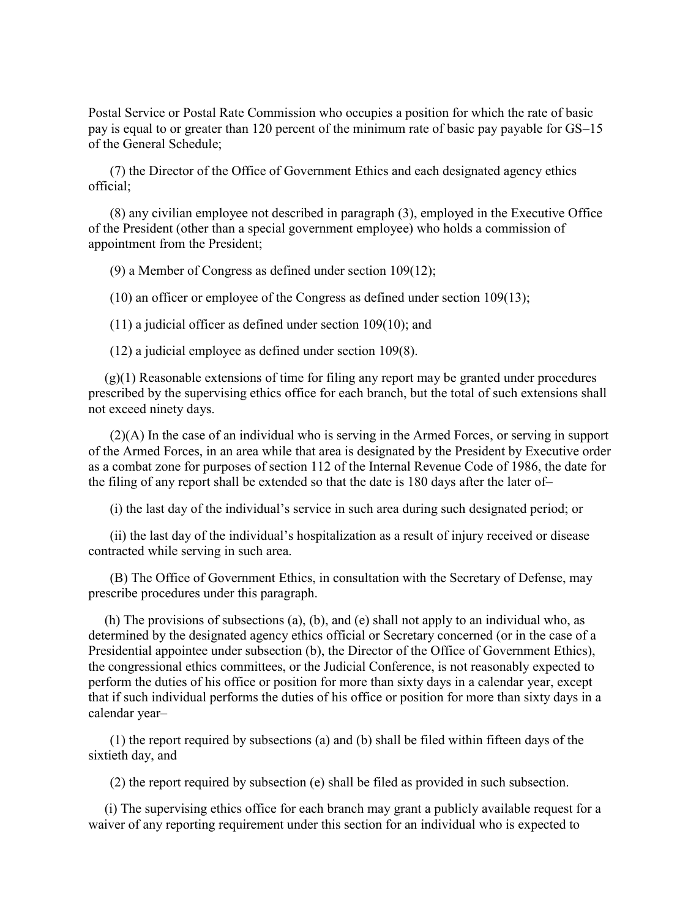Postal Service or Postal Rate Commission who occupies a position for which the rate of basic pay is equal to or greater than 120 percent of the minimum rate of basic pay payable for GS–15 of the General Schedule;

 (7) the Director of the Office of Government Ethics and each designated agency ethics official;

 (8) any civilian employee not described in paragraph (3), employed in the Executive Office of the President (other than a special government employee) who holds a commission of appointment from the President;

(9) a Member of Congress as defined under section 109(12);

(10) an officer or employee of the Congress as defined under section 109(13);

(11) a judicial officer as defined under section 109(10); and

(12) a judicial employee as defined under section 109(8).

 (g)(1) Reasonable extensions of time for filing any report may be granted under procedures prescribed by the supervising ethics office for each branch, but the total of such extensions shall not exceed ninety days.

 (2)(A) In the case of an individual who is serving in the Armed Forces, or serving in support of the Armed Forces, in an area while that area is designated by the President by Executive order as a combat zone for purposes of section 112 of the Internal Revenue Code of 1986, the date for the filing of any report shall be extended so that the date is 180 days after the later of–

(i) the last day of the individual's service in such area during such designated period; or

 (ii) the last day of the individual's hospitalization as a result of injury received or disease contracted while serving in such area.

 (B) The Office of Government Ethics, in consultation with the Secretary of Defense, may prescribe procedures under this paragraph.

 (h) The provisions of subsections (a), (b), and (e) shall not apply to an individual who, as determined by the designated agency ethics official or Secretary concerned (or in the case of a Presidential appointee under subsection (b), the Director of the Office of Government Ethics), the congressional ethics committees, or the Judicial Conference, is not reasonably expected to perform the duties of his office or position for more than sixty days in a calendar year, except that if such individual performs the duties of his office or position for more than sixty days in a calendar year–

 (1) the report required by subsections (a) and (b) shall be filed within fifteen days of the sixtieth day, and

(2) the report required by subsection (e) shall be filed as provided in such subsection.

 (i) The supervising ethics office for each branch may grant a publicly available request for a waiver of any reporting requirement under this section for an individual who is expected to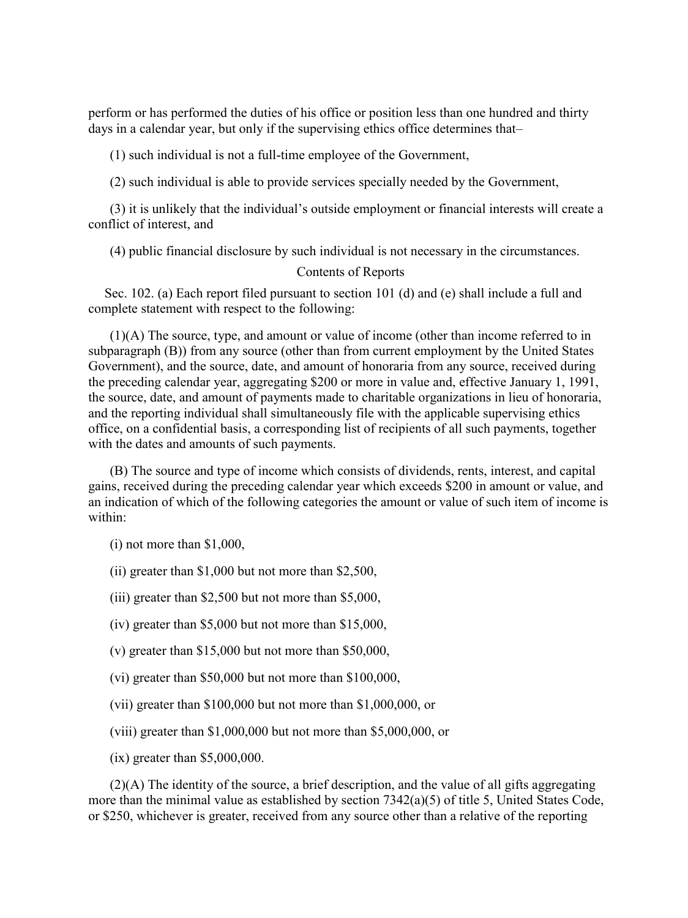perform or has performed the duties of his office or position less than one hundred and thirty days in a calendar year, but only if the supervising ethics office determines that–

(1) such individual is not a full-time employee of the Government,

(2) such individual is able to provide services specially needed by the Government,

 (3) it is unlikely that the individual's outside employment or financial interests will create a conflict of interest, and

(4) public financial disclosure by such individual is not necessary in the circumstances.

#### Contents of Reports

 Sec. 102. (a) Each report filed pursuant to section 101 (d) and (e) shall include a full and complete statement with respect to the following:

 (1)(A) The source, type, and amount or value of income (other than income referred to in subparagraph (B)) from any source (other than from current employment by the United States Government), and the source, date, and amount of honoraria from any source, received during the preceding calendar year, aggregating \$200 or more in value and, effective January 1, 1991, the source, date, and amount of payments made to charitable organizations in lieu of honoraria, and the reporting individual shall simultaneously file with the applicable supervising ethics office, on a confidential basis, a corresponding list of recipients of all such payments, together with the dates and amounts of such payments.

 (B) The source and type of income which consists of dividends, rents, interest, and capital gains, received during the preceding calendar year which exceeds \$200 in amount or value, and an indication of which of the following categories the amount or value of such item of income is within:

(i) not more than \$1,000,

(ii) greater than \$1,000 but not more than \$2,500,

(iii) greater than \$2,500 but not more than \$5,000,

(iv) greater than \$5,000 but not more than \$15,000,

(v) greater than \$15,000 but not more than \$50,000,

(vi) greater than \$50,000 but not more than \$100,000,

(vii) greater than \$100,000 but not more than \$1,000,000, or

(viii) greater than \$1,000,000 but not more than \$5,000,000, or

(ix) greater than \$5,000,000.

 (2)(A) The identity of the source, a brief description, and the value of all gifts aggregating more than the minimal value as established by section 7342(a)(5) of title 5, United States Code, or \$250, whichever is greater, received from any source other than a relative of the reporting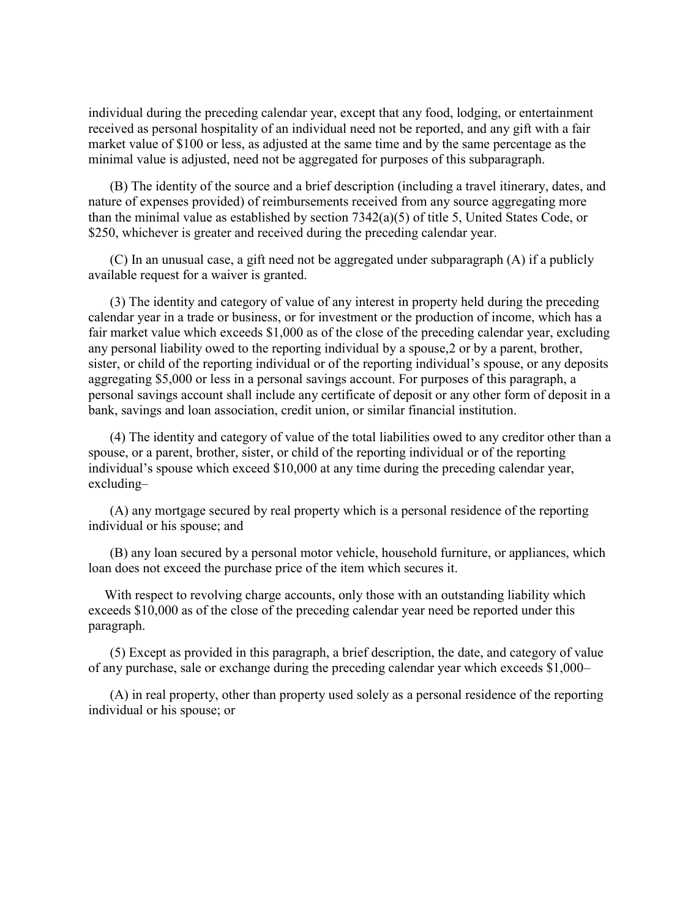individual during the preceding calendar year, except that any food, lodging, or entertainment received as personal hospitality of an individual need not be reported, and any gift with a fair market value of \$100 or less, as adjusted at the same time and by the same percentage as the minimal value is adjusted, need not be aggregated for purposes of this subparagraph.

 (B) The identity of the source and a brief description (including a travel itinerary, dates, and nature of expenses provided) of reimbursements received from any source aggregating more than the minimal value as established by section 7342(a)(5) of title 5, United States Code, or \$250, whichever is greater and received during the preceding calendar year.

 (C) In an unusual case, a gift need not be aggregated under subparagraph (A) if a publicly available request for a waiver is granted.

 (3) The identity and category of value of any interest in property held during the preceding calendar year in a trade or business, or for investment or the production of income, which has a fair market value which exceeds \$1,000 as of the close of the preceding calendar year, excluding any personal liability owed to the reporting individual by a spouse,2 or by a parent, brother, sister, or child of the reporting individual or of the reporting individual's spouse, or any deposits aggregating \$5,000 or less in a personal savings account. For purposes of this paragraph, a personal savings account shall include any certificate of deposit or any other form of deposit in a bank, savings and loan association, credit union, or similar financial institution.

 (4) The identity and category of value of the total liabilities owed to any creditor other than a spouse, or a parent, brother, sister, or child of the reporting individual or of the reporting individual's spouse which exceed \$10,000 at any time during the preceding calendar year, excluding–

 (A) any mortgage secured by real property which is a personal residence of the reporting individual or his spouse; and

 (B) any loan secured by a personal motor vehicle, household furniture, or appliances, which loan does not exceed the purchase price of the item which secures it.

With respect to revolving charge accounts, only those with an outstanding liability which exceeds \$10,000 as of the close of the preceding calendar year need be reported under this paragraph.

 (5) Except as provided in this paragraph, a brief description, the date, and category of value of any purchase, sale or exchange during the preceding calendar year which exceeds \$1,000–

 (A) in real property, other than property used solely as a personal residence of the reporting individual or his spouse; or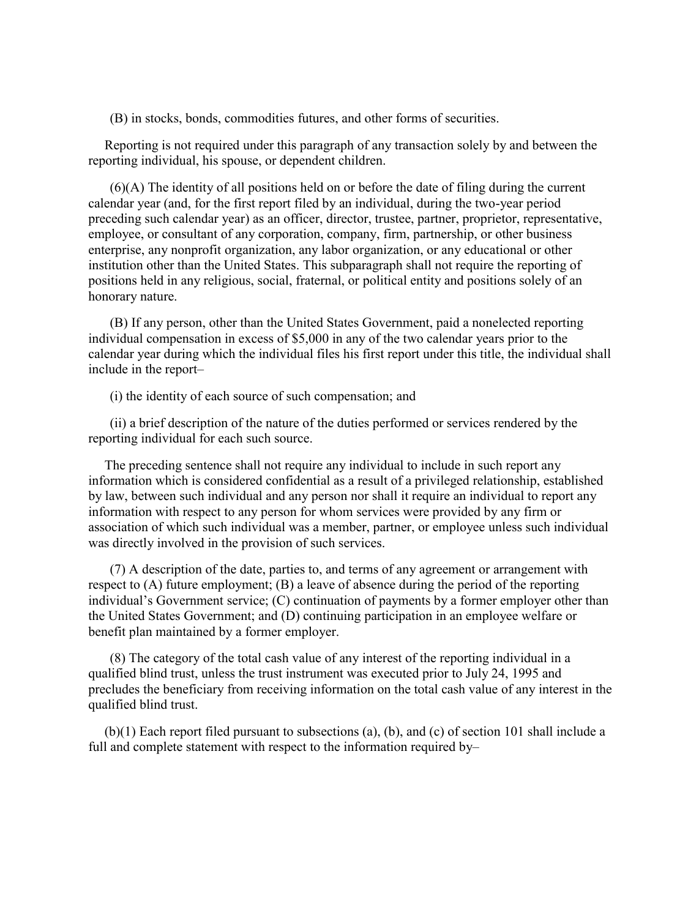(B) in stocks, bonds, commodities futures, and other forms of securities.

 Reporting is not required under this paragraph of any transaction solely by and between the reporting individual, his spouse, or dependent children.

 (6)(A) The identity of all positions held on or before the date of filing during the current calendar year (and, for the first report filed by an individual, during the two-year period preceding such calendar year) as an officer, director, trustee, partner, proprietor, representative, employee, or consultant of any corporation, company, firm, partnership, or other business enterprise, any nonprofit organization, any labor organization, or any educational or other institution other than the United States. This subparagraph shall not require the reporting of positions held in any religious, social, fraternal, or political entity and positions solely of an honorary nature.

 (B) If any person, other than the United States Government, paid a nonelected reporting individual compensation in excess of \$5,000 in any of the two calendar years prior to the calendar year during which the individual files his first report under this title, the individual shall include in the report–

(i) the identity of each source of such compensation; and

 (ii) a brief description of the nature of the duties performed or services rendered by the reporting individual for each such source.

 The preceding sentence shall not require any individual to include in such report any information which is considered confidential as a result of a privileged relationship, established by law, between such individual and any person nor shall it require an individual to report any information with respect to any person for whom services were provided by any firm or association of which such individual was a member, partner, or employee unless such individual was directly involved in the provision of such services.

 (7) A description of the date, parties to, and terms of any agreement or arrangement with respect to (A) future employment; (B) a leave of absence during the period of the reporting individual's Government service; (C) continuation of payments by a former employer other than the United States Government; and (D) continuing participation in an employee welfare or benefit plan maintained by a former employer.

 (8) The category of the total cash value of any interest of the reporting individual in a qualified blind trust, unless the trust instrument was executed prior to July 24, 1995 and precludes the beneficiary from receiving information on the total cash value of any interest in the qualified blind trust.

 (b)(1) Each report filed pursuant to subsections (a), (b), and (c) of section 101 shall include a full and complete statement with respect to the information required by–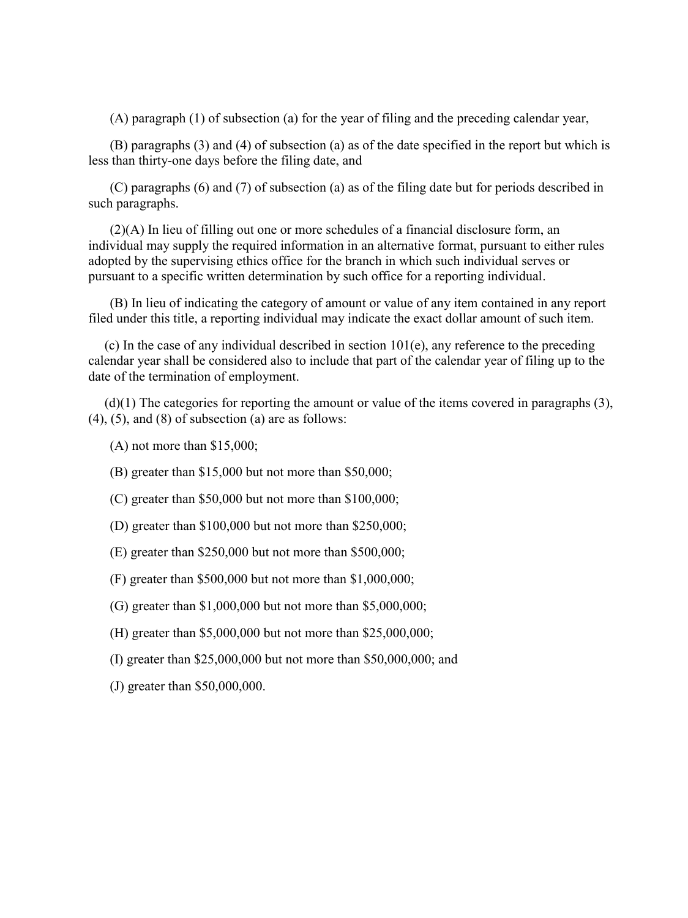(A) paragraph (1) of subsection (a) for the year of filing and the preceding calendar year,

 (B) paragraphs (3) and (4) of subsection (a) as of the date specified in the report but which is less than thirty-one days before the filing date, and

 (C) paragraphs (6) and (7) of subsection (a) as of the filing date but for periods described in such paragraphs.

 (2)(A) In lieu of filling out one or more schedules of a financial disclosure form, an individual may supply the required information in an alternative format, pursuant to either rules adopted by the supervising ethics office for the branch in which such individual serves or pursuant to a specific written determination by such office for a reporting individual.

 (B) In lieu of indicating the category of amount or value of any item contained in any report filed under this title, a reporting individual may indicate the exact dollar amount of such item.

(c) In the case of any individual described in section  $101(e)$ , any reference to the preceding calendar year shall be considered also to include that part of the calendar year of filing up to the date of the termination of employment.

 $(d)(1)$  The categories for reporting the amount or value of the items covered in paragraphs (3),  $(4)$ ,  $(5)$ , and  $(8)$  of subsection  $(a)$  are as follows:

(A) not more than \$15,000;

(B) greater than \$15,000 but not more than \$50,000;

(C) greater than \$50,000 but not more than \$100,000;

(D) greater than \$100,000 but not more than \$250,000;

(E) greater than \$250,000 but not more than \$500,000;

(F) greater than \$500,000 but not more than \$1,000,000;

(G) greater than \$1,000,000 but not more than \$5,000,000;

(H) greater than \$5,000,000 but not more than \$25,000,000;

(I) greater than \$25,000,000 but not more than \$50,000,000; and

(J) greater than \$50,000,000.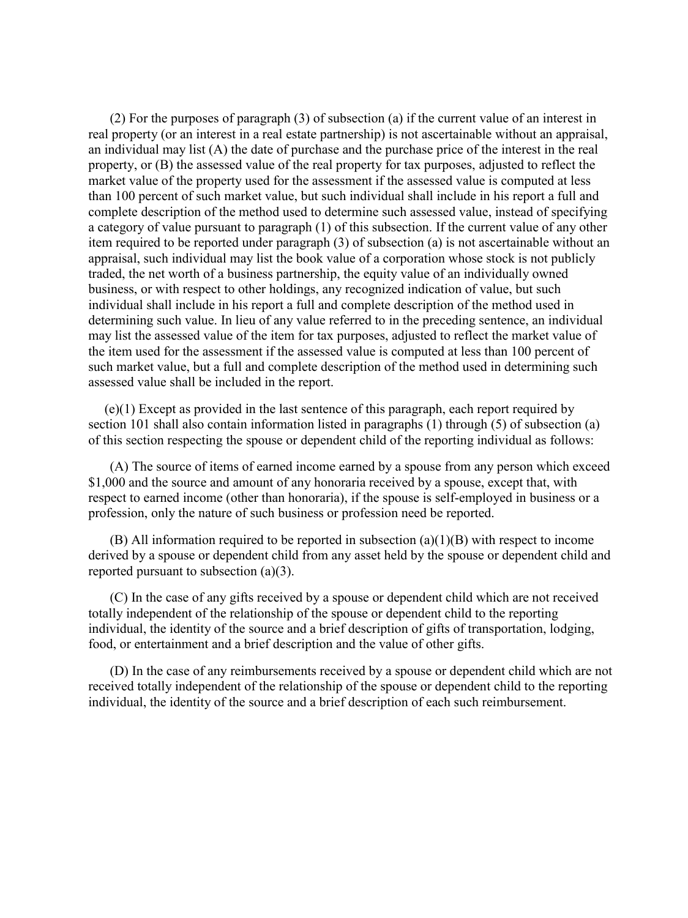(2) For the purposes of paragraph (3) of subsection (a) if the current value of an interest in real property (or an interest in a real estate partnership) is not ascertainable without an appraisal, an individual may list (A) the date of purchase and the purchase price of the interest in the real property, or (B) the assessed value of the real property for tax purposes, adjusted to reflect the market value of the property used for the assessment if the assessed value is computed at less than 100 percent of such market value, but such individual shall include in his report a full and complete description of the method used to determine such assessed value, instead of specifying a category of value pursuant to paragraph (1) of this subsection. If the current value of any other item required to be reported under paragraph (3) of subsection (a) is not ascertainable without an appraisal, such individual may list the book value of a corporation whose stock is not publicly traded, the net worth of a business partnership, the equity value of an individually owned business, or with respect to other holdings, any recognized indication of value, but such individual shall include in his report a full and complete description of the method used in determining such value. In lieu of any value referred to in the preceding sentence, an individual may list the assessed value of the item for tax purposes, adjusted to reflect the market value of the item used for the assessment if the assessed value is computed at less than 100 percent of such market value, but a full and complete description of the method used in determining such assessed value shall be included in the report.

 (e)(1) Except as provided in the last sentence of this paragraph, each report required by section 101 shall also contain information listed in paragraphs (1) through (5) of subsection (a) of this section respecting the spouse or dependent child of the reporting individual as follows:

 (A) The source of items of earned income earned by a spouse from any person which exceed \$1,000 and the source and amount of any honoraria received by a spouse, except that, with respect to earned income (other than honoraria), if the spouse is self-employed in business or a profession, only the nature of such business or profession need be reported.

 (B) All information required to be reported in subsection (a)(1)(B) with respect to income derived by a spouse or dependent child from any asset held by the spouse or dependent child and reported pursuant to subsection (a)(3).

 (C) In the case of any gifts received by a spouse or dependent child which are not received totally independent of the relationship of the spouse or dependent child to the reporting individual, the identity of the source and a brief description of gifts of transportation, lodging, food, or entertainment and a brief description and the value of other gifts.

 (D) In the case of any reimbursements received by a spouse or dependent child which are not received totally independent of the relationship of the spouse or dependent child to the reporting individual, the identity of the source and a brief description of each such reimbursement.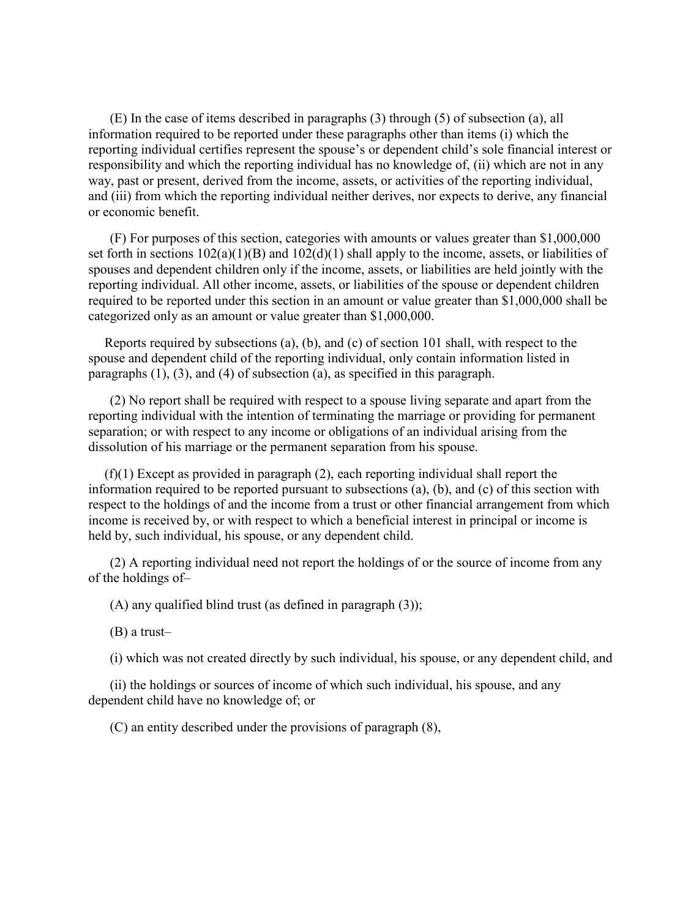(E) In the case of items described in paragraphs (3) through (5) of subsection (a), all information required to be reported under these paragraphs other than items (i) which the reporting individual certifies represent the spouse's or dependent child's sole financial interest or responsibility and which the reporting individual has no knowledge of, (ii) which are not in any way, past or present, derived from the income, assets, or activities of the reporting individual, and (iii) from which the reporting individual neither derives, nor expects to derive, any financial or economic benefit.

 (F) For purposes of this section, categories with amounts or values greater than \$1,000,000 set forth in sections  $102(a)(1)(B)$  and  $102(d)(1)$  shall apply to the income, assets, or liabilities of spouses and dependent children only if the income, assets, or liabilities are held jointly with the reporting individual. All other income, assets, or liabilities of the spouse or dependent children required to be reported under this section in an amount or value greater than \$1,000,000 shall be categorized only as an amount or value greater than \$1,000,000.

 Reports required by subsections (a), (b), and (c) of section 101 shall, with respect to the spouse and dependent child of the reporting individual, only contain information listed in paragraphs (1), (3), and (4) of subsection (a), as specified in this paragraph.

 (2) No report shall be required with respect to a spouse living separate and apart from the reporting individual with the intention of terminating the marriage or providing for permanent separation; or with respect to any income or obligations of an individual arising from the dissolution of his marriage or the permanent separation from his spouse.

 (f)(1) Except as provided in paragraph (2), each reporting individual shall report the information required to be reported pursuant to subsections (a), (b), and (c) of this section with respect to the holdings of and the income from a trust or other financial arrangement from which income is received by, or with respect to which a beneficial interest in principal or income is held by, such individual, his spouse, or any dependent child.

 (2) A reporting individual need not report the holdings of or the source of income from any of the holdings of–

(A) any qualified blind trust (as defined in paragraph (3));

(B) a trust–

(i) which was not created directly by such individual, his spouse, or any dependent child, and

 (ii) the holdings or sources of income of which such individual, his spouse, and any dependent child have no knowledge of; or

(C) an entity described under the provisions of paragraph (8),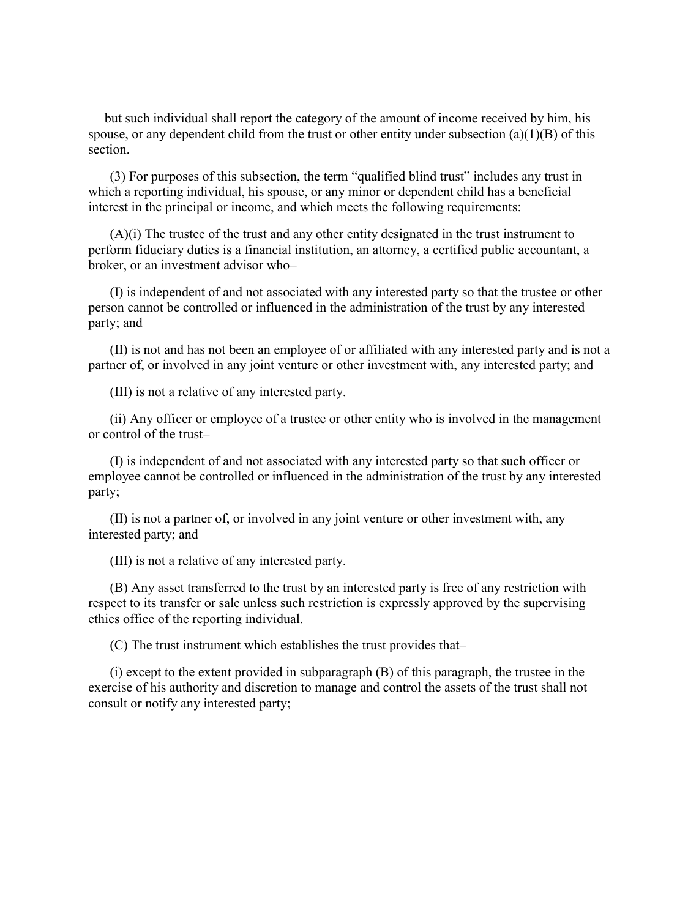but such individual shall report the category of the amount of income received by him, his spouse, or any dependent child from the trust or other entity under subsection (a)(1)(B) of this section.

 (3) For purposes of this subsection, the term "qualified blind trust" includes any trust in which a reporting individual, his spouse, or any minor or dependent child has a beneficial interest in the principal or income, and which meets the following requirements:

 (A)(i) The trustee of the trust and any other entity designated in the trust instrument to perform fiduciary duties is a financial institution, an attorney, a certified public accountant, a broker, or an investment advisor who–

 (I) is independent of and not associated with any interested party so that the trustee or other person cannot be controlled or influenced in the administration of the trust by any interested party; and

 (II) is not and has not been an employee of or affiliated with any interested party and is not a partner of, or involved in any joint venture or other investment with, any interested party; and

(III) is not a relative of any interested party.

 (ii) Any officer or employee of a trustee or other entity who is involved in the management or control of the trust–

 (I) is independent of and not associated with any interested party so that such officer or employee cannot be controlled or influenced in the administration of the trust by any interested party;

 (II) is not a partner of, or involved in any joint venture or other investment with, any interested party; and

(III) is not a relative of any interested party.

 (B) Any asset transferred to the trust by an interested party is free of any restriction with respect to its transfer or sale unless such restriction is expressly approved by the supervising ethics office of the reporting individual.

(C) The trust instrument which establishes the trust provides that–

 (i) except to the extent provided in subparagraph (B) of this paragraph, the trustee in the exercise of his authority and discretion to manage and control the assets of the trust shall not consult or notify any interested party;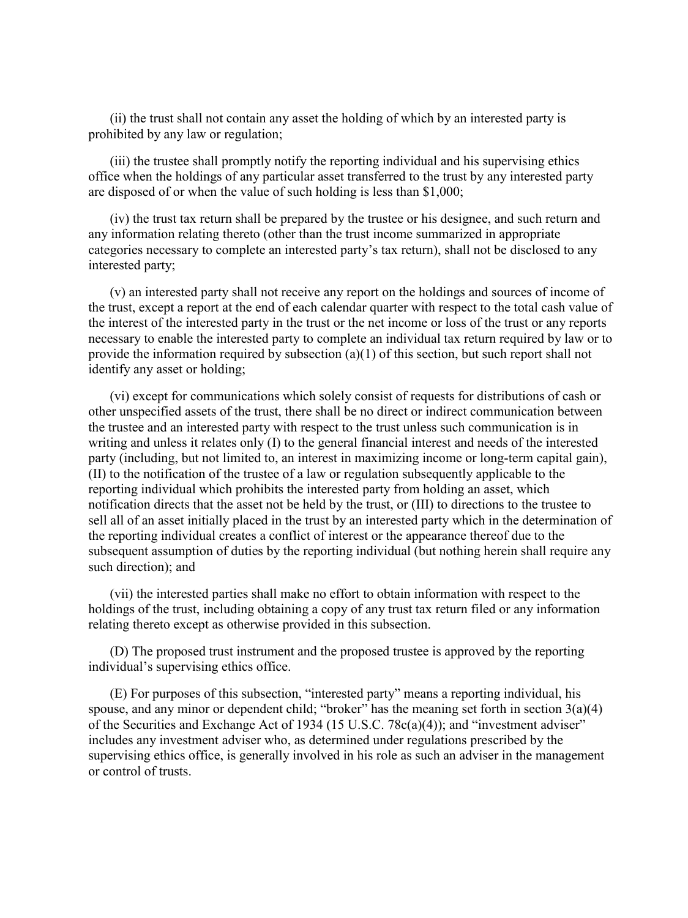(ii) the trust shall not contain any asset the holding of which by an interested party is prohibited by any law or regulation;

 (iii) the trustee shall promptly notify the reporting individual and his supervising ethics office when the holdings of any particular asset transferred to the trust by any interested party are disposed of or when the value of such holding is less than \$1,000;

 (iv) the trust tax return shall be prepared by the trustee or his designee, and such return and any information relating thereto (other than the trust income summarized in appropriate categories necessary to complete an interested party's tax return), shall not be disclosed to any interested party;

 (v) an interested party shall not receive any report on the holdings and sources of income of the trust, except a report at the end of each calendar quarter with respect to the total cash value of the interest of the interested party in the trust or the net income or loss of the trust or any reports necessary to enable the interested party to complete an individual tax return required by law or to provide the information required by subsection (a)(1) of this section, but such report shall not identify any asset or holding;

 (vi) except for communications which solely consist of requests for distributions of cash or other unspecified assets of the trust, there shall be no direct or indirect communication between the trustee and an interested party with respect to the trust unless such communication is in writing and unless it relates only (I) to the general financial interest and needs of the interested party (including, but not limited to, an interest in maximizing income or long-term capital gain), (II) to the notification of the trustee of a law or regulation subsequently applicable to the reporting individual which prohibits the interested party from holding an asset, which notification directs that the asset not be held by the trust, or (III) to directions to the trustee to sell all of an asset initially placed in the trust by an interested party which in the determination of the reporting individual creates a conflict of interest or the appearance thereof due to the subsequent assumption of duties by the reporting individual (but nothing herein shall require any such direction); and

 (vii) the interested parties shall make no effort to obtain information with respect to the holdings of the trust, including obtaining a copy of any trust tax return filed or any information relating thereto except as otherwise provided in this subsection.

 (D) The proposed trust instrument and the proposed trustee is approved by the reporting individual's supervising ethics office.

 (E) For purposes of this subsection, "interested party" means a reporting individual, his spouse, and any minor or dependent child; "broker" has the meaning set forth in section  $3(a)(4)$ of the Securities and Exchange Act of 1934 (15 U.S.C. 78c(a)(4)); and "investment adviser" includes any investment adviser who, as determined under regulations prescribed by the supervising ethics office, is generally involved in his role as such an adviser in the management or control of trusts.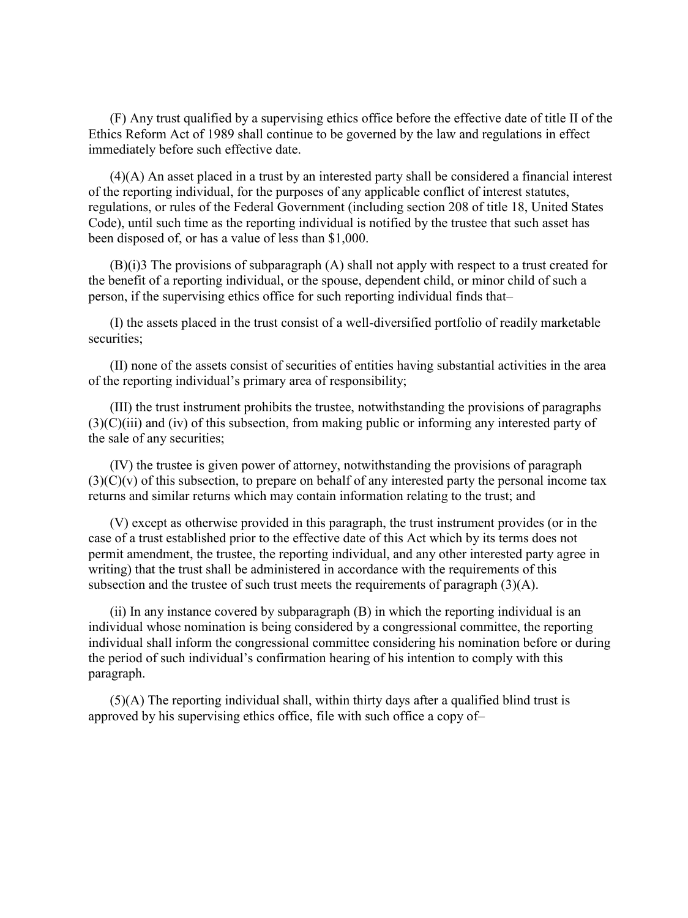(F) Any trust qualified by a supervising ethics office before the effective date of title II of the Ethics Reform Act of 1989 shall continue to be governed by the law and regulations in effect immediately before such effective date.

 (4)(A) An asset placed in a trust by an interested party shall be considered a financial interest of the reporting individual, for the purposes of any applicable conflict of interest statutes, regulations, or rules of the Federal Government (including section 208 of title 18, United States Code), until such time as the reporting individual is notified by the trustee that such asset has been disposed of, or has a value of less than \$1,000.

 (B)(i)3 The provisions of subparagraph (A) shall not apply with respect to a trust created for the benefit of a reporting individual, or the spouse, dependent child, or minor child of such a person, if the supervising ethics office for such reporting individual finds that–

 (I) the assets placed in the trust consist of a well-diversified portfolio of readily marketable securities;

 (II) none of the assets consist of securities of entities having substantial activities in the area of the reporting individual's primary area of responsibility;

 (III) the trust instrument prohibits the trustee, notwithstanding the provisions of paragraphs (3)(C)(iii) and (iv) of this subsection, from making public or informing any interested party of the sale of any securities;

 (IV) the trustee is given power of attorney, notwithstanding the provisions of paragraph  $(3)(C)(v)$  of this subsection, to prepare on behalf of any interested party the personal income tax returns and similar returns which may contain information relating to the trust; and

 (V) except as otherwise provided in this paragraph, the trust instrument provides (or in the case of a trust established prior to the effective date of this Act which by its terms does not permit amendment, the trustee, the reporting individual, and any other interested party agree in writing) that the trust shall be administered in accordance with the requirements of this subsection and the trustee of such trust meets the requirements of paragraph (3)(A).

 (ii) In any instance covered by subparagraph (B) in which the reporting individual is an individual whose nomination is being considered by a congressional committee, the reporting individual shall inform the congressional committee considering his nomination before or during the period of such individual's confirmation hearing of his intention to comply with this paragraph.

 (5)(A) The reporting individual shall, within thirty days after a qualified blind trust is approved by his supervising ethics office, file with such office a copy of–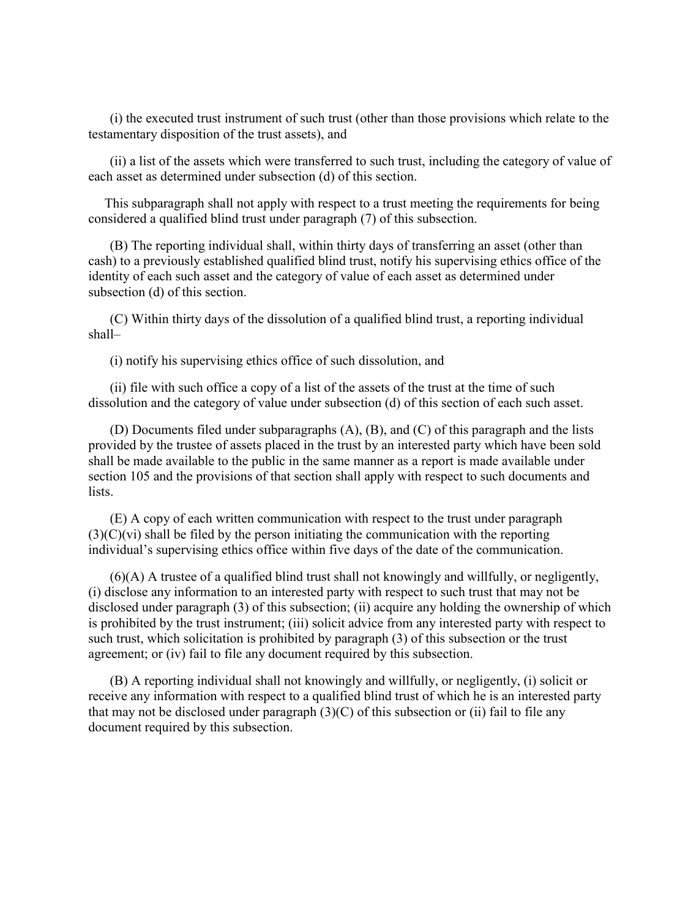(i) the executed trust instrument of such trust (other than those provisions which relate to the testamentary disposition of the trust assets), and

 (ii) a list of the assets which were transferred to such trust, including the category of value of each asset as determined under subsection (d) of this section.

 This subparagraph shall not apply with respect to a trust meeting the requirements for being considered a qualified blind trust under paragraph (7) of this subsection.

 (B) The reporting individual shall, within thirty days of transferring an asset (other than cash) to a previously established qualified blind trust, notify his supervising ethics office of the identity of each such asset and the category of value of each asset as determined under subsection (d) of this section.

 (C) Within thirty days of the dissolution of a qualified blind trust, a reporting individual shall–

(i) notify his supervising ethics office of such dissolution, and

 (ii) file with such office a copy of a list of the assets of the trust at the time of such dissolution and the category of value under subsection (d) of this section of each such asset.

 (D) Documents filed under subparagraphs (A), (B), and (C) of this paragraph and the lists provided by the trustee of assets placed in the trust by an interested party which have been sold shall be made available to the public in the same manner as a report is made available under section 105 and the provisions of that section shall apply with respect to such documents and lists.

 (E) A copy of each written communication with respect to the trust under paragraph  $(3)(C)(vi)$  shall be filed by the person initiating the communication with the reporting individual's supervising ethics office within five days of the date of the communication.

 (6)(A) A trustee of a qualified blind trust shall not knowingly and willfully, or negligently, (i) disclose any information to an interested party with respect to such trust that may not be disclosed under paragraph (3) of this subsection; (ii) acquire any holding the ownership of which is prohibited by the trust instrument; (iii) solicit advice from any interested party with respect to such trust, which solicitation is prohibited by paragraph (3) of this subsection or the trust agreement; or (iv) fail to file any document required by this subsection.

 (B) A reporting individual shall not knowingly and willfully, or negligently, (i) solicit or receive any information with respect to a qualified blind trust of which he is an interested party that may not be disclosed under paragraph  $(3)(C)$  of this subsection or (ii) fail to file any document required by this subsection.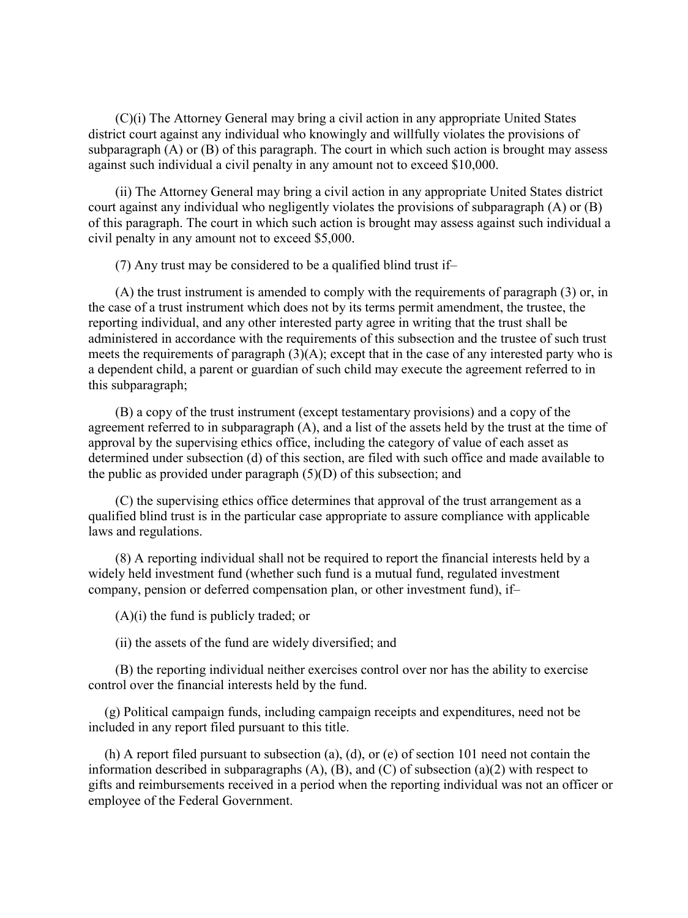(C)(i) The Attorney General may bring a civil action in any appropriate United States district court against any individual who knowingly and willfully violates the provisions of subparagraph (A) or (B) of this paragraph. The court in which such action is brought may assess against such individual a civil penalty in any amount not to exceed \$10,000.

 (ii) The Attorney General may bring a civil action in any appropriate United States district court against any individual who negligently violates the provisions of subparagraph (A) or (B) of this paragraph. The court in which such action is brought may assess against such individual a civil penalty in any amount not to exceed \$5,000.

(7) Any trust may be considered to be a qualified blind trust if–

 (A) the trust instrument is amended to comply with the requirements of paragraph (3) or, in the case of a trust instrument which does not by its terms permit amendment, the trustee, the reporting individual, and any other interested party agree in writing that the trust shall be administered in accordance with the requirements of this subsection and the trustee of such trust meets the requirements of paragraph  $(3)(A)$ ; except that in the case of any interested party who is a dependent child, a parent or guardian of such child may execute the agreement referred to in this subparagraph;

 (B) a copy of the trust instrument (except testamentary provisions) and a copy of the agreement referred to in subparagraph (A), and a list of the assets held by the trust at the time of approval by the supervising ethics office, including the category of value of each asset as determined under subsection (d) of this section, are filed with such office and made available to the public as provided under paragraph  $(5)(D)$  of this subsection; and

 (C) the supervising ethics office determines that approval of the trust arrangement as a qualified blind trust is in the particular case appropriate to assure compliance with applicable laws and regulations.

 (8) A reporting individual shall not be required to report the financial interests held by a widely held investment fund (whether such fund is a mutual fund, regulated investment company, pension or deferred compensation plan, or other investment fund), if–

(A)(i) the fund is publicly traded; or

(ii) the assets of the fund are widely diversified; and

 (B) the reporting individual neither exercises control over nor has the ability to exercise control over the financial interests held by the fund.

 (g) Political campaign funds, including campaign receipts and expenditures, need not be included in any report filed pursuant to this title.

 (h) A report filed pursuant to subsection (a), (d), or (e) of section 101 need not contain the information described in subparagraphs  $(A)$ ,  $(B)$ , and  $(C)$  of subsection  $(a)(2)$  with respect to gifts and reimbursements received in a period when the reporting individual was not an officer or employee of the Federal Government.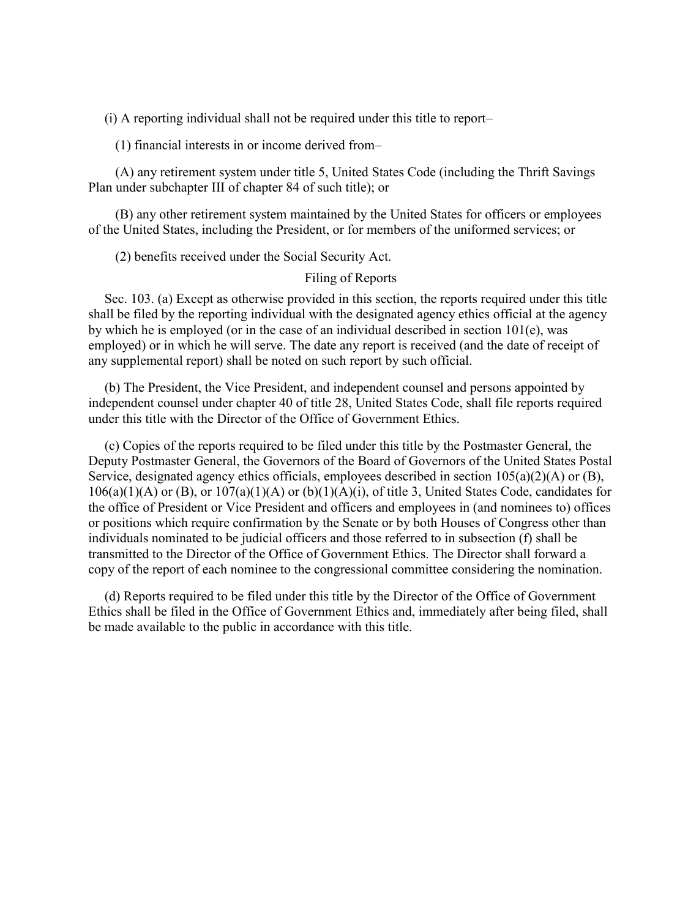(i) A reporting individual shall not be required under this title to report–

(1) financial interests in or income derived from–

 (A) any retirement system under title 5, United States Code (including the Thrift Savings Plan under subchapter III of chapter 84 of such title); or

 (B) any other retirement system maintained by the United States for officers or employees of the United States, including the President, or for members of the uniformed services; or

(2) benefits received under the Social Security Act.

#### Filing of Reports

 Sec. 103. (a) Except as otherwise provided in this section, the reports required under this title shall be filed by the reporting individual with the designated agency ethics official at the agency by which he is employed (or in the case of an individual described in section 101(e), was employed) or in which he will serve. The date any report is received (and the date of receipt of any supplemental report) shall be noted on such report by such official.

 (b) The President, the Vice President, and independent counsel and persons appointed by independent counsel under chapter 40 of title 28, United States Code, shall file reports required under this title with the Director of the Office of Government Ethics.

 (c) Copies of the reports required to be filed under this title by the Postmaster General, the Deputy Postmaster General, the Governors of the Board of Governors of the United States Postal Service, designated agency ethics officials, employees described in section 105(a)(2)(A) or (B),  $106(a)(1)(A)$  or  $(B)$ , or  $107(a)(1)(A)$  or  $(b)(1)(A)(i)$ , of title 3, United States Code, candidates for the office of President or Vice President and officers and employees in (and nominees to) offices or positions which require confirmation by the Senate or by both Houses of Congress other than individuals nominated to be judicial officers and those referred to in subsection (f) shall be transmitted to the Director of the Office of Government Ethics. The Director shall forward a copy of the report of each nominee to the congressional committee considering the nomination.

 (d) Reports required to be filed under this title by the Director of the Office of Government Ethics shall be filed in the Office of Government Ethics and, immediately after being filed, shall be made available to the public in accordance with this title.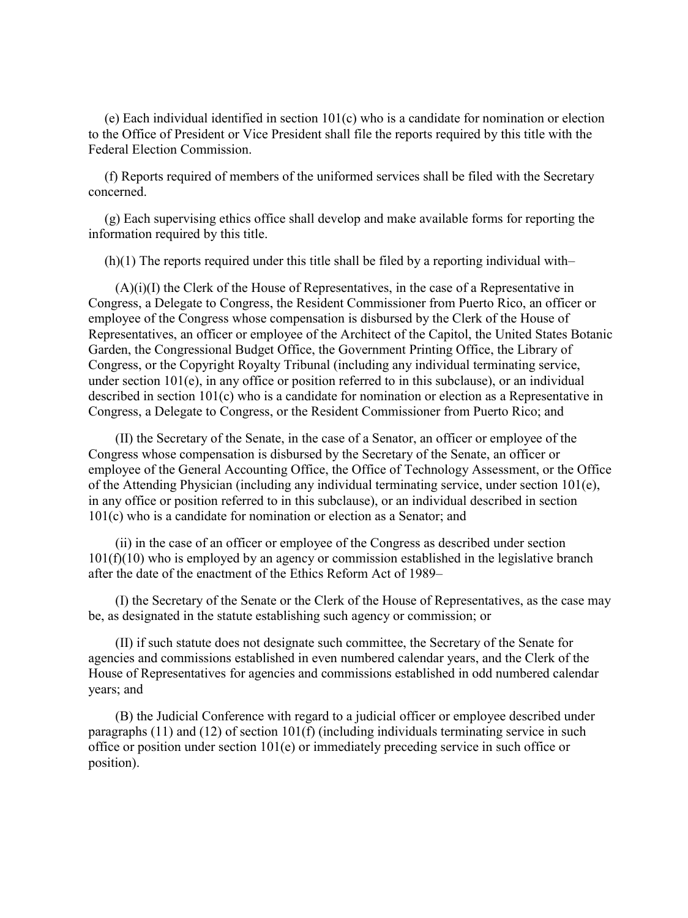(e) Each individual identified in section 101(c) who is a candidate for nomination or election to the Office of President or Vice President shall file the reports required by this title with the Federal Election Commission.

 (f) Reports required of members of the uniformed services shall be filed with the Secretary concerned.

 (g) Each supervising ethics office shall develop and make available forms for reporting the information required by this title.

(h)(1) The reports required under this title shall be filed by a reporting individual with–

 $(A)(i)$  the Clerk of the House of Representatives, in the case of a Representative in Congress, a Delegate to Congress, the Resident Commissioner from Puerto Rico, an officer or employee of the Congress whose compensation is disbursed by the Clerk of the House of Representatives, an officer or employee of the Architect of the Capitol, the United States Botanic Garden, the Congressional Budget Office, the Government Printing Office, the Library of Congress, or the Copyright Royalty Tribunal (including any individual terminating service, under section 101(e), in any office or position referred to in this subclause), or an individual described in section 101(c) who is a candidate for nomination or election as a Representative in Congress, a Delegate to Congress, or the Resident Commissioner from Puerto Rico; and

 (II) the Secretary of the Senate, in the case of a Senator, an officer or employee of the Congress whose compensation is disbursed by the Secretary of the Senate, an officer or employee of the General Accounting Office, the Office of Technology Assessment, or the Office of the Attending Physician (including any individual terminating service, under section 101(e), in any office or position referred to in this subclause), or an individual described in section 101(c) who is a candidate for nomination or election as a Senator; and

 (ii) in the case of an officer or employee of the Congress as described under section 101(f)(10) who is employed by an agency or commission established in the legislative branch after the date of the enactment of the Ethics Reform Act of 1989–

 (I) the Secretary of the Senate or the Clerk of the House of Representatives, as the case may be, as designated in the statute establishing such agency or commission; or

 (II) if such statute does not designate such committee, the Secretary of the Senate for agencies and commissions established in even numbered calendar years, and the Clerk of the House of Representatives for agencies and commissions established in odd numbered calendar years; and

 (B) the Judicial Conference with regard to a judicial officer or employee described under paragraphs (11) and (12) of section 101(f) (including individuals terminating service in such office or position under section 101(e) or immediately preceding service in such office or position).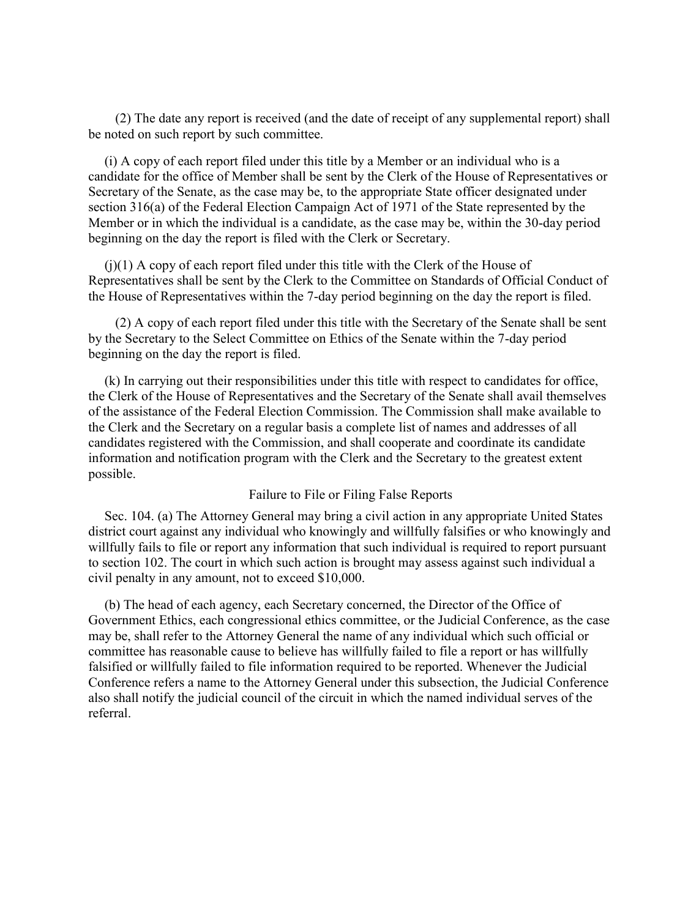(2) The date any report is received (and the date of receipt of any supplemental report) shall be noted on such report by such committee.

 (i) A copy of each report filed under this title by a Member or an individual who is a candidate for the office of Member shall be sent by the Clerk of the House of Representatives or Secretary of the Senate, as the case may be, to the appropriate State officer designated under section 316(a) of the Federal Election Campaign Act of 1971 of the State represented by the Member or in which the individual is a candidate, as the case may be, within the 30-day period beginning on the day the report is filed with the Clerk or Secretary.

 $(i)(1)$  A copy of each report filed under this title with the Clerk of the House of Representatives shall be sent by the Clerk to the Committee on Standards of Official Conduct of the House of Representatives within the 7-day period beginning on the day the report is filed.

 (2) A copy of each report filed under this title with the Secretary of the Senate shall be sent by the Secretary to the Select Committee on Ethics of the Senate within the 7-day period beginning on the day the report is filed.

 (k) In carrying out their responsibilities under this title with respect to candidates for office, the Clerk of the House of Representatives and the Secretary of the Senate shall avail themselves of the assistance of the Federal Election Commission. The Commission shall make available to the Clerk and the Secretary on a regular basis a complete list of names and addresses of all candidates registered with the Commission, and shall cooperate and coordinate its candidate information and notification program with the Clerk and the Secretary to the greatest extent possible.

Failure to File or Filing False Reports

 Sec. 104. (a) The Attorney General may bring a civil action in any appropriate United States district court against any individual who knowingly and willfully falsifies or who knowingly and willfully fails to file or report any information that such individual is required to report pursuant to section 102. The court in which such action is brought may assess against such individual a civil penalty in any amount, not to exceed \$10,000.

 (b) The head of each agency, each Secretary concerned, the Director of the Office of Government Ethics, each congressional ethics committee, or the Judicial Conference, as the case may be, shall refer to the Attorney General the name of any individual which such official or committee has reasonable cause to believe has willfully failed to file a report or has willfully falsified or willfully failed to file information required to be reported. Whenever the Judicial Conference refers a name to the Attorney General under this subsection, the Judicial Conference also shall notify the judicial council of the circuit in which the named individual serves of the referral.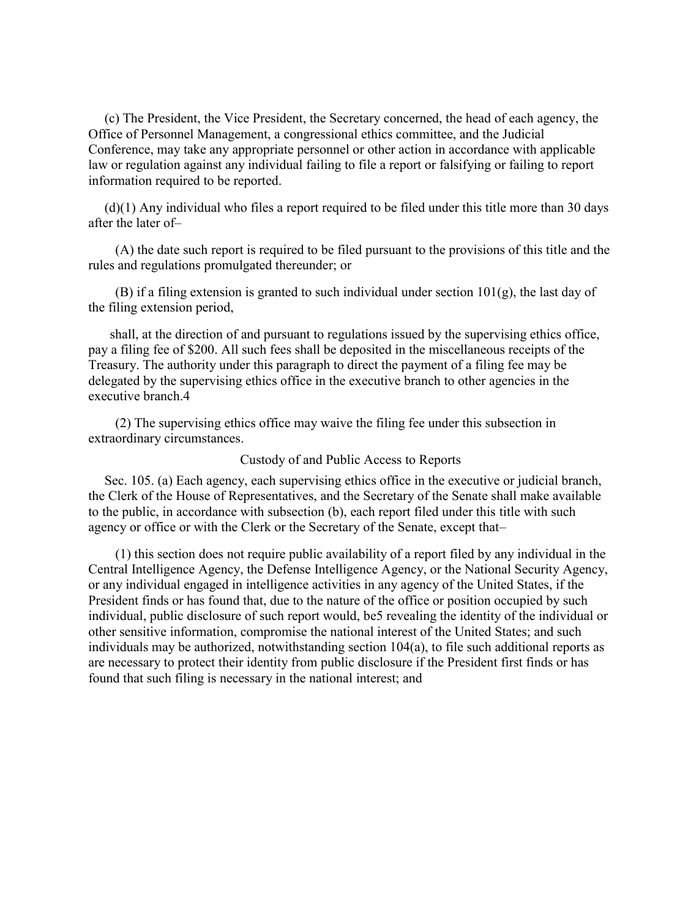(c) The President, the Vice President, the Secretary concerned, the head of each agency, the Office of Personnel Management, a congressional ethics committee, and the Judicial Conference, may take any appropriate personnel or other action in accordance with applicable law or regulation against any individual failing to file a report or falsifying or failing to report information required to be reported.

 $(d)(1)$  Any individual who files a report required to be filed under this title more than 30 days after the later of–

 (A) the date such report is required to be filed pursuant to the provisions of this title and the rules and regulations promulgated thereunder; or

 (B) if a filing extension is granted to such individual under section 101(g), the last day of the filing extension period,

 shall, at the direction of and pursuant to regulations issued by the supervising ethics office, pay a filing fee of \$200. All such fees shall be deposited in the miscellaneous receipts of the Treasury. The authority under this paragraph to direct the payment of a filing fee may be delegated by the supervising ethics office in the executive branch to other agencies in the executive branch 4

 (2) The supervising ethics office may waive the filing fee under this subsection in extraordinary circumstances.

Custody of and Public Access to Reports

 Sec. 105. (a) Each agency, each supervising ethics office in the executive or judicial branch, the Clerk of the House of Representatives, and the Secretary of the Senate shall make available to the public, in accordance with subsection (b), each report filed under this title with such agency or office or with the Clerk or the Secretary of the Senate, except that–

 (1) this section does not require public availability of a report filed by any individual in the Central Intelligence Agency, the Defense Intelligence Agency, or the National Security Agency, or any individual engaged in intelligence activities in any agency of the United States, if the President finds or has found that, due to the nature of the office or position occupied by such individual, public disclosure of such report would, be5 revealing the identity of the individual or other sensitive information, compromise the national interest of the United States; and such individuals may be authorized, notwithstanding section 104(a), to file such additional reports as are necessary to protect their identity from public disclosure if the President first finds or has found that such filing is necessary in the national interest; and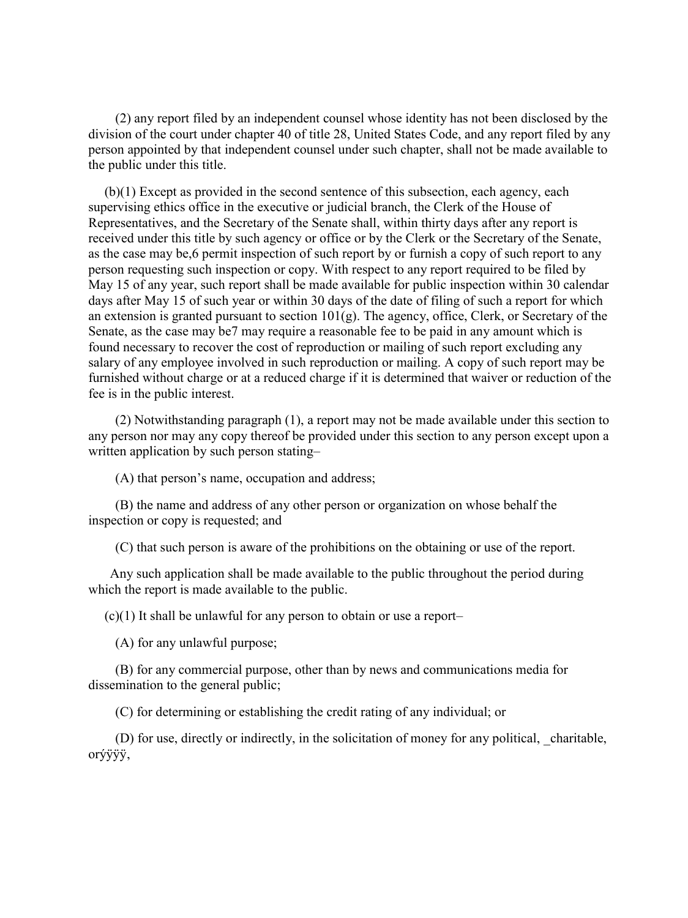(2) any report filed by an independent counsel whose identity has not been disclosed by the division of the court under chapter 40 of title 28, United States Code, and any report filed by any person appointed by that independent counsel under such chapter, shall not be made available to the public under this title.

 (b)(1) Except as provided in the second sentence of this subsection, each agency, each supervising ethics office in the executive or judicial branch, the Clerk of the House of Representatives, and the Secretary of the Senate shall, within thirty days after any report is received under this title by such agency or office or by the Clerk or the Secretary of the Senate, as the case may be,6 permit inspection of such report by or furnish a copy of such report to any person requesting such inspection or copy. With respect to any report required to be filed by May 15 of any year, such report shall be made available for public inspection within 30 calendar days after May 15 of such year or within 30 days of the date of filing of such a report for which an extension is granted pursuant to section  $101(g)$ . The agency, office, Clerk, or Secretary of the Senate, as the case may be7 may require a reasonable fee to be paid in any amount which is found necessary to recover the cost of reproduction or mailing of such report excluding any salary of any employee involved in such reproduction or mailing. A copy of such report may be furnished without charge or at a reduced charge if it is determined that waiver or reduction of the fee is in the public interest.

 (2) Notwithstanding paragraph (1), a report may not be made available under this section to any person nor may any copy thereof be provided under this section to any person except upon a written application by such person stating–

(A) that person's name, occupation and address;

 (B) the name and address of any other person or organization on whose behalf the inspection or copy is requested; and

(C) that such person is aware of the prohibitions on the obtaining or use of the report.

 Any such application shall be made available to the public throughout the period during which the report is made available to the public.

 $(c)(1)$  It shall be unlawful for any person to obtain or use a report–

(A) for any unlawful purpose;

 (B) for any commercial purpose, other than by news and communications media for dissemination to the general public;

(C) for determining or establishing the credit rating of any individual; or

 (D) for use, directly or indirectly, in the solicitation of money for any political, \_charitable, orýÿÿÿ'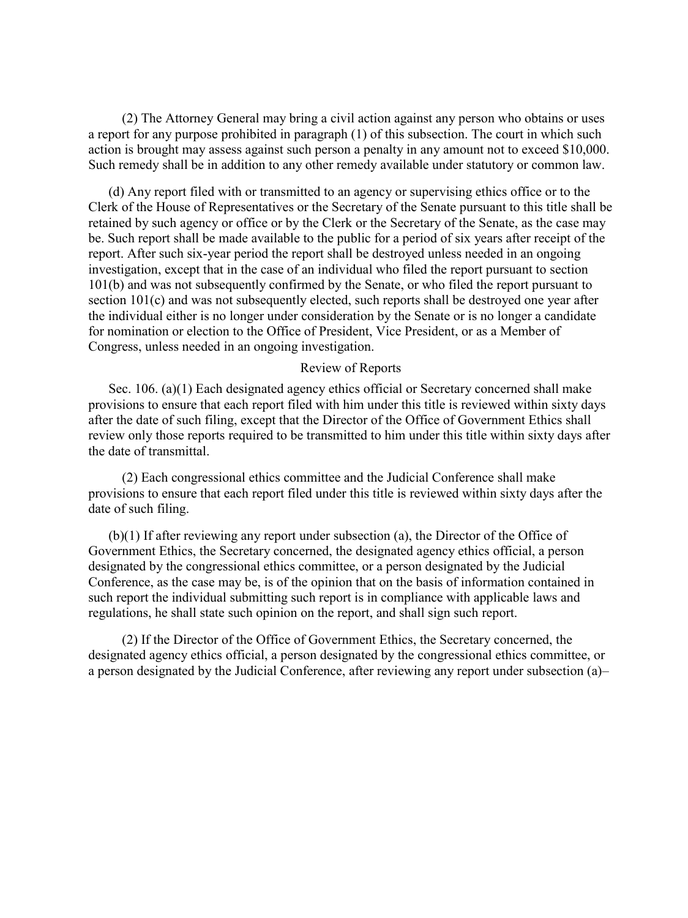(2) The Attorney General may bring a civil action against any person who obtains or uses a report for any purpose prohibited in paragraph (1) of this subsection. The court in which such action is brought may assess against such person a penalty in any amount not to exceed \$10,000. Such remedy shall be in addition to any other remedy available under statutory or common law.

 (d) Any report filed with or transmitted to an agency or supervising ethics office or to the Clerk of the House of Representatives or the Secretary of the Senate pursuant to this title shall be retained by such agency or office or by the Clerk or the Secretary of the Senate, as the case may be. Such report shall be made available to the public for a period of six years after receipt of the report. After such six-year period the report shall be destroyed unless needed in an ongoing investigation, except that in the case of an individual who filed the report pursuant to section 101(b) and was not subsequently confirmed by the Senate, or who filed the report pursuant to section 101(c) and was not subsequently elected, such reports shall be destroyed one year after the individual either is no longer under consideration by the Senate or is no longer a candidate for nomination or election to the Office of President, Vice President, or as a Member of Congress, unless needed in an ongoing investigation.

### Review of Reports

 Sec. 106. (a)(1) Each designated agency ethics official or Secretary concerned shall make provisions to ensure that each report filed with him under this title is reviewed within sixty days after the date of such filing, except that the Director of the Office of Government Ethics shall review only those reports required to be transmitted to him under this title within sixty days after the date of transmittal.

 (2) Each congressional ethics committee and the Judicial Conference shall make provisions to ensure that each report filed under this title is reviewed within sixty days after the date of such filing.

 (b)(1) If after reviewing any report under subsection (a), the Director of the Office of Government Ethics, the Secretary concerned, the designated agency ethics official, a person designated by the congressional ethics committee, or a person designated by the Judicial Conference, as the case may be, is of the opinion that on the basis of information contained in such report the individual submitting such report is in compliance with applicable laws and regulations, he shall state such opinion on the report, and shall sign such report.

 (2) If the Director of the Office of Government Ethics, the Secretary concerned, the designated agency ethics official, a person designated by the congressional ethics committee, or a person designated by the Judicial Conference, after reviewing any report under subsection (a)–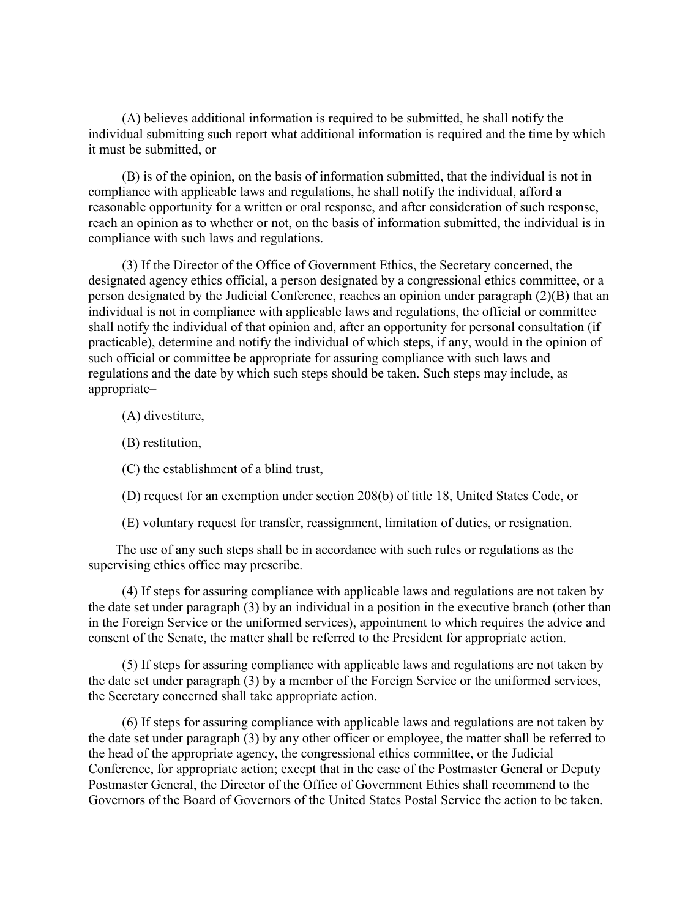(A) believes additional information is required to be submitted, he shall notify the individual submitting such report what additional information is required and the time by which it must be submitted, or

 (B) is of the opinion, on the basis of information submitted, that the individual is not in compliance with applicable laws and regulations, he shall notify the individual, afford a reasonable opportunity for a written or oral response, and after consideration of such response, reach an opinion as to whether or not, on the basis of information submitted, the individual is in compliance with such laws and regulations.

 (3) If the Director of the Office of Government Ethics, the Secretary concerned, the designated agency ethics official, a person designated by a congressional ethics committee, or a person designated by the Judicial Conference, reaches an opinion under paragraph (2)(B) that an individual is not in compliance with applicable laws and regulations, the official or committee shall notify the individual of that opinion and, after an opportunity for personal consultation (if practicable), determine and notify the individual of which steps, if any, would in the opinion of such official or committee be appropriate for assuring compliance with such laws and regulations and the date by which such steps should be taken. Such steps may include, as appropriate–

(A) divestiture,

(B) restitution,

(C) the establishment of a blind trust,

(D) request for an exemption under section 208(b) of title 18, United States Code, or

(E) voluntary request for transfer, reassignment, limitation of duties, or resignation.

 The use of any such steps shall be in accordance with such rules or regulations as the supervising ethics office may prescribe.

 (4) If steps for assuring compliance with applicable laws and regulations are not taken by the date set under paragraph (3) by an individual in a position in the executive branch (other than in the Foreign Service or the uniformed services), appointment to which requires the advice and consent of the Senate, the matter shall be referred to the President for appropriate action.

 (5) If steps for assuring compliance with applicable laws and regulations are not taken by the date set under paragraph (3) by a member of the Foreign Service or the uniformed services, the Secretary concerned shall take appropriate action.

 (6) If steps for assuring compliance with applicable laws and regulations are not taken by the date set under paragraph (3) by any other officer or employee, the matter shall be referred to the head of the appropriate agency, the congressional ethics committee, or the Judicial Conference, for appropriate action; except that in the case of the Postmaster General or Deputy Postmaster General, the Director of the Office of Government Ethics shall recommend to the Governors of the Board of Governors of the United States Postal Service the action to be taken.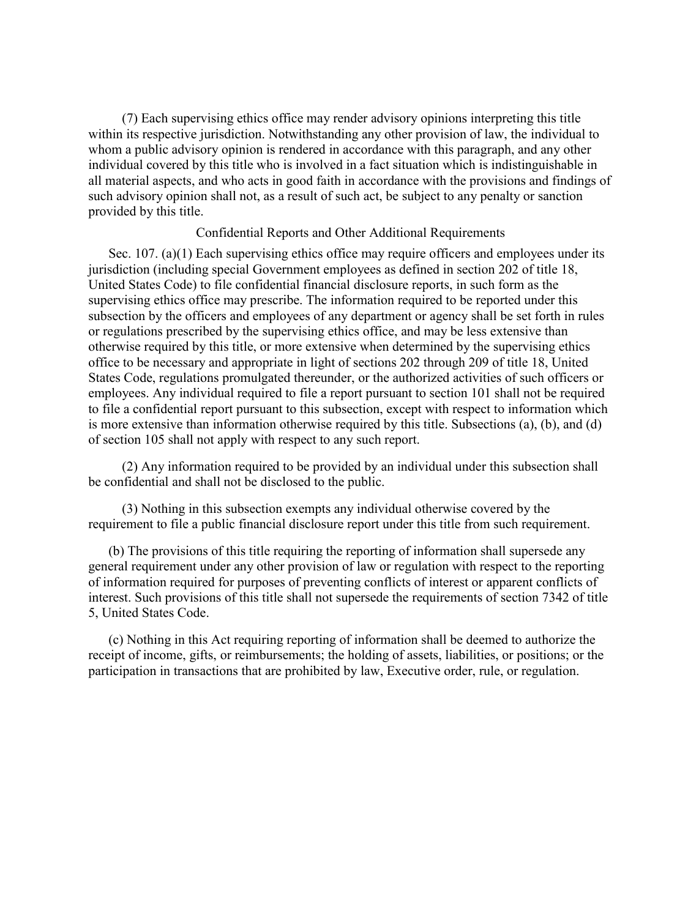(7) Each supervising ethics office may render advisory opinions interpreting this title within its respective jurisdiction. Notwithstanding any other provision of law, the individual to whom a public advisory opinion is rendered in accordance with this paragraph, and any other individual covered by this title who is involved in a fact situation which is indistinguishable in all material aspects, and who acts in good faith in accordance with the provisions and findings of such advisory opinion shall not, as a result of such act, be subject to any penalty or sanction provided by this title.

### Confidential Reports and Other Additional Requirements

 Sec. 107. (a)(1) Each supervising ethics office may require officers and employees under its jurisdiction (including special Government employees as defined in section 202 of title 18, United States Code) to file confidential financial disclosure reports, in such form as the supervising ethics office may prescribe. The information required to be reported under this subsection by the officers and employees of any department or agency shall be set forth in rules or regulations prescribed by the supervising ethics office, and may be less extensive than otherwise required by this title, or more extensive when determined by the supervising ethics office to be necessary and appropriate in light of sections 202 through 209 of title 18, United States Code, regulations promulgated thereunder, or the authorized activities of such officers or employees. Any individual required to file a report pursuant to section 101 shall not be required to file a confidential report pursuant to this subsection, except with respect to information which is more extensive than information otherwise required by this title. Subsections (a), (b), and (d) of section 105 shall not apply with respect to any such report.

 (2) Any information required to be provided by an individual under this subsection shall be confidential and shall not be disclosed to the public.

 (3) Nothing in this subsection exempts any individual otherwise covered by the requirement to file a public financial disclosure report under this title from such requirement.

 (b) The provisions of this title requiring the reporting of information shall supersede any general requirement under any other provision of law or regulation with respect to the reporting of information required for purposes of preventing conflicts of interest or apparent conflicts of interest. Such provisions of this title shall not supersede the requirements of section 7342 of title 5, United States Code.

 (c) Nothing in this Act requiring reporting of information shall be deemed to authorize the receipt of income, gifts, or reimbursements; the holding of assets, liabilities, or positions; or the participation in transactions that are prohibited by law, Executive order, rule, or regulation.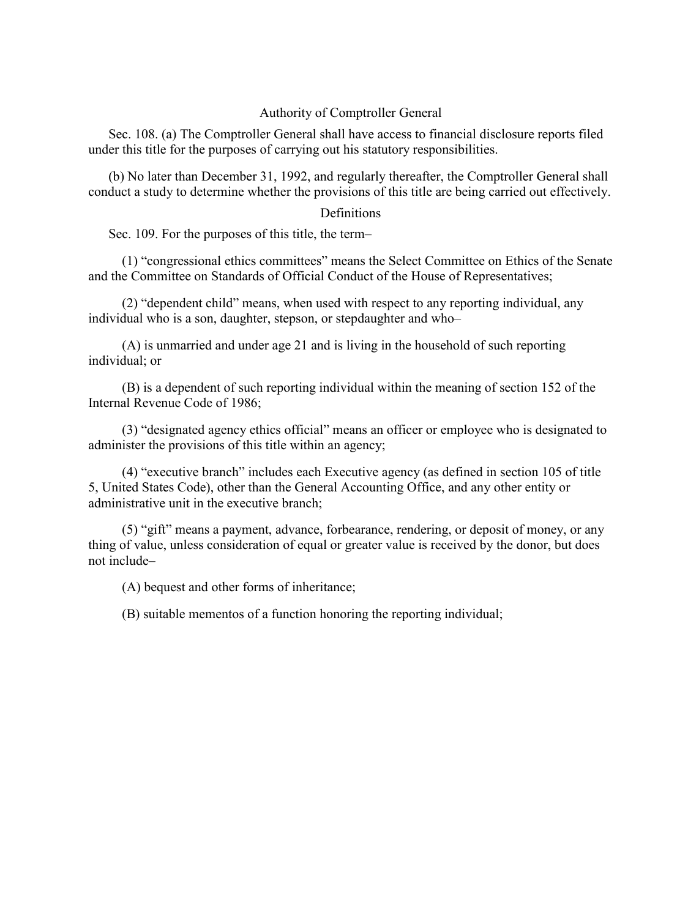## Authority of Comptroller General

 Sec. 108. (a) The Comptroller General shall have access to financial disclosure reports filed under this title for the purposes of carrying out his statutory responsibilities.

 (b) No later than December 31, 1992, and regularly thereafter, the Comptroller General shall conduct a study to determine whether the provisions of this title are being carried out effectively.

### **Definitions**

Sec. 109. For the purposes of this title, the term–

 (1) "congressional ethics committees" means the Select Committee on Ethics of the Senate and the Committee on Standards of Official Conduct of the House of Representatives;

 (2) "dependent child" means, when used with respect to any reporting individual, any individual who is a son, daughter, stepson, or stepdaughter and who–

 (A) is unmarried and under age 21 and is living in the household of such reporting individual; or

 (B) is a dependent of such reporting individual within the meaning of section 152 of the Internal Revenue Code of 1986;

 (3) "designated agency ethics official" means an officer or employee who is designated to administer the provisions of this title within an agency;

 (4) "executive branch" includes each Executive agency (as defined in section 105 of title 5, United States Code), other than the General Accounting Office, and any other entity or administrative unit in the executive branch;

 (5) "gift" means a payment, advance, forbearance, rendering, or deposit of money, or any thing of value, unless consideration of equal or greater value is received by the donor, but does not include–

(A) bequest and other forms of inheritance;

(B) suitable mementos of a function honoring the reporting individual;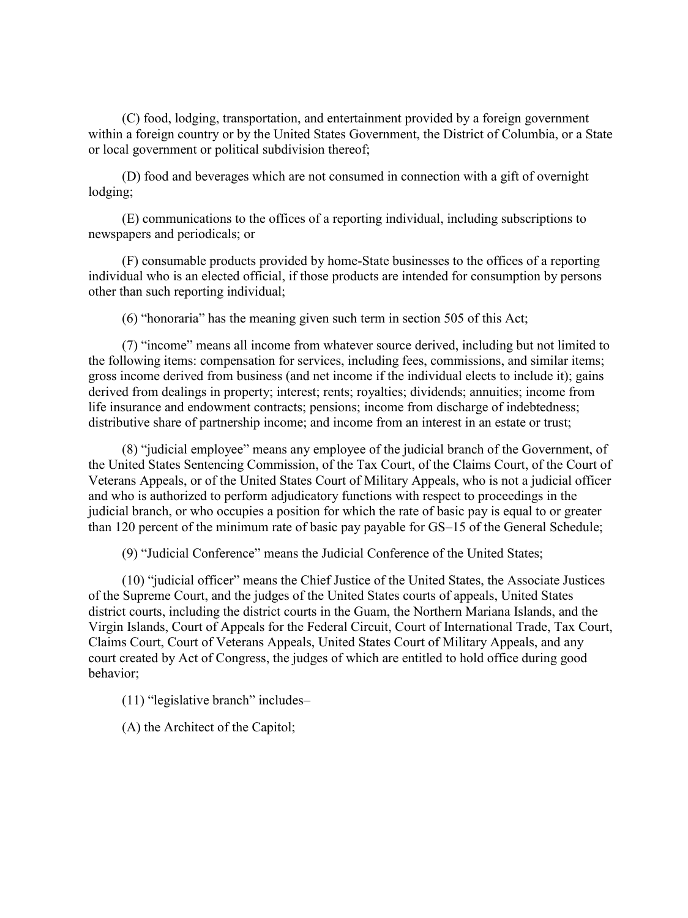(C) food, lodging, transportation, and entertainment provided by a foreign government within a foreign country or by the United States Government, the District of Columbia, or a State or local government or political subdivision thereof;

 (D) food and beverages which are not consumed in connection with a gift of overnight lodging;

 (E) communications to the offices of a reporting individual, including subscriptions to newspapers and periodicals; or

 (F) consumable products provided by home-State businesses to the offices of a reporting individual who is an elected official, if those products are intended for consumption by persons other than such reporting individual;

(6) "honoraria" has the meaning given such term in section 505 of this Act;

 (7) "income" means all income from whatever source derived, including but not limited to the following items: compensation for services, including fees, commissions, and similar items; gross income derived from business (and net income if the individual elects to include it); gains derived from dealings in property; interest; rents; royalties; dividends; annuities; income from life insurance and endowment contracts; pensions; income from discharge of indebtedness; distributive share of partnership income; and income from an interest in an estate or trust;

 (8) "judicial employee" means any employee of the judicial branch of the Government, of the United States Sentencing Commission, of the Tax Court, of the Claims Court, of the Court of Veterans Appeals, or of the United States Court of Military Appeals, who is not a judicial officer and who is authorized to perform adjudicatory functions with respect to proceedings in the judicial branch, or who occupies a position for which the rate of basic pay is equal to or greater than 120 percent of the minimum rate of basic pay payable for GS–15 of the General Schedule;

(9) "Judicial Conference" means the Judicial Conference of the United States;

 (10) "judicial officer" means the Chief Justice of the United States, the Associate Justices of the Supreme Court, and the judges of the United States courts of appeals, United States district courts, including the district courts in the Guam, the Northern Mariana Islands, and the Virgin Islands, Court of Appeals for the Federal Circuit, Court of International Trade, Tax Court, Claims Court, Court of Veterans Appeals, United States Court of Military Appeals, and any court created by Act of Congress, the judges of which are entitled to hold office during good behavior;

(11) "legislative branch" includes–

(A) the Architect of the Capitol;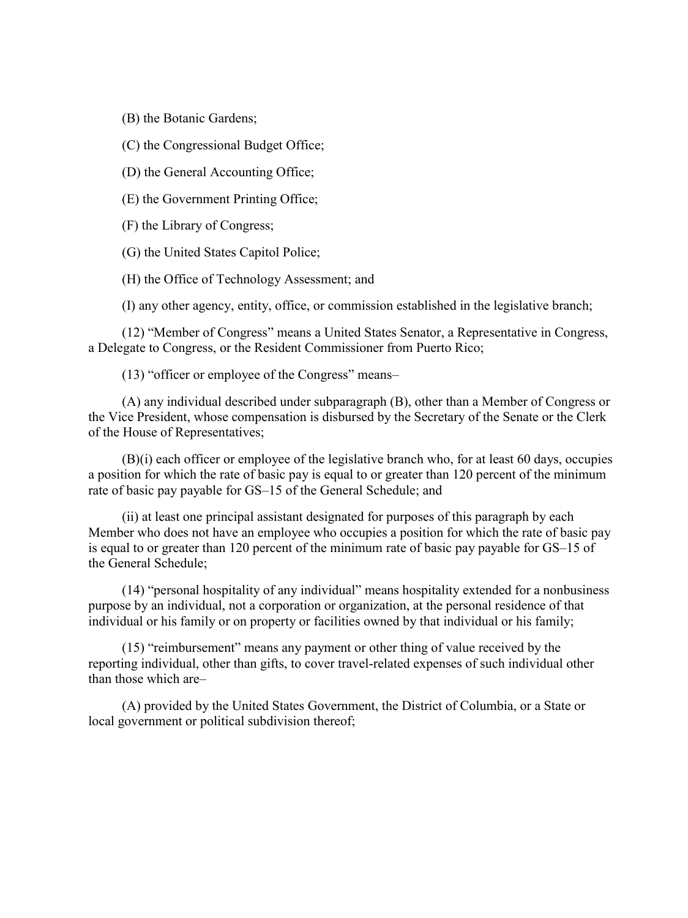(B) the Botanic Gardens;

(C) the Congressional Budget Office;

(D) the General Accounting Office;

(E) the Government Printing Office;

(F) the Library of Congress;

(G) the United States Capitol Police;

(H) the Office of Technology Assessment; and

(I) any other agency, entity, office, or commission established in the legislative branch;

 (12) "Member of Congress" means a United States Senator, a Representative in Congress, a Delegate to Congress, or the Resident Commissioner from Puerto Rico;

(13) "officer or employee of the Congress" means–

 (A) any individual described under subparagraph (B), other than a Member of Congress or the Vice President, whose compensation is disbursed by the Secretary of the Senate or the Clerk of the House of Representatives;

 (B)(i) each officer or employee of the legislative branch who, for at least 60 days, occupies a position for which the rate of basic pay is equal to or greater than 120 percent of the minimum rate of basic pay payable for GS–15 of the General Schedule; and

 (ii) at least one principal assistant designated for purposes of this paragraph by each Member who does not have an employee who occupies a position for which the rate of basic pay is equal to or greater than 120 percent of the minimum rate of basic pay payable for GS–15 of the General Schedule;

 (14) "personal hospitality of any individual" means hospitality extended for a nonbusiness purpose by an individual, not a corporation or organization, at the personal residence of that individual or his family or on property or facilities owned by that individual or his family;

 (15) "reimbursement" means any payment or other thing of value received by the reporting individual, other than gifts, to cover travel-related expenses of such individual other than those which are–

 (A) provided by the United States Government, the District of Columbia, or a State or local government or political subdivision thereof;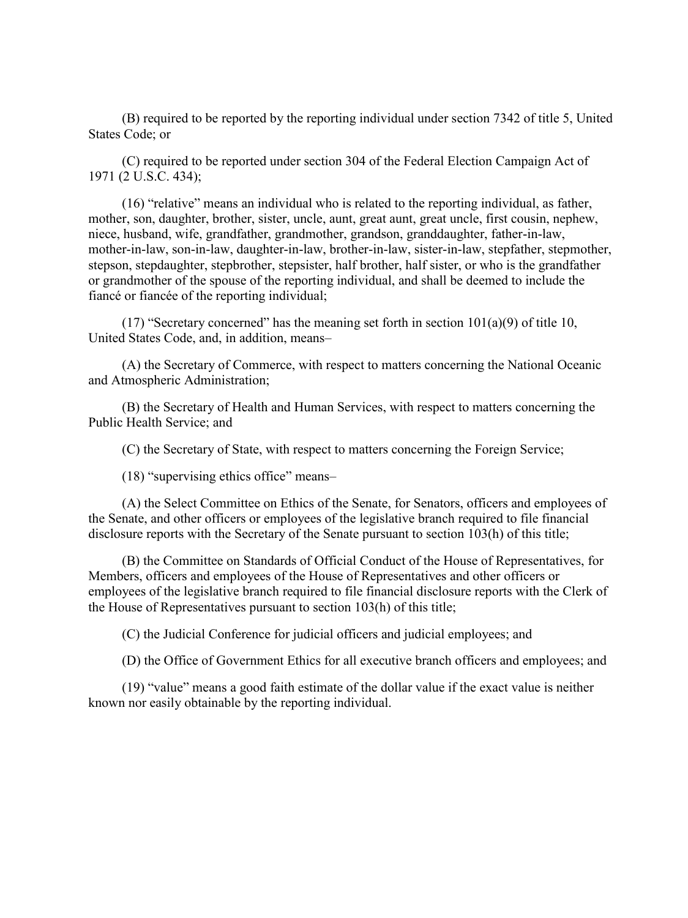(B) required to be reported by the reporting individual under section 7342 of title 5, United States Code; or

 (C) required to be reported under section 304 of the Federal Election Campaign Act of 1971 (2 U.S.C. 434);

 (16) "relative" means an individual who is related to the reporting individual, as father, mother, son, daughter, brother, sister, uncle, aunt, great aunt, great uncle, first cousin, nephew, niece, husband, wife, grandfather, grandmother, grandson, granddaughter, father-in-law, mother-in-law, son-in-law, daughter-in-law, brother-in-law, sister-in-law, stepfather, stepmother, stepson, stepdaughter, stepbrother, stepsister, half brother, half sister, or who is the grandfather or grandmother of the spouse of the reporting individual, and shall be deemed to include the fiancé or fiancée of the reporting individual;

(17) "Secretary concerned" has the meaning set forth in section  $101(a)(9)$  of title 10, United States Code, and, in addition, means–

 (A) the Secretary of Commerce, with respect to matters concerning the National Oceanic and Atmospheric Administration;

 (B) the Secretary of Health and Human Services, with respect to matters concerning the Public Health Service; and

(C) the Secretary of State, with respect to matters concerning the Foreign Service;

(18) "supervising ethics office" means–

 (A) the Select Committee on Ethics of the Senate, for Senators, officers and employees of the Senate, and other officers or employees of the legislative branch required to file financial disclosure reports with the Secretary of the Senate pursuant to section 103(h) of this title;

 (B) the Committee on Standards of Official Conduct of the House of Representatives, for Members, officers and employees of the House of Representatives and other officers or employees of the legislative branch required to file financial disclosure reports with the Clerk of the House of Representatives pursuant to section 103(h) of this title;

(C) the Judicial Conference for judicial officers and judicial employees; and

(D) the Office of Government Ethics for all executive branch officers and employees; and

 (19) "value" means a good faith estimate of the dollar value if the exact value is neither known nor easily obtainable by the reporting individual.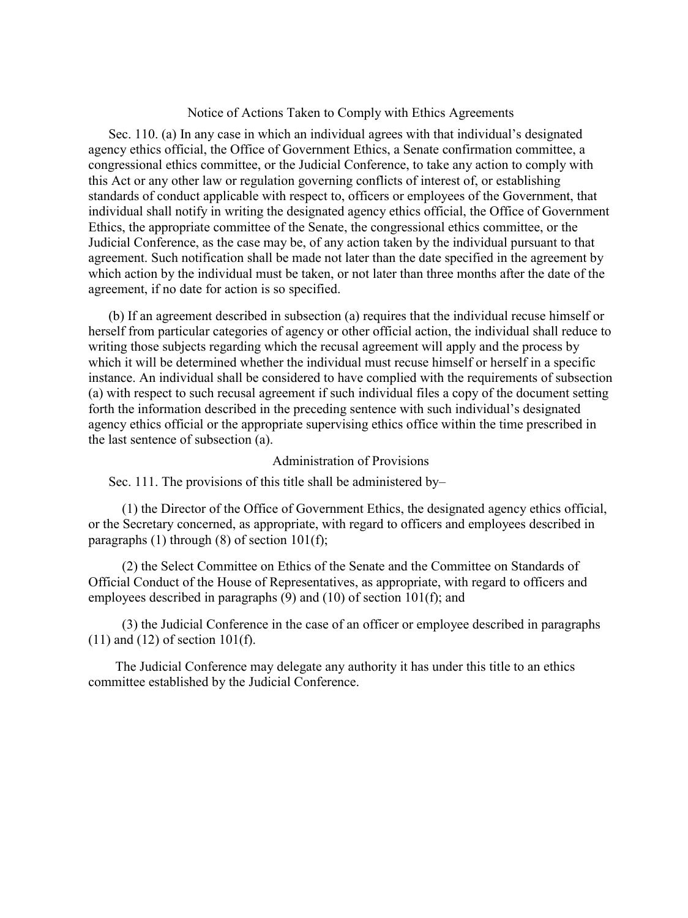### Notice of Actions Taken to Comply with Ethics Agreements

 Sec. 110. (a) In any case in which an individual agrees with that individual's designated agency ethics official, the Office of Government Ethics, a Senate confirmation committee, a congressional ethics committee, or the Judicial Conference, to take any action to comply with this Act or any other law or regulation governing conflicts of interest of, or establishing standards of conduct applicable with respect to, officers or employees of the Government, that individual shall notify in writing the designated agency ethics official, the Office of Government Ethics, the appropriate committee of the Senate, the congressional ethics committee, or the Judicial Conference, as the case may be, of any action taken by the individual pursuant to that agreement. Such notification shall be made not later than the date specified in the agreement by which action by the individual must be taken, or not later than three months after the date of the agreement, if no date for action is so specified.

 (b) If an agreement described in subsection (a) requires that the individual recuse himself or herself from particular categories of agency or other official action, the individual shall reduce to writing those subjects regarding which the recusal agreement will apply and the process by which it will be determined whether the individual must recuse himself or herself in a specific instance. An individual shall be considered to have complied with the requirements of subsection (a) with respect to such recusal agreement if such individual files a copy of the document setting forth the information described in the preceding sentence with such individual's designated agency ethics official or the appropriate supervising ethics office within the time prescribed in the last sentence of subsection (a).

#### Administration of Provisions

Sec. 111. The provisions of this title shall be administered by–

 (1) the Director of the Office of Government Ethics, the designated agency ethics official, or the Secretary concerned, as appropriate, with regard to officers and employees described in paragraphs  $(1)$  through  $(8)$  of section  $101(f)$ ;

 (2) the Select Committee on Ethics of the Senate and the Committee on Standards of Official Conduct of the House of Representatives, as appropriate, with regard to officers and employees described in paragraphs (9) and (10) of section 101(f); and

 (3) the Judicial Conference in the case of an officer or employee described in paragraphs (11) and (12) of section 101(f).

 The Judicial Conference may delegate any authority it has under this title to an ethics committee established by the Judicial Conference.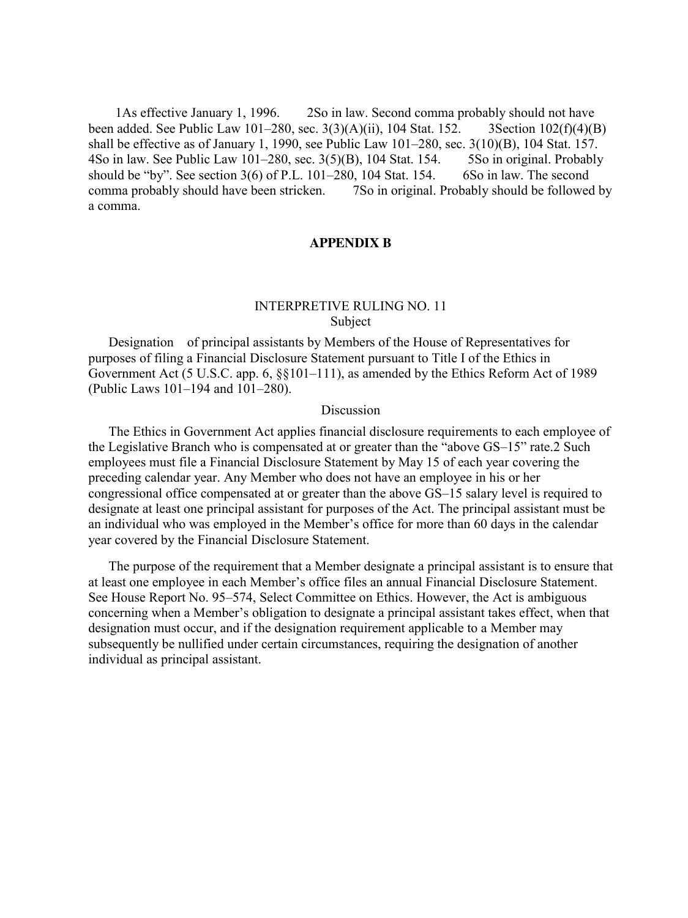1As effective January 1, 1996. 2So in law. Second comma probably should not have been added. See Public Law 101–280, sec. 3(3)(A)(ii), 104 Stat. 152. 3Section 102(f)(4)(B) shall be effective as of January 1, 1990, see Public Law 101–280, sec. 3(10)(B), 104 Stat. 157. 4So in law. See Public Law 101–280, sec. 3(5)(B), 104 Stat. 154. 5So in original. Probably should be "by". See section  $3(6)$  of P.L. 101–280, 104 Stat. 154. 6So in law. The second comma probably should have been stricken. 7So in original. Probably should be followed by a comma.

#### **APPENDIX B**

### INTERPRETIVE RULING NO. 11 Subject

 Designation of principal assistants by Members of the House of Representatives for purposes of filing a Financial Disclosure Statement pursuant to Title I of the Ethics in Government Act (5 U.S.C. app. 6, §§101–111), as amended by the Ethics Reform Act of 1989 (Public Laws 101–194 and 101–280).

#### **Discussion**

 The Ethics in Government Act applies financial disclosure requirements to each employee of the Legislative Branch who is compensated at or greater than the "above GS–15" rate.2 Such employees must file a Financial Disclosure Statement by May 15 of each year covering the preceding calendar year. Any Member who does not have an employee in his or her congressional office compensated at or greater than the above GS–15 salary level is required to designate at least one principal assistant for purposes of the Act. The principal assistant must be an individual who was employed in the Member's office for more than 60 days in the calendar year covered by the Financial Disclosure Statement.

 The purpose of the requirement that a Member designate a principal assistant is to ensure that at least one employee in each Member's office files an annual Financial Disclosure Statement. See House Report No. 95–574, Select Committee on Ethics. However, the Act is ambiguous concerning when a Member's obligation to designate a principal assistant takes effect, when that designation must occur, and if the designation requirement applicable to a Member may subsequently be nullified under certain circumstances, requiring the designation of another individual as principal assistant.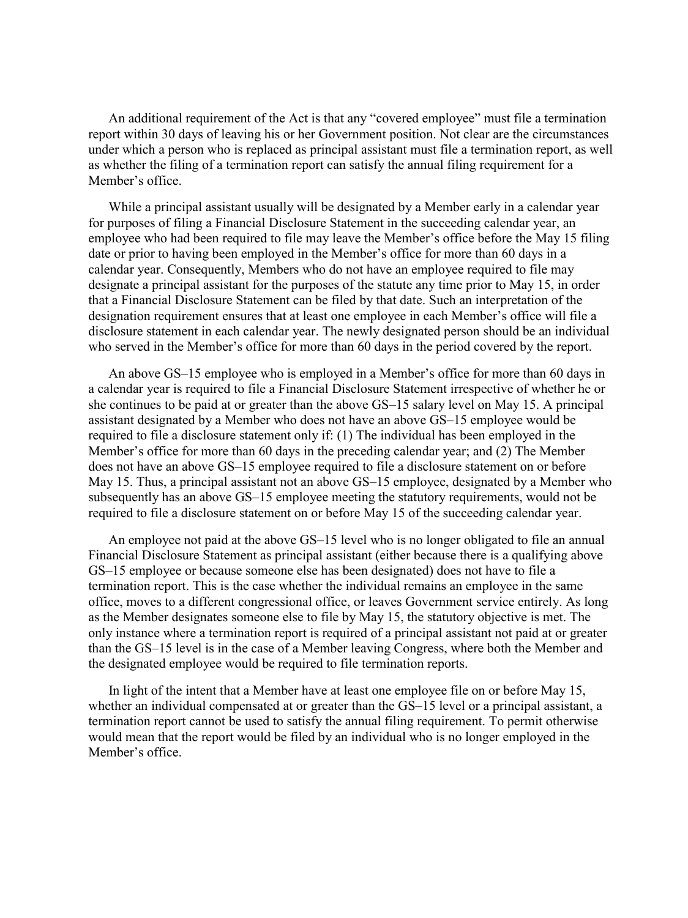An additional requirement of the Act is that any "covered employee" must file a termination report within 30 days of leaving his or her Government position. Not clear are the circumstances under which a person who is replaced as principal assistant must file a termination report, as well as whether the filing of a termination report can satisfy the annual filing requirement for a Member's office.

 While a principal assistant usually will be designated by a Member early in a calendar year for purposes of filing a Financial Disclosure Statement in the succeeding calendar year, an employee who had been required to file may leave the Member's office before the May 15 filing date or prior to having been employed in the Member's office for more than 60 days in a calendar year. Consequently, Members who do not have an employee required to file may designate a principal assistant for the purposes of the statute any time prior to May 15, in order that a Financial Disclosure Statement can be filed by that date. Such an interpretation of the designation requirement ensures that at least one employee in each Member's office will file a disclosure statement in each calendar year. The newly designated person should be an individual who served in the Member's office for more than 60 days in the period covered by the report.

 An above GS–15 employee who is employed in a Member's office for more than 60 days in a calendar year is required to file a Financial Disclosure Statement irrespective of whether he or she continues to be paid at or greater than the above GS–15 salary level on May 15. A principal assistant designated by a Member who does not have an above GS–15 employee would be required to file a disclosure statement only if: (1) The individual has been employed in the Member's office for more than 60 days in the preceding calendar year; and (2) The Member does not have an above GS–15 employee required to file a disclosure statement on or before May 15. Thus, a principal assistant not an above GS–15 employee, designated by a Member who subsequently has an above GS–15 employee meeting the statutory requirements, would not be required to file a disclosure statement on or before May 15 of the succeeding calendar year.

 An employee not paid at the above GS–15 level who is no longer obligated to file an annual Financial Disclosure Statement as principal assistant (either because there is a qualifying above GS–15 employee or because someone else has been designated) does not have to file a termination report. This is the case whether the individual remains an employee in the same office, moves to a different congressional office, or leaves Government service entirely. As long as the Member designates someone else to file by May 15, the statutory objective is met. The only instance where a termination report is required of a principal assistant not paid at or greater than the GS–15 level is in the case of a Member leaving Congress, where both the Member and the designated employee would be required to file termination reports.

 In light of the intent that a Member have at least one employee file on or before May 15, whether an individual compensated at or greater than the GS–15 level or a principal assistant, a termination report cannot be used to satisfy the annual filing requirement. To permit otherwise would mean that the report would be filed by an individual who is no longer employed in the Member's office.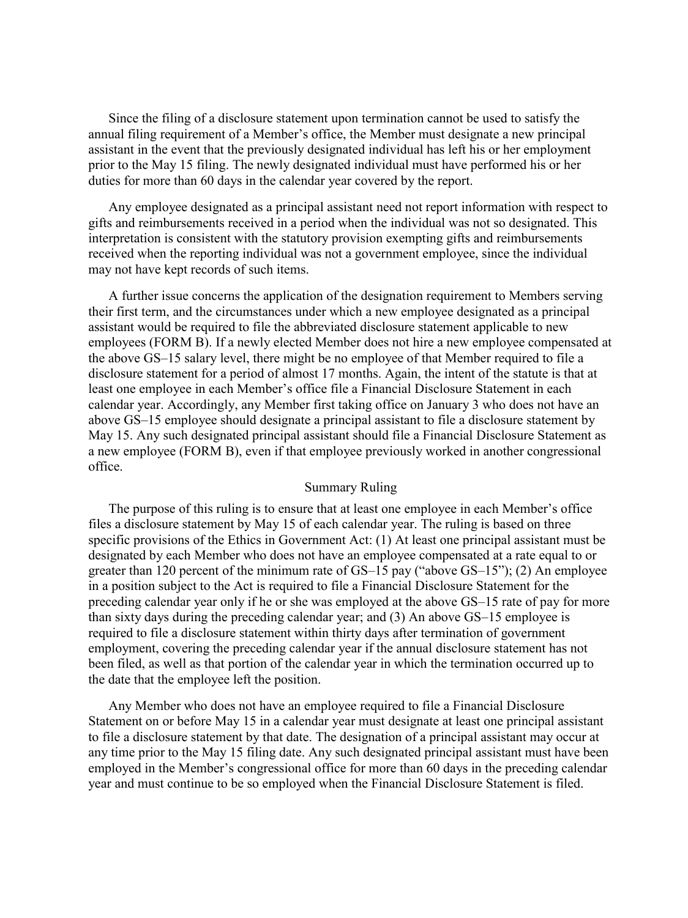Since the filing of a disclosure statement upon termination cannot be used to satisfy the annual filing requirement of a Member's office, the Member must designate a new principal assistant in the event that the previously designated individual has left his or her employment prior to the May 15 filing. The newly designated individual must have performed his or her duties for more than 60 days in the calendar year covered by the report.

 Any employee designated as a principal assistant need not report information with respect to gifts and reimbursements received in a period when the individual was not so designated. This interpretation is consistent with the statutory provision exempting gifts and reimbursements received when the reporting individual was not a government employee, since the individual may not have kept records of such items.

 A further issue concerns the application of the designation requirement to Members serving their first term, and the circumstances under which a new employee designated as a principal assistant would be required to file the abbreviated disclosure statement applicable to new employees (FORM B). If a newly elected Member does not hire a new employee compensated at the above GS–15 salary level, there might be no employee of that Member required to file a disclosure statement for a period of almost 17 months. Again, the intent of the statute is that at least one employee in each Member's office file a Financial Disclosure Statement in each calendar year. Accordingly, any Member first taking office on January 3 who does not have an above GS–15 employee should designate a principal assistant to file a disclosure statement by May 15. Any such designated principal assistant should file a Financial Disclosure Statement as a new employee (FORM B), even if that employee previously worked in another congressional office.

## Summary Ruling

 The purpose of this ruling is to ensure that at least one employee in each Member's office files a disclosure statement by May 15 of each calendar year. The ruling is based on three specific provisions of the Ethics in Government Act: (1) At least one principal assistant must be designated by each Member who does not have an employee compensated at a rate equal to or greater than 120 percent of the minimum rate of GS–15 pay ("above GS–15"); (2) An employee in a position subject to the Act is required to file a Financial Disclosure Statement for the preceding calendar year only if he or she was employed at the above GS–15 rate of pay for more than sixty days during the preceding calendar year; and (3) An above GS–15 employee is required to file a disclosure statement within thirty days after termination of government employment, covering the preceding calendar year if the annual disclosure statement has not been filed, as well as that portion of the calendar year in which the termination occurred up to the date that the employee left the position.

 Any Member who does not have an employee required to file a Financial Disclosure Statement on or before May 15 in a calendar year must designate at least one principal assistant to file a disclosure statement by that date. The designation of a principal assistant may occur at any time prior to the May 15 filing date. Any such designated principal assistant must have been employed in the Member's congressional office for more than 60 days in the preceding calendar year and must continue to be so employed when the Financial Disclosure Statement is filed.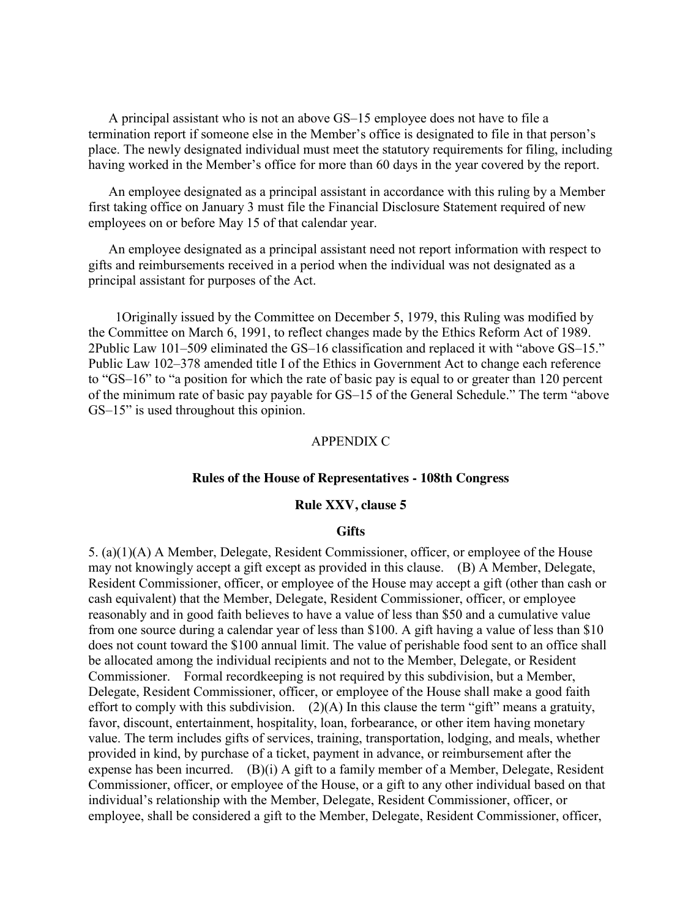A principal assistant who is not an above GS–15 employee does not have to file a termination report if someone else in the Member's office is designated to file in that person's place. The newly designated individual must meet the statutory requirements for filing, including having worked in the Member's office for more than 60 days in the year covered by the report.

 An employee designated as a principal assistant in accordance with this ruling by a Member first taking office on January 3 must file the Financial Disclosure Statement required of new employees on or before May 15 of that calendar year.

 An employee designated as a principal assistant need not report information with respect to gifts and reimbursements received in a period when the individual was not designated as a principal assistant for purposes of the Act.

 1Originally issued by the Committee on December 5, 1979, this Ruling was modified by the Committee on March 6, 1991, to reflect changes made by the Ethics Reform Act of 1989. 2Public Law 101–509 eliminated the GS–16 classification and replaced it with "above GS–15." Public Law 102–378 amended title I of the Ethics in Government Act to change each reference to "GS–16" to "a position for which the rate of basic pay is equal to or greater than 120 percent of the minimum rate of basic pay payable for GS–15 of the General Schedule." The term "above GS–15" is used throughout this opinion.

### APPENDIX C

#### **Rules of the House of Representatives - 108th Congress**

#### **Rule XXV, clause 5**

#### **Gifts**

5. (a)(1)(A) A Member, Delegate, Resident Commissioner, officer, or employee of the House may not knowingly accept a gift except as provided in this clause. (B) A Member, Delegate, Resident Commissioner, officer, or employee of the House may accept a gift (other than cash or cash equivalent) that the Member, Delegate, Resident Commissioner, officer, or employee reasonably and in good faith believes to have a value of less than \$50 and a cumulative value from one source during a calendar year of less than \$100. A gift having a value of less than \$10 does not count toward the \$100 annual limit. The value of perishable food sent to an office shall be allocated among the individual recipients and not to the Member, Delegate, or Resident Commissioner. Formal recordkeeping is not required by this subdivision, but a Member, Delegate, Resident Commissioner, officer, or employee of the House shall make a good faith effort to comply with this subdivision. (2)(A) In this clause the term "gift" means a gratuity, favor, discount, entertainment, hospitality, loan, forbearance, or other item having monetary value. The term includes gifts of services, training, transportation, lodging, and meals, whether provided in kind, by purchase of a ticket, payment in advance, or reimbursement after the expense has been incurred. (B)(i) A gift to a family member of a Member, Delegate, Resident Commissioner, officer, or employee of the House, or a gift to any other individual based on that individual's relationship with the Member, Delegate, Resident Commissioner, officer, or employee, shall be considered a gift to the Member, Delegate, Resident Commissioner, officer,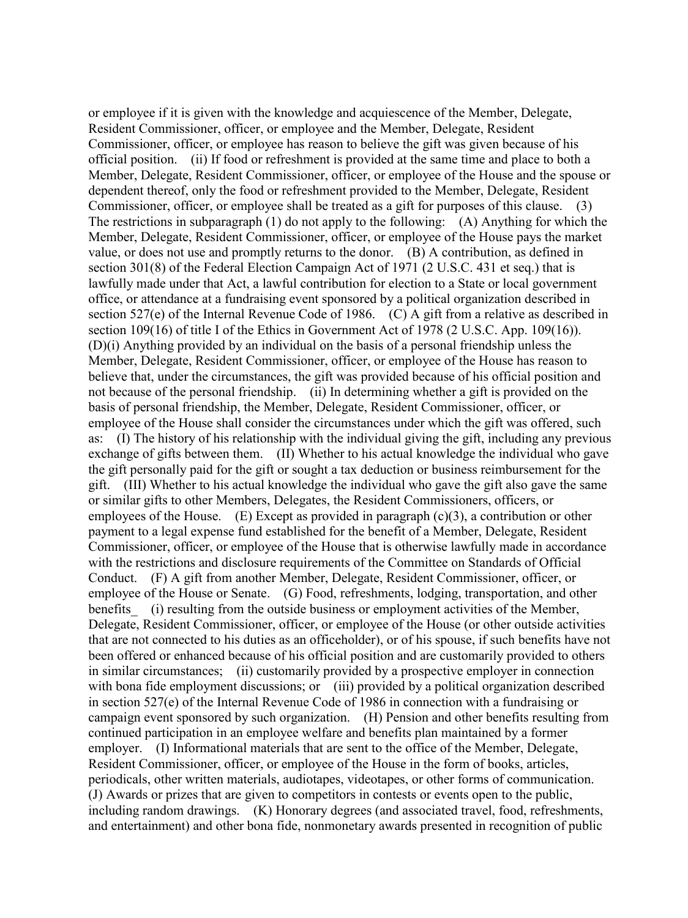or employee if it is given with the knowledge and acquiescence of the Member, Delegate, Resident Commissioner, officer, or employee and the Member, Delegate, Resident Commissioner, officer, or employee has reason to believe the gift was given because of his official position. (ii) If food or refreshment is provided at the same time and place to both a Member, Delegate, Resident Commissioner, officer, or employee of the House and the spouse or dependent thereof, only the food or refreshment provided to the Member, Delegate, Resident Commissioner, officer, or employee shall be treated as a gift for purposes of this clause. (3) The restrictions in subparagraph (1) do not apply to the following: (A) Anything for which the Member, Delegate, Resident Commissioner, officer, or employee of the House pays the market value, or does not use and promptly returns to the donor. (B) A contribution, as defined in section 301(8) of the Federal Election Campaign Act of 1971 (2 U.S.C. 431 et seq.) that is lawfully made under that Act, a lawful contribution for election to a State or local government office, or attendance at a fundraising event sponsored by a political organization described in section 527(e) of the Internal Revenue Code of 1986. (C) A gift from a relative as described in section 109(16) of title I of the Ethics in Government Act of 1978 (2 U.S.C. App. 109(16)). (D)(i) Anything provided by an individual on the basis of a personal friendship unless the Member, Delegate, Resident Commissioner, officer, or employee of the House has reason to believe that, under the circumstances, the gift was provided because of his official position and not because of the personal friendship. (ii) In determining whether a gift is provided on the basis of personal friendship, the Member, Delegate, Resident Commissioner, officer, or employee of the House shall consider the circumstances under which the gift was offered, such as: (I) The history of his relationship with the individual giving the gift, including any previous exchange of gifts between them. (II) Whether to his actual knowledge the individual who gave the gift personally paid for the gift or sought a tax deduction or business reimbursement for the gift. (III) Whether to his actual knowledge the individual who gave the gift also gave the same or similar gifts to other Members, Delegates, the Resident Commissioners, officers, or employees of the House. (E) Except as provided in paragraph  $(c)(3)$ , a contribution or other payment to a legal expense fund established for the benefit of a Member, Delegate, Resident Commissioner, officer, or employee of the House that is otherwise lawfully made in accordance with the restrictions and disclosure requirements of the Committee on Standards of Official Conduct. (F) A gift from another Member, Delegate, Resident Commissioner, officer, or employee of the House or Senate. (G) Food, refreshments, lodging, transportation, and other benefits (i) resulting from the outside business or employment activities of the Member, Delegate, Resident Commissioner, officer, or employee of the House (or other outside activities that are not connected to his duties as an officeholder), or of his spouse, if such benefits have not been offered or enhanced because of his official position and are customarily provided to others in similar circumstances; (ii) customarily provided by a prospective employer in connection with bona fide employment discussions; or (iii) provided by a political organization described in section 527(e) of the Internal Revenue Code of 1986 in connection with a fundraising or campaign event sponsored by such organization. (H) Pension and other benefits resulting from continued participation in an employee welfare and benefits plan maintained by a former employer. (I) Informational materials that are sent to the office of the Member, Delegate, Resident Commissioner, officer, or employee of the House in the form of books, articles, periodicals, other written materials, audiotapes, videotapes, or other forms of communication. (J) Awards or prizes that are given to competitors in contests or events open to the public, including random drawings. (K) Honorary degrees (and associated travel, food, refreshments, and entertainment) and other bona fide, nonmonetary awards presented in recognition of public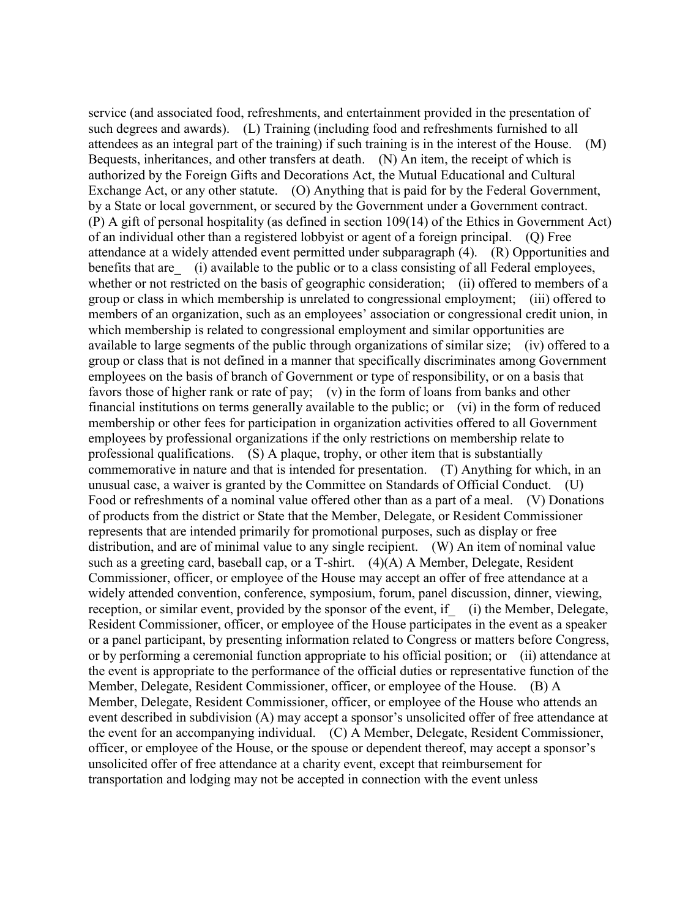service (and associated food, refreshments, and entertainment provided in the presentation of such degrees and awards). (L) Training (including food and refreshments furnished to all attendees as an integral part of the training) if such training is in the interest of the House. (M) Bequests, inheritances, and other transfers at death. (N) An item, the receipt of which is authorized by the Foreign Gifts and Decorations Act, the Mutual Educational and Cultural Exchange Act, or any other statute. (O) Anything that is paid for by the Federal Government, by a State or local government, or secured by the Government under a Government contract. (P) A gift of personal hospitality (as defined in section 109(14) of the Ethics in Government Act) of an individual other than a registered lobbyist or agent of a foreign principal. (Q) Free attendance at a widely attended event permitted under subparagraph (4). (R) Opportunities and benefits that are (i) available to the public or to a class consisting of all Federal employees, whether or not restricted on the basis of geographic consideration; (ii) offered to members of a group or class in which membership is unrelated to congressional employment; (iii) offered to members of an organization, such as an employees' association or congressional credit union, in which membership is related to congressional employment and similar opportunities are available to large segments of the public through organizations of similar size; (iv) offered to a group or class that is not defined in a manner that specifically discriminates among Government employees on the basis of branch of Government or type of responsibility, or on a basis that favors those of higher rank or rate of pay; (v) in the form of loans from banks and other financial institutions on terms generally available to the public; or (vi) in the form of reduced membership or other fees for participation in organization activities offered to all Government employees by professional organizations if the only restrictions on membership relate to professional qualifications. (S) A plaque, trophy, or other item that is substantially commemorative in nature and that is intended for presentation. (T) Anything for which, in an unusual case, a waiver is granted by the Committee on Standards of Official Conduct. (U) Food or refreshments of a nominal value offered other than as a part of a meal. (V) Donations of products from the district or State that the Member, Delegate, or Resident Commissioner represents that are intended primarily for promotional purposes, such as display or free distribution, and are of minimal value to any single recipient. (W) An item of nominal value such as a greeting card, baseball cap, or a T-shirt. (4)(A) A Member, Delegate, Resident Commissioner, officer, or employee of the House may accept an offer of free attendance at a widely attended convention, conference, symposium, forum, panel discussion, dinner, viewing, reception, or similar event, provided by the sponsor of the event, if (i) the Member, Delegate, Resident Commissioner, officer, or employee of the House participates in the event as a speaker or a panel participant, by presenting information related to Congress or matters before Congress, or by performing a ceremonial function appropriate to his official position; or (ii) attendance at the event is appropriate to the performance of the official duties or representative function of the Member, Delegate, Resident Commissioner, officer, or employee of the House. (B) A Member, Delegate, Resident Commissioner, officer, or employee of the House who attends an event described in subdivision (A) may accept a sponsor's unsolicited offer of free attendance at the event for an accompanying individual. (C) A Member, Delegate, Resident Commissioner, officer, or employee of the House, or the spouse or dependent thereof, may accept a sponsor's unsolicited offer of free attendance at a charity event, except that reimbursement for transportation and lodging may not be accepted in connection with the event unless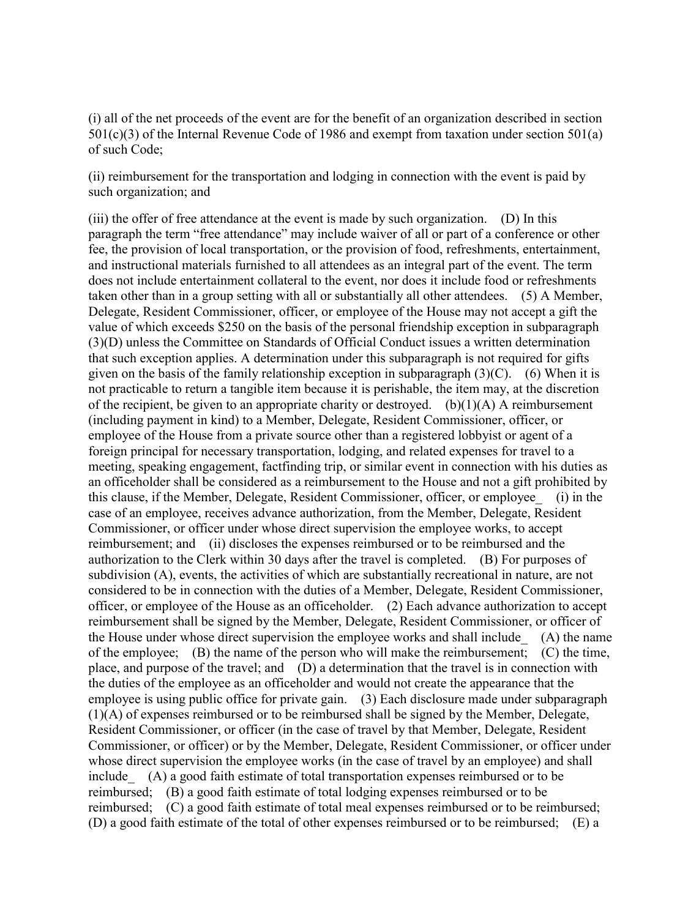(i) all of the net proceeds of the event are for the benefit of an organization described in section 501(c)(3) of the Internal Revenue Code of 1986 and exempt from taxation under section 501(a) of such Code;

(ii) reimbursement for the transportation and lodging in connection with the event is paid by such organization; and

(iii) the offer of free attendance at the event is made by such organization. (D) In this paragraph the term "free attendance" may include waiver of all or part of a conference or other fee, the provision of local transportation, or the provision of food, refreshments, entertainment, and instructional materials furnished to all attendees as an integral part of the event. The term does not include entertainment collateral to the event, nor does it include food or refreshments taken other than in a group setting with all or substantially all other attendees. (5) A Member, Delegate, Resident Commissioner, officer, or employee of the House may not accept a gift the value of which exceeds \$250 on the basis of the personal friendship exception in subparagraph (3)(D) unless the Committee on Standards of Official Conduct issues a written determination that such exception applies. A determination under this subparagraph is not required for gifts given on the basis of the family relationship exception in subparagraph  $(3)(C)$ . (6) When it is not practicable to return a tangible item because it is perishable, the item may, at the discretion of the recipient, be given to an appropriate charity or destroyed. (b)(1)(A) A reimbursement (including payment in kind) to a Member, Delegate, Resident Commissioner, officer, or employee of the House from a private source other than a registered lobbyist or agent of a foreign principal for necessary transportation, lodging, and related expenses for travel to a meeting, speaking engagement, factfinding trip, or similar event in connection with his duties as an officeholder shall be considered as a reimbursement to the House and not a gift prohibited by this clause, if the Member, Delegate, Resident Commissioner, officer, or employee\_ (i) in the case of an employee, receives advance authorization, from the Member, Delegate, Resident Commissioner, or officer under whose direct supervision the employee works, to accept reimbursement; and (ii) discloses the expenses reimbursed or to be reimbursed and the authorization to the Clerk within 30 days after the travel is completed. (B) For purposes of subdivision (A), events, the activities of which are substantially recreational in nature, are not considered to be in connection with the duties of a Member, Delegate, Resident Commissioner, officer, or employee of the House as an officeholder. (2) Each advance authorization to accept reimbursement shall be signed by the Member, Delegate, Resident Commissioner, or officer of the House under whose direct supervision the employee works and shall include\_ (A) the name of the employee; (B) the name of the person who will make the reimbursement; (C) the time, place, and purpose of the travel; and (D) a determination that the travel is in connection with the duties of the employee as an officeholder and would not create the appearance that the employee is using public office for private gain. (3) Each disclosure made under subparagraph (1)(A) of expenses reimbursed or to be reimbursed shall be signed by the Member, Delegate, Resident Commissioner, or officer (in the case of travel by that Member, Delegate, Resident Commissioner, or officer) or by the Member, Delegate, Resident Commissioner, or officer under whose direct supervision the employee works (in the case of travel by an employee) and shall include\_ (A) a good faith estimate of total transportation expenses reimbursed or to be reimbursed; (B) a good faith estimate of total lodging expenses reimbursed or to be reimbursed; (C) a good faith estimate of total meal expenses reimbursed or to be reimbursed; (D) a good faith estimate of the total of other expenses reimbursed or to be reimbursed; (E) a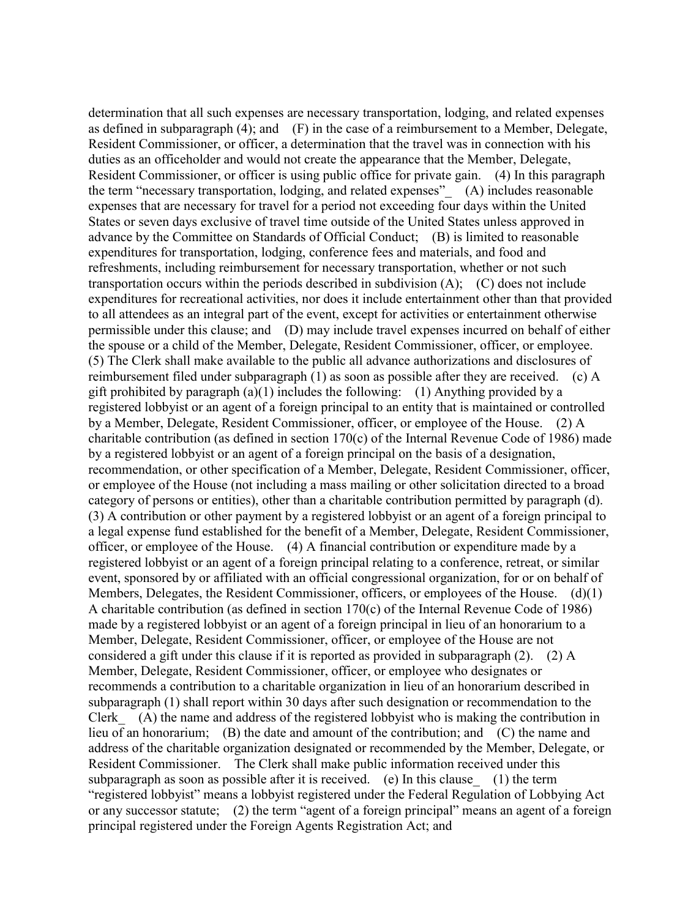determination that all such expenses are necessary transportation, lodging, and related expenses as defined in subparagraph (4); and (F) in the case of a reimbursement to a Member, Delegate, Resident Commissioner, or officer, a determination that the travel was in connection with his duties as an officeholder and would not create the appearance that the Member, Delegate, Resident Commissioner, or officer is using public office for private gain. (4) In this paragraph the term "necessary transportation, lodging, and related expenses"\_ (A) includes reasonable expenses that are necessary for travel for a period not exceeding four days within the United States or seven days exclusive of travel time outside of the United States unless approved in advance by the Committee on Standards of Official Conduct; (B) is limited to reasonable expenditures for transportation, lodging, conference fees and materials, and food and refreshments, including reimbursement for necessary transportation, whether or not such transportation occurs within the periods described in subdivision (A); (C) does not include expenditures for recreational activities, nor does it include entertainment other than that provided to all attendees as an integral part of the event, except for activities or entertainment otherwise permissible under this clause; and (D) may include travel expenses incurred on behalf of either the spouse or a child of the Member, Delegate, Resident Commissioner, officer, or employee. (5) The Clerk shall make available to the public all advance authorizations and disclosures of reimbursement filed under subparagraph (1) as soon as possible after they are received. (c) A gift prohibited by paragraph  $(a)(1)$  includes the following: (1) Anything provided by a registered lobbyist or an agent of a foreign principal to an entity that is maintained or controlled by a Member, Delegate, Resident Commissioner, officer, or employee of the House. (2) A charitable contribution (as defined in section 170(c) of the Internal Revenue Code of 1986) made by a registered lobbyist or an agent of a foreign principal on the basis of a designation, recommendation, or other specification of a Member, Delegate, Resident Commissioner, officer, or employee of the House (not including a mass mailing or other solicitation directed to a broad category of persons or entities), other than a charitable contribution permitted by paragraph (d). (3) A contribution or other payment by a registered lobbyist or an agent of a foreign principal to a legal expense fund established for the benefit of a Member, Delegate, Resident Commissioner, officer, or employee of the House. (4) A financial contribution or expenditure made by a registered lobbyist or an agent of a foreign principal relating to a conference, retreat, or similar event, sponsored by or affiliated with an official congressional organization, for or on behalf of Members, Delegates, the Resident Commissioner, officers, or employees of the House. (d)(1) A charitable contribution (as defined in section 170(c) of the Internal Revenue Code of 1986) made by a registered lobbyist or an agent of a foreign principal in lieu of an honorarium to a Member, Delegate, Resident Commissioner, officer, or employee of the House are not considered a gift under this clause if it is reported as provided in subparagraph (2). (2) A Member, Delegate, Resident Commissioner, officer, or employee who designates or recommends a contribution to a charitable organization in lieu of an honorarium described in subparagraph (1) shall report within 30 days after such designation or recommendation to the Clerk\_ (A) the name and address of the registered lobbyist who is making the contribution in lieu of an honorarium; (B) the date and amount of the contribution; and (C) the name and address of the charitable organization designated or recommended by the Member, Delegate, or Resident Commissioner. The Clerk shall make public information received under this subparagraph as soon as possible after it is received. (e) In this clause  $(1)$  the term "registered lobbyist" means a lobbyist registered under the Federal Regulation of Lobbying Act or any successor statute; (2) the term "agent of a foreign principal" means an agent of a foreign principal registered under the Foreign Agents Registration Act; and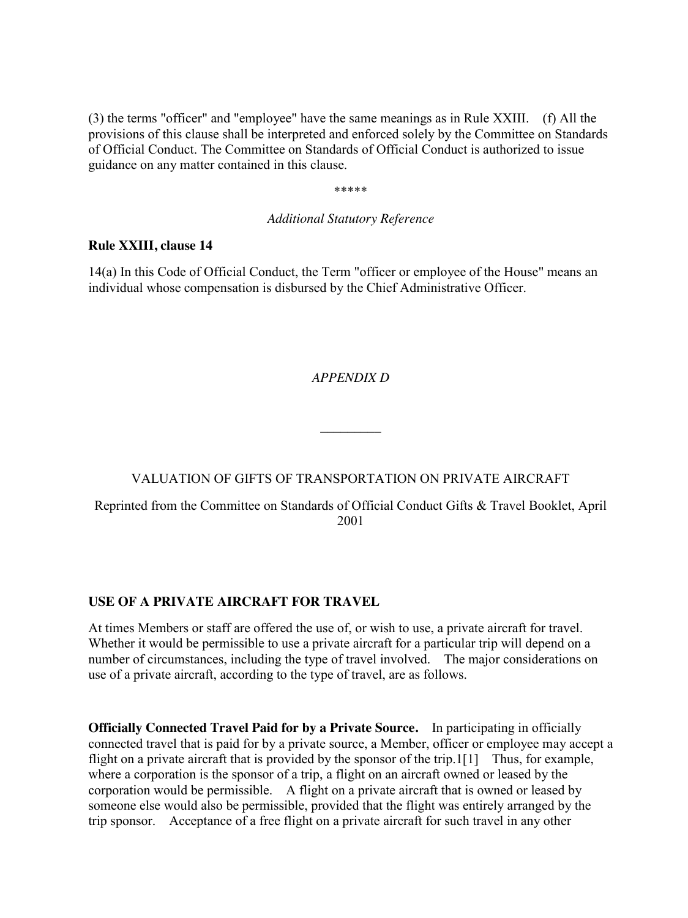(3) the terms "officer" and "employee" have the same meanings as in Rule XXIII. (f) All the provisions of this clause shall be interpreted and enforced solely by the Committee on Standards of Official Conduct. The Committee on Standards of Official Conduct is authorized to issue guidance on any matter contained in this clause.

#### \*\*\*\*\*

### *Additional Statutory Reference*

### **Rule XXIII, clause 14**

14(a) In this Code of Official Conduct, the Term "officer or employee of the House" means an individual whose compensation is disbursed by the Chief Administrative Officer.

### *APPENDIX D*

 $\frac{1}{2}$ 

#### VALUATION OF GIFTS OF TRANSPORTATION ON PRIVATE AIRCRAFT

Reprinted from the Committee on Standards of Official Conduct Gifts & Travel Booklet, April 2001

## **USE OF A PRIVATE AIRCRAFT FOR TRAVEL**

At times Members or staff are offered the use of, or wish to use, a private aircraft for travel. Whether it would be permissible to use a private aircraft for a particular trip will depend on a number of circumstances, including the type of travel involved. The major considerations on use of a private aircraft, according to the type of travel, are as follows.

**Officially Connected Travel Paid for by a Private Source.** In participating in officially connected travel that is paid for by a private source, a Member, officer or employee may accept a flight on a private aircraft that is provided by the sponsor of the trip.1[1] Thus, for example, where a corporation is the sponsor of a trip, a flight on an aircraft owned or leased by the corporation would be permissible. A flight on a private aircraft that is owned or leased by someone else would also be permissible, provided that the flight was entirely arranged by the trip sponsor. Acceptance of a free flight on a private aircraft for such travel in any other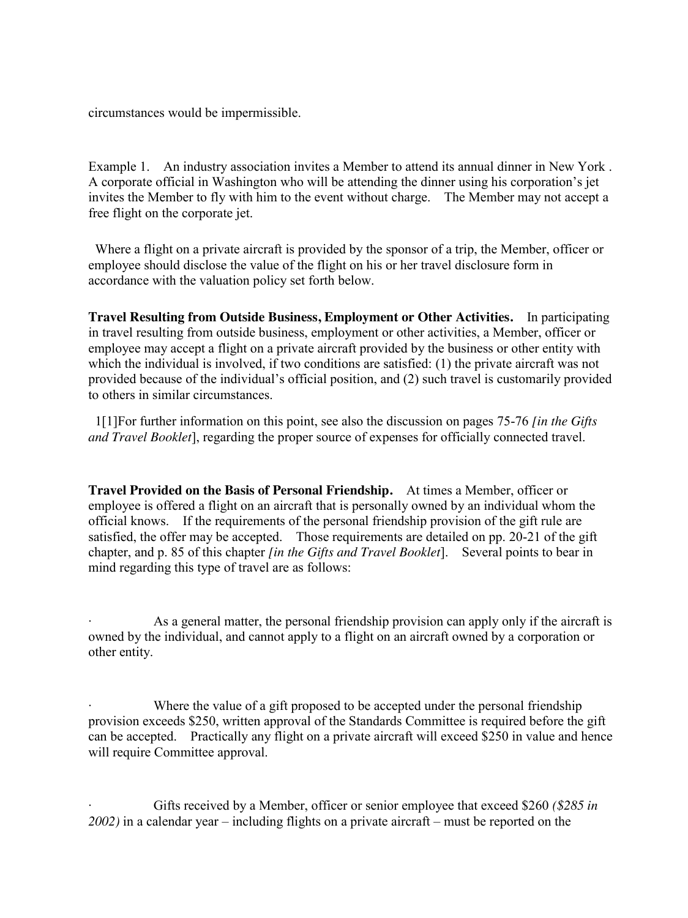circumstances would be impermissible.

Example 1. An industry association invites a Member to attend its annual dinner in New York . A corporate official in Washington who will be attending the dinner using his corporation's jet invites the Member to fly with him to the event without charge. The Member may not accept a free flight on the corporate jet.

Where a flight on a private aircraft is provided by the sponsor of a trip, the Member, officer or employee should disclose the value of the flight on his or her travel disclosure form in accordance with the valuation policy set forth below.

**Travel Resulting from Outside Business, Employment or Other Activities.** In participating in travel resulting from outside business, employment or other activities, a Member, officer or employee may accept a flight on a private aircraft provided by the business or other entity with which the individual is involved, if two conditions are satisfied: (1) the private aircraft was not provided because of the individual's official position, and (2) such travel is customarily provided to others in similar circumstances.

1[1]For further information on this point, see also the discussion on pages 75-76 *[in the Gifts and Travel Booklet*], regarding the proper source of expenses for officially connected travel.

**Travel Provided on the Basis of Personal Friendship.** At times a Member, officer or employee is offered a flight on an aircraft that is personally owned by an individual whom the official knows. If the requirements of the personal friendship provision of the gift rule are satisfied, the offer may be accepted. Those requirements are detailed on pp. 20-21 of the gift chapter, and p. 85 of this chapter *[in the Gifts and Travel Booklet*]. Several points to bear in mind regarding this type of travel are as follows:

As a general matter, the personal friendship provision can apply only if the aircraft is owned by the individual, and cannot apply to a flight on an aircraft owned by a corporation or other entity.

- Where the value of a gift proposed to be accepted under the personal friendship provision exceeds \$250, written approval of the Standards Committee is required before the gift can be accepted. Practically any flight on a private aircraft will exceed \$250 in value and hence will require Committee approval.
- Gifts received by a Member, officer or senior employee that exceed \$260 *(\$285 in*) *2002)* in a calendar year – including flights on a private aircraft – must be reported on the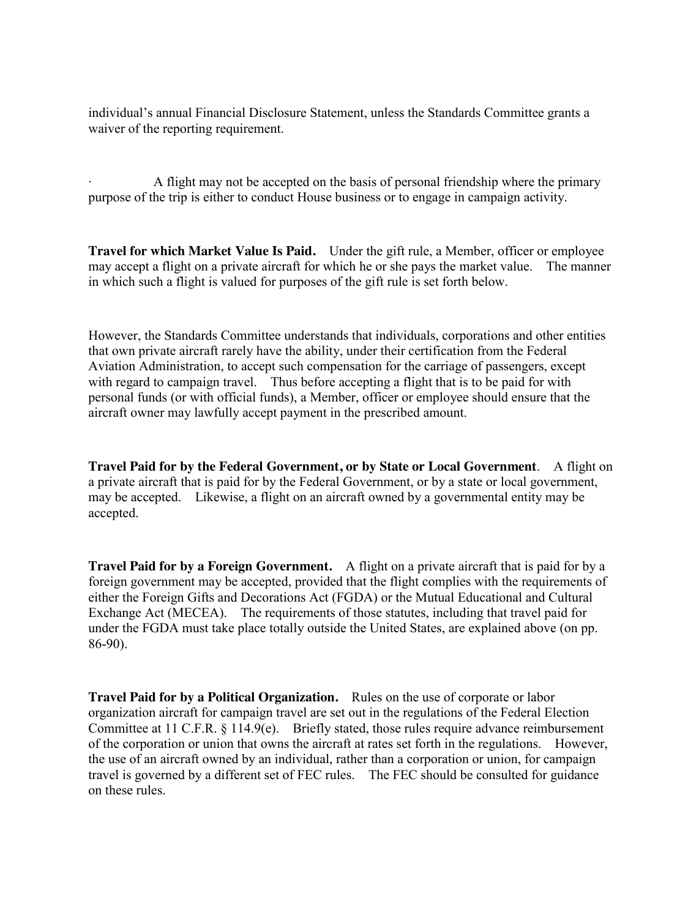individual's annual Financial Disclosure Statement, unless the Standards Committee grants a waiver of the reporting requirement.

A flight may not be accepted on the basis of personal friendship where the primary purpose of the trip is either to conduct House business or to engage in campaign activity.

**Travel for which Market Value Is Paid.** Under the gift rule, a Member, officer or employee may accept a flight on a private aircraft for which he or she pays the market value. The manner in which such a flight is valued for purposes of the gift rule is set forth below.

However, the Standards Committee understands that individuals, corporations and other entities that own private aircraft rarely have the ability, under their certification from the Federal Aviation Administration, to accept such compensation for the carriage of passengers, except with regard to campaign travel. Thus before accepting a flight that is to be paid for with personal funds (or with official funds), a Member, officer or employee should ensure that the aircraft owner may lawfully accept payment in the prescribed amount.

**Travel Paid for by the Federal Government, or by State or Local Government**. A flight on a private aircraft that is paid for by the Federal Government, or by a state or local government, may be accepted. Likewise, a flight on an aircraft owned by a governmental entity may be accepted.

**Travel Paid for by a Foreign Government.** A flight on a private aircraft that is paid for by a foreign government may be accepted, provided that the flight complies with the requirements of either the Foreign Gifts and Decorations Act (FGDA) or the Mutual Educational and Cultural Exchange Act (MECEA). The requirements of those statutes, including that travel paid for under the FGDA must take place totally outside the United States, are explained above (on pp. 86-90).

**Travel Paid for by a Political Organization.** Rules on the use of corporate or labor organization aircraft for campaign travel are set out in the regulations of the Federal Election Committee at 11 C.F.R. § 114.9(e). Briefly stated, those rules require advance reimbursement of the corporation or union that owns the aircraft at rates set forth in the regulations. However, the use of an aircraft owned by an individual, rather than a corporation or union, for campaign travel is governed by a different set of FEC rules. The FEC should be consulted for guidance on these rules.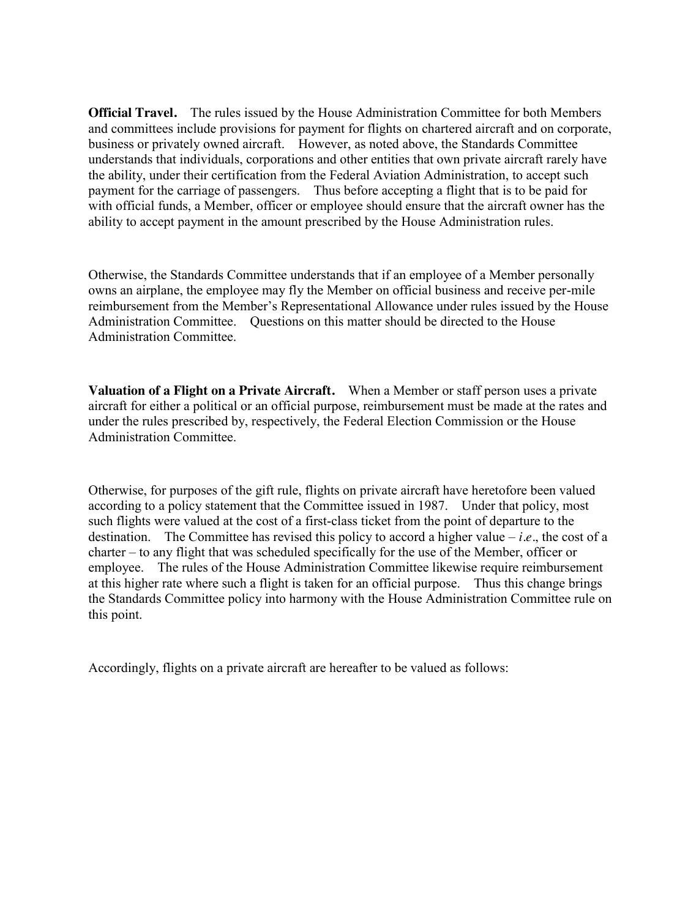**Official Travel.** The rules issued by the House Administration Committee for both Members and committees include provisions for payment for flights on chartered aircraft and on corporate, business or privately owned aircraft. However, as noted above, the Standards Committee understands that individuals, corporations and other entities that own private aircraft rarely have the ability, under their certification from the Federal Aviation Administration, to accept such payment for the carriage of passengers. Thus before accepting a flight that is to be paid for with official funds, a Member, officer or employee should ensure that the aircraft owner has the ability to accept payment in the amount prescribed by the House Administration rules.

Otherwise, the Standards Committee understands that if an employee of a Member personally owns an airplane, the employee may fly the Member on official business and receive per-mile reimbursement from the Member's Representational Allowance under rules issued by the House Administration Committee. Questions on this matter should be directed to the House Administration Committee.

**Valuation of a Flight on a Private Aircraft.** When a Member or staff person uses a private aircraft for either a political or an official purpose, reimbursement must be made at the rates and under the rules prescribed by, respectively, the Federal Election Commission or the House Administration Committee.

Otherwise, for purposes of the gift rule, flights on private aircraft have heretofore been valued according to a policy statement that the Committee issued in 1987. Under that policy, most such flights were valued at the cost of a first-class ticket from the point of departure to the destination. The Committee has revised this policy to accord a higher value  $-i.e.,$  the cost of a charter – to any flight that was scheduled specifically for the use of the Member, officer or employee. The rules of the House Administration Committee likewise require reimbursement at this higher rate where such a flight is taken for an official purpose. Thus this change brings the Standards Committee policy into harmony with the House Administration Committee rule on this point.

Accordingly, flights on a private aircraft are hereafter to be valued as follows: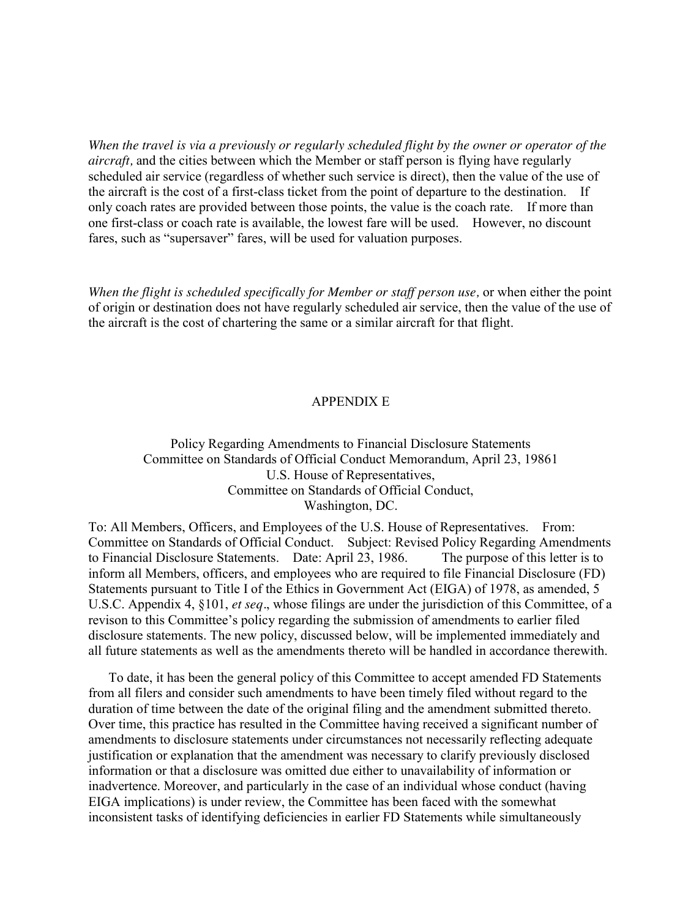*When the travel is via a previously or regularly scheduled flight by the owner or operator of the aircraft,* and the cities between which the Member or staff person is flying have regularly scheduled air service (regardless of whether such service is direct), then the value of the use of the aircraft is the cost of a first-class ticket from the point of departure to the destination. If only coach rates are provided between those points, the value is the coach rate. If more than one first-class or coach rate is available, the lowest fare will be used. However, no discount fares, such as "supersaver" fares, will be used for valuation purposes.

*When the flight is scheduled specifically for Member or staff person use,* or when either the point of origin or destination does not have regularly scheduled air service, then the value of the use of the aircraft is the cost of chartering the same or a similar aircraft for that flight.

### APPENDIX E

# Policy Regarding Amendments to Financial Disclosure Statements Committee on Standards of Official Conduct Memorandum, April 23, 19861 U.S. House of Representatives, Committee on Standards of Official Conduct, Washington, DC.

To: All Members, Officers, and Employees of the U.S. House of Representatives. From: Committee on Standards of Official Conduct. Subject: Revised Policy Regarding Amendments to Financial Disclosure Statements. Date: April 23, 1986. The purpose of this letter is to inform all Members, officers, and employees who are required to file Financial Disclosure (FD) Statements pursuant to Title I of the Ethics in Government Act (EIGA) of 1978, as amended, 5 U.S.C. Appendix 4, §101, *et seq.*, whose filings are under the jurisdiction of this Committee, of a revison to this Committee's policy regarding the submission of amendments to earlier filed disclosure statements. The new policy, discussed below, will be implemented immediately and all future statements as well as the amendments thereto will be handled in accordance therewith.

 To date, it has been the general policy of this Committee to accept amended FD Statements from all filers and consider such amendments to have been timely filed without regard to the duration of time between the date of the original filing and the amendment submitted thereto. Over time, this practice has resulted in the Committee having received a significant number of amendments to disclosure statements under circumstances not necessarily reflecting adequate justification or explanation that the amendment was necessary to clarify previously disclosed information or that a disclosure was omitted due either to unavailability of information or inadvertence. Moreover, and particularly in the case of an individual whose conduct (having EIGA implications) is under review, the Committee has been faced with the somewhat inconsistent tasks of identifying deficiencies in earlier FD Statements while simultaneously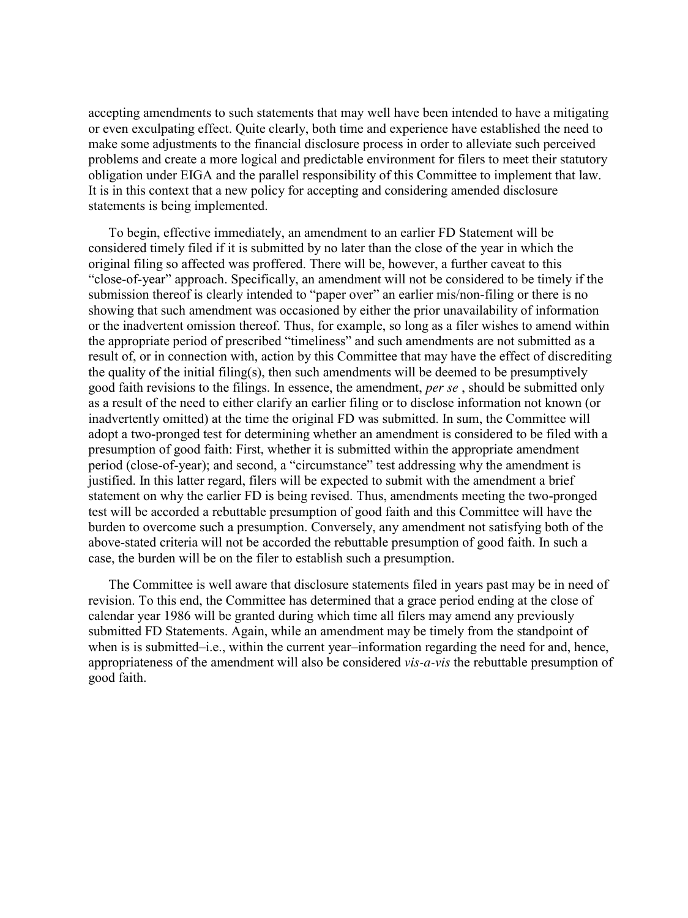accepting amendments to such statements that may well have been intended to have a mitigating or even exculpating effect. Quite clearly, both time and experience have established the need to make some adjustments to the financial disclosure process in order to alleviate such perceived problems and create a more logical and predictable environment for filers to meet their statutory obligation under EIGA and the parallel responsibility of this Committee to implement that law. It is in this context that a new policy for accepting and considering amended disclosure statements is being implemented.

 To begin, effective immediately, an amendment to an earlier FD Statement will be considered timely filed if it is submitted by no later than the close of the year in which the original filing so affected was proffered. There will be, however, a further caveat to this "close-of-year" approach. Specifically, an amendment will not be considered to be timely if the submission thereof is clearly intended to "paper over" an earlier mis/non-filing or there is no showing that such amendment was occasioned by either the prior unavailability of information or the inadvertent omission thereof. Thus, for example, so long as a filer wishes to amend within the appropriate period of prescribed "timeliness" and such amendments are not submitted as a result of, or in connection with, action by this Committee that may have the effect of discrediting the quality of the initial filing(s), then such amendments will be deemed to be presumptively good faith revisions to the filings. In essence, the amendment, *per se* , should be submitted only as a result of the need to either clarify an earlier filing or to disclose information not known (or inadvertently omitted) at the time the original FD was submitted. In sum, the Committee will adopt a two-pronged test for determining whether an amendment is considered to be filed with a presumption of good faith: First, whether it is submitted within the appropriate amendment period (close-of-year); and second, a "circumstance" test addressing why the amendment is justified. In this latter regard, filers will be expected to submit with the amendment a brief statement on why the earlier FD is being revised. Thus, amendments meeting the two-pronged test will be accorded a rebuttable presumption of good faith and this Committee will have the burden to overcome such a presumption. Conversely, any amendment not satisfying both of the above-stated criteria will not be accorded the rebuttable presumption of good faith. In such a case, the burden will be on the filer to establish such a presumption.

 The Committee is well aware that disclosure statements filed in years past may be in need of revision. To this end, the Committee has determined that a grace period ending at the close of calendar year 1986 will be granted during which time all filers may amend any previously submitted FD Statements. Again, while an amendment may be timely from the standpoint of when is is submitted–i.e., within the current year–information regarding the need for and, hence, appropriateness of the amendment will also be considered *vis-a-vis* the rebuttable presumption of good faith.